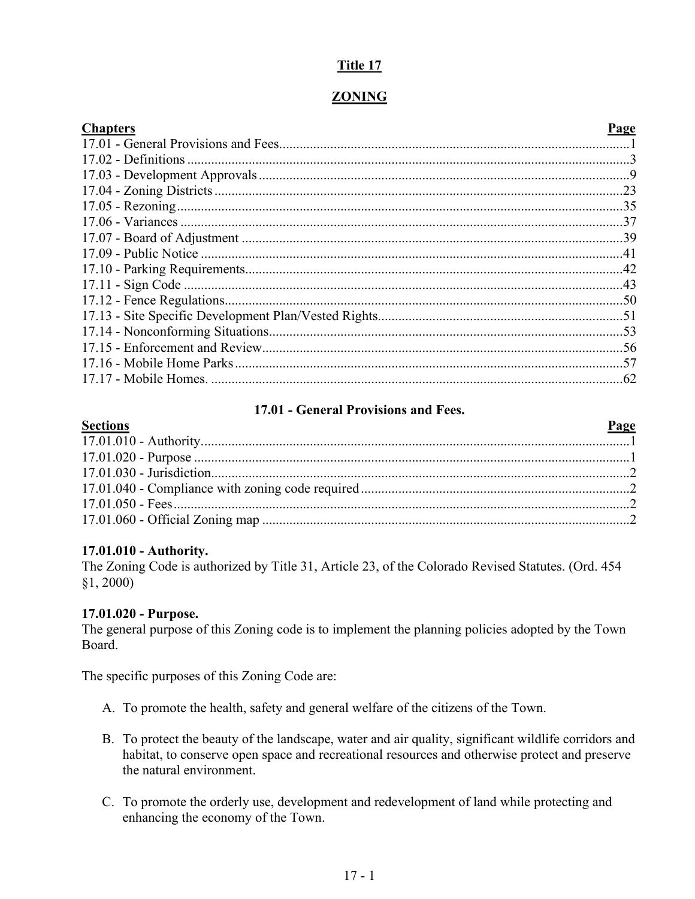# **Title 17**

# **ZONING**

| <b>Chapters</b> | Page |
|-----------------|------|
|                 |      |
|                 |      |
|                 |      |
|                 |      |
|                 |      |
|                 |      |
|                 |      |
|                 |      |
|                 |      |
|                 |      |
|                 |      |
|                 |      |
|                 |      |
|                 |      |
|                 |      |
|                 |      |

# **17.01 - General Provisions and Fees.**

<span id="page-0-0"></span>

| <b>Sections</b> | Page |
|-----------------|------|
|                 |      |
|                 |      |
|                 |      |
|                 |      |
|                 |      |
|                 |      |
|                 |      |

# **17.01.010 - Authority.**

The Zoning Code is authorized by Title 31, Article 23, of the Colorado Revised Statutes. (Ord. 454 §1, 2000)

# **17.01.020 - Purpose.**

The general purpose of this Zoning code is to implement the planning policies adopted by the Town Board.

The specific purposes of this Zoning Code are:

- A. To promote the health, safety and general welfare of the citizens of the Town.
- B. To protect the beauty of the landscape, water and air quality, significant wildlife corridors and habitat, to conserve open space and recreational resources and otherwise protect and preserve the natural environment.
- C. To promote the orderly use, development and redevelopment of land while protecting and enhancing the economy of the Town.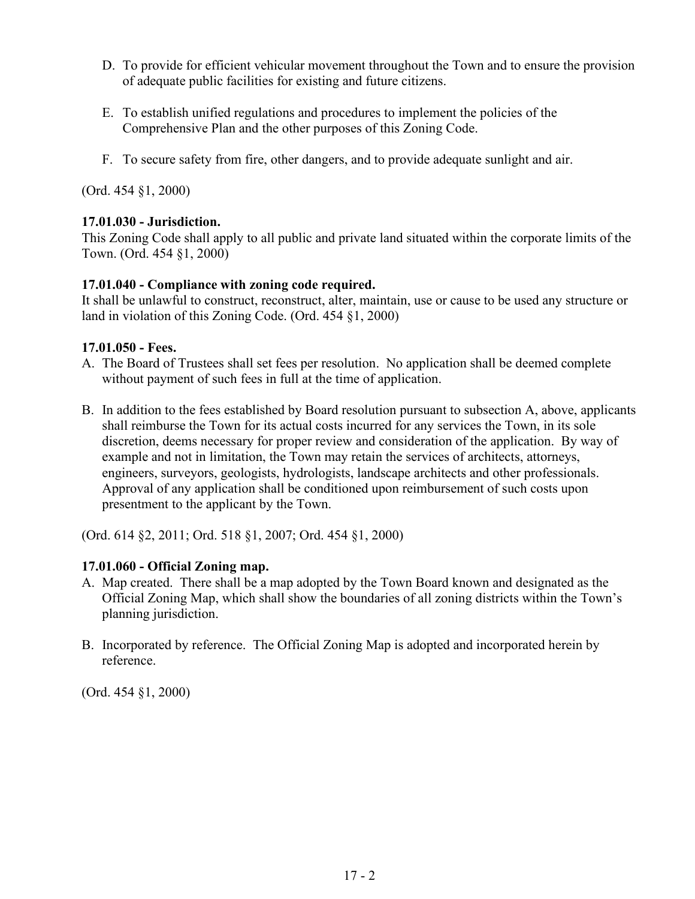- D. To provide for efficient vehicular movement throughout the Town and to ensure the provision of adequate public facilities for existing and future citizens.
- E. To establish unified regulations and procedures to implement the policies of the Comprehensive Plan and the other purposes of this Zoning Code.
- F. To secure safety from fire, other dangers, and to provide adequate sunlight and air.

# **17.01.030 - Jurisdiction.**

This Zoning Code shall apply to all public and private land situated within the corporate limits of the Town. (Ord. 454 §1, 2000)

# **17.01.040 - Compliance with zoning code required.**

It shall be unlawful to construct, reconstruct, alter, maintain, use or cause to be used any structure or land in violation of this Zoning Code. (Ord. 454 §1, 2000)

# **17.01.050 - Fees.**

- A. The Board of Trustees shall set fees per resolution. No application shall be deemed complete without payment of such fees in full at the time of application.
- B. In addition to the fees established by Board resolution pursuant to subsection A, above, applicants shall reimburse the Town for its actual costs incurred for any services the Town, in its sole discretion, deems necessary for proper review and consideration of the application. By way of example and not in limitation, the Town may retain the services of architects, attorneys, engineers, surveyors, geologists, hydrologists, landscape architects and other professionals. Approval of any application shall be conditioned upon reimbursement of such costs upon presentment to the applicant by the Town.

(Ord. 614 §2, 2011; Ord. 518 §1, 2007; Ord. 454 §1, 2000)

# **17.01.060 - Official Zoning map.**

- A. Map created. There shall be a map adopted by the Town Board known and designated as the Official Zoning Map, which shall show the boundaries of all zoning districts within the Town's planning jurisdiction.
- B. Incorporated by reference. The Official Zoning Map is adopted and incorporated herein by reference.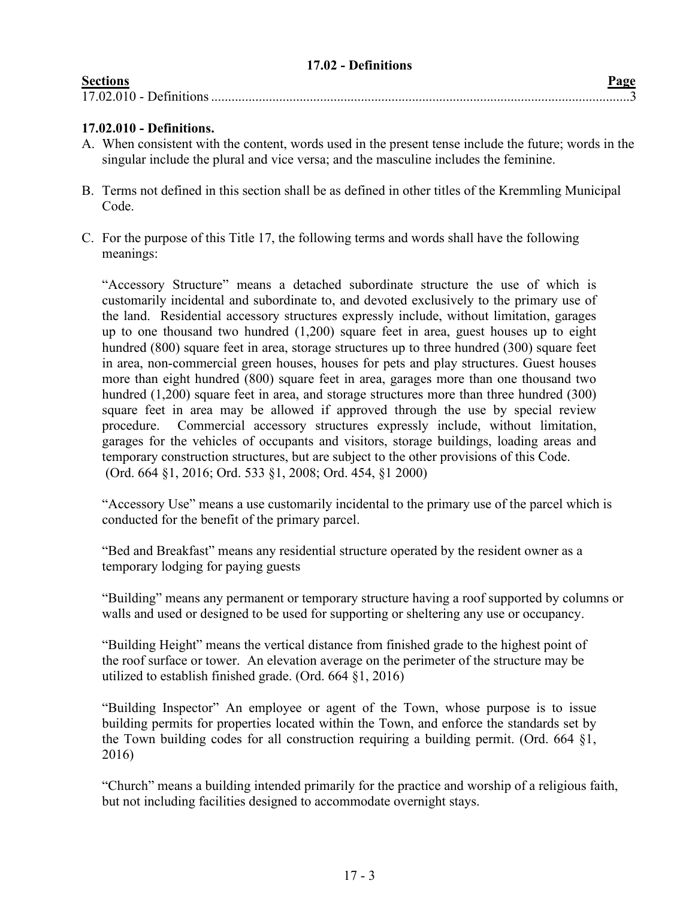<span id="page-2-0"></span>

| 17.02 - Definitions |      |
|---------------------|------|
| <b>Sections</b>     | Page |
|                     |      |

# **17.02.010 - Definitions.**

- A. When consistent with the content, words used in the present tense include the future; words in the singular include the plural and vice versa; and the masculine includes the feminine.
- B. Terms not defined in this section shall be as defined in other titles of the Kremmling Municipal Code.
- C. For the purpose of this Title 17, the following terms and words shall have the following meanings:

"Accessory Structure" means a detached subordinate structure the use of which is customarily incidental and subordinate to, and devoted exclusively to the primary use of the land. Residential accessory structures expressly include, without limitation, garages up to one thousand two hundred (1,200) square feet in area, guest houses up to eight hundred (800) square feet in area, storage structures up to three hundred (300) square feet in area, non-commercial green houses, houses for pets and play structures. Guest houses more than eight hundred (800) square feet in area, garages more than one thousand two hundred (1,200) square feet in area, and storage structures more than three hundred (300) square feet in area may be allowed if approved through the use by special review procedure. Commercial accessory structures expressly include, without limitation, garages for the vehicles of occupants and visitors, storage buildings, loading areas and temporary construction structures, but are subject to the other provisions of this Code. (Ord. 664 §1, 2016; Ord. 533 §1, 2008; Ord. 454, §1 2000)

"Accessory Use" means a use customarily incidental to the primary use of the parcel which is conducted for the benefit of the primary parcel.

"Bed and Breakfast" means any residential structure operated by the resident owner as a temporary lodging for paying guests

"Building" means any permanent or temporary structure having a roof supported by columns or walls and used or designed to be used for supporting or sheltering any use or occupancy.

"Building Height" means the vertical distance from finished grade to the highest point of the roof surface or tower. An elevation average on the perimeter of the structure may be utilized to establish finished grade. (Ord. 664 §1, 2016)

"Building Inspector" An employee or agent of the Town, whose purpose is to issue building permits for properties located within the Town, and enforce the standards set by the Town building codes for all construction requiring a building permit. (Ord. 664 §1, 2016)

"Church" means a building intended primarily for the practice and worship of a religious faith, but not including facilities designed to accommodate overnight stays.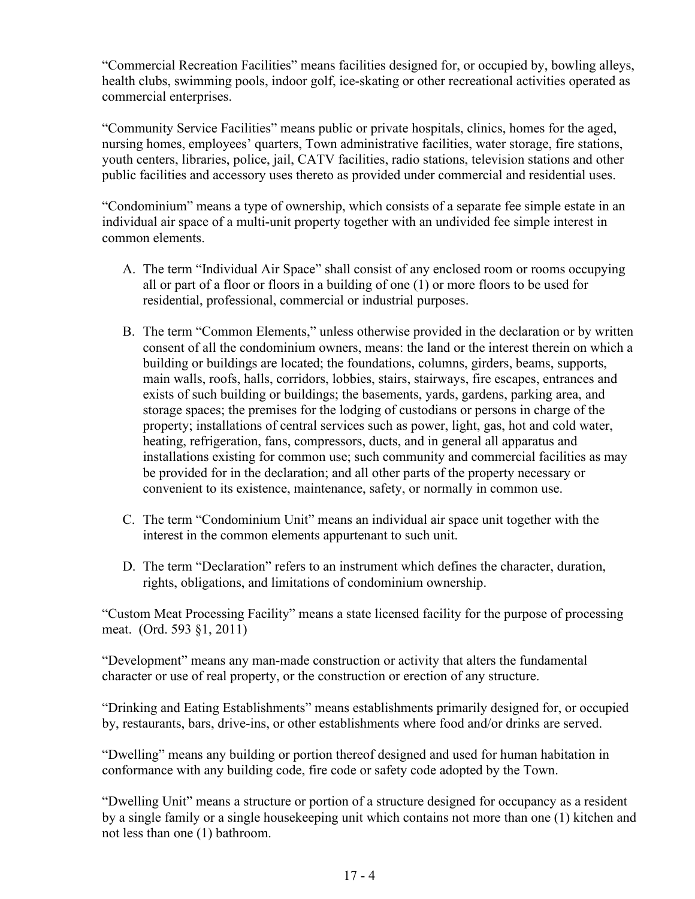"Commercial Recreation Facilities" means facilities designed for, or occupied by, bowling alleys, health clubs, swimming pools, indoor golf, ice-skating or other recreational activities operated as commercial enterprises.

"Community Service Facilities" means public or private hospitals, clinics, homes for the aged, nursing homes, employees' quarters, Town administrative facilities, water storage, fire stations, youth centers, libraries, police, jail, CATV facilities, radio stations, television stations and other public facilities and accessory uses thereto as provided under commercial and residential uses.

"Condominium" means a type of ownership, which consists of a separate fee simple estate in an individual air space of a multi-unit property together with an undivided fee simple interest in common elements.

- A. The term "Individual Air Space" shall consist of any enclosed room or rooms occupying all or part of a floor or floors in a building of one (1) or more floors to be used for residential, professional, commercial or industrial purposes.
- B. The term "Common Elements," unless otherwise provided in the declaration or by written consent of all the condominium owners, means: the land or the interest therein on which a building or buildings are located; the foundations, columns, girders, beams, supports, main walls, roofs, halls, corridors, lobbies, stairs, stairways, fire escapes, entrances and exists of such building or buildings; the basements, yards, gardens, parking area, and storage spaces; the premises for the lodging of custodians or persons in charge of the property; installations of central services such as power, light, gas, hot and cold water, heating, refrigeration, fans, compressors, ducts, and in general all apparatus and installations existing for common use; such community and commercial facilities as may be provided for in the declaration; and all other parts of the property necessary or convenient to its existence, maintenance, safety, or normally in common use.
- C. The term "Condominium Unit" means an individual air space unit together with the interest in the common elements appurtenant to such unit.
- D. The term "Declaration" refers to an instrument which defines the character, duration, rights, obligations, and limitations of condominium ownership.

"Custom Meat Processing Facility" means a state licensed facility for the purpose of processing meat. (Ord. 593 §1, 2011)

"Development" means any man-made construction or activity that alters the fundamental character or use of real property, or the construction or erection of any structure.

"Drinking and Eating Establishments" means establishments primarily designed for, or occupied by, restaurants, bars, drive-ins, or other establishments where food and/or drinks are served.

"Dwelling" means any building or portion thereof designed and used for human habitation in conformance with any building code, fire code or safety code adopted by the Town.

"Dwelling Unit" means a structure or portion of a structure designed for occupancy as a resident by a single family or a single housekeeping unit which contains not more than one (1) kitchen and not less than one (1) bathroom.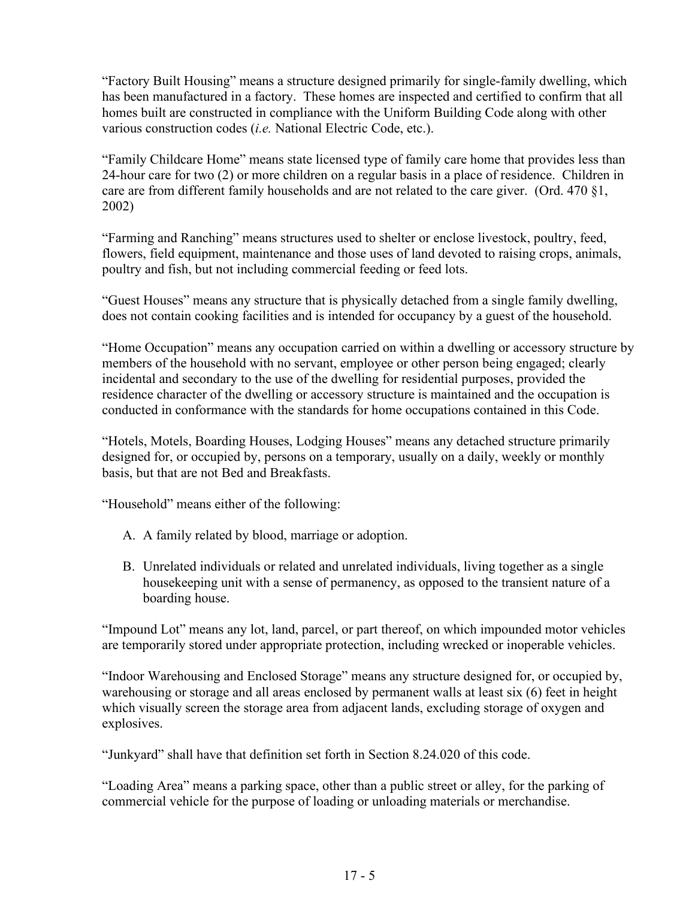"Factory Built Housing" means a structure designed primarily for single-family dwelling, which has been manufactured in a factory. These homes are inspected and certified to confirm that all homes built are constructed in compliance with the Uniform Building Code along with other various construction codes (*i.e.* National Electric Code, etc.).

"Family Childcare Home" means state licensed type of family care home that provides less than 24-hour care for two (2) or more children on a regular basis in a place of residence. Children in care are from different family households and are not related to the care giver. (Ord. 470 §1, 2002)

"Farming and Ranching" means structures used to shelter or enclose livestock, poultry, feed, flowers, field equipment, maintenance and those uses of land devoted to raising crops, animals, poultry and fish, but not including commercial feeding or feed lots.

"Guest Houses" means any structure that is physically detached from a single family dwelling, does not contain cooking facilities and is intended for occupancy by a guest of the household.

"Home Occupation" means any occupation carried on within a dwelling or accessory structure by members of the household with no servant, employee or other person being engaged; clearly incidental and secondary to the use of the dwelling for residential purposes, provided the residence character of the dwelling or accessory structure is maintained and the occupation is conducted in conformance with the standards for home occupations contained in this Code.

"Hotels, Motels, Boarding Houses, Lodging Houses" means any detached structure primarily designed for, or occupied by, persons on a temporary, usually on a daily, weekly or monthly basis, but that are not Bed and Breakfasts.

"Household" means either of the following:

- A. A family related by blood, marriage or adoption.
- B. Unrelated individuals or related and unrelated individuals, living together as a single housekeeping unit with a sense of permanency, as opposed to the transient nature of a boarding house.

"Impound Lot" means any lot, land, parcel, or part thereof, on which impounded motor vehicles are temporarily stored under appropriate protection, including wrecked or inoperable vehicles.

"Indoor Warehousing and Enclosed Storage" means any structure designed for, or occupied by, warehousing or storage and all areas enclosed by permanent walls at least six (6) feet in height which visually screen the storage area from adjacent lands, excluding storage of oxygen and explosives.

"Junkyard" shall have that definition set forth in Section 8.24.020 of this code.

"Loading Area" means a parking space, other than a public street or alley, for the parking of commercial vehicle for the purpose of loading or unloading materials or merchandise.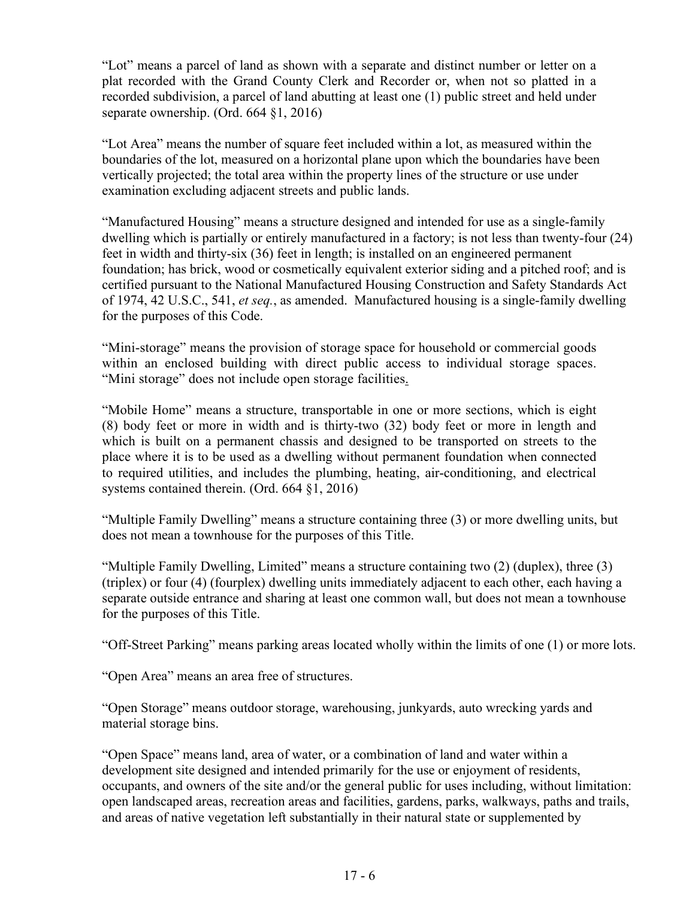"Lot" means a parcel of land as shown with a separate and distinct number or letter on a plat recorded with the Grand County Clerk and Recorder or, when not so platted in a recorded subdivision, a parcel of land abutting at least one (1) public street and held under separate ownership. (Ord. 664 §1, 2016)

"Lot Area" means the number of square feet included within a lot, as measured within the boundaries of the lot, measured on a horizontal plane upon which the boundaries have been vertically projected; the total area within the property lines of the structure or use under examination excluding adjacent streets and public lands.

"Manufactured Housing" means a structure designed and intended for use as a single-family dwelling which is partially or entirely manufactured in a factory; is not less than twenty-four (24) feet in width and thirty-six (36) feet in length; is installed on an engineered permanent foundation; has brick, wood or cosmetically equivalent exterior siding and a pitched roof; and is certified pursuant to the National Manufactured Housing Construction and Safety Standards Act of 1974, 42 U.S.C., 541, *et seq.*, as amended. Manufactured housing is a single-family dwelling for the purposes of this Code.

"Mini-storage" means the provision of storage space for household or commercial goods within an enclosed building with direct public access to individual storage spaces. "Mini storage" does not include open storage facilities.

"Mobile Home" means a structure, transportable in one or more sections, which is eight (8) body feet or more in width and is thirty-two (32) body feet or more in length and which is built on a permanent chassis and designed to be transported on streets to the place where it is to be used as a dwelling without permanent foundation when connected to required utilities, and includes the plumbing, heating, air-conditioning, and electrical systems contained therein. (Ord. 664 §1, 2016)

"Multiple Family Dwelling" means a structure containing three (3) or more dwelling units, but does not mean a townhouse for the purposes of this Title.

"Multiple Family Dwelling, Limited" means a structure containing two (2) (duplex), three (3) (triplex) or four (4) (fourplex) dwelling units immediately adjacent to each other, each having a separate outside entrance and sharing at least one common wall, but does not mean a townhouse for the purposes of this Title.

"Off-Street Parking" means parking areas located wholly within the limits of one (1) or more lots.

"Open Area" means an area free of structures.

"Open Storage" means outdoor storage, warehousing, junkyards, auto wrecking yards and material storage bins.

"Open Space" means land, area of water, or a combination of land and water within a development site designed and intended primarily for the use or enjoyment of residents, occupants, and owners of the site and/or the general public for uses including, without limitation: open landscaped areas, recreation areas and facilities, gardens, parks, walkways, paths and trails, and areas of native vegetation left substantially in their natural state or supplemented by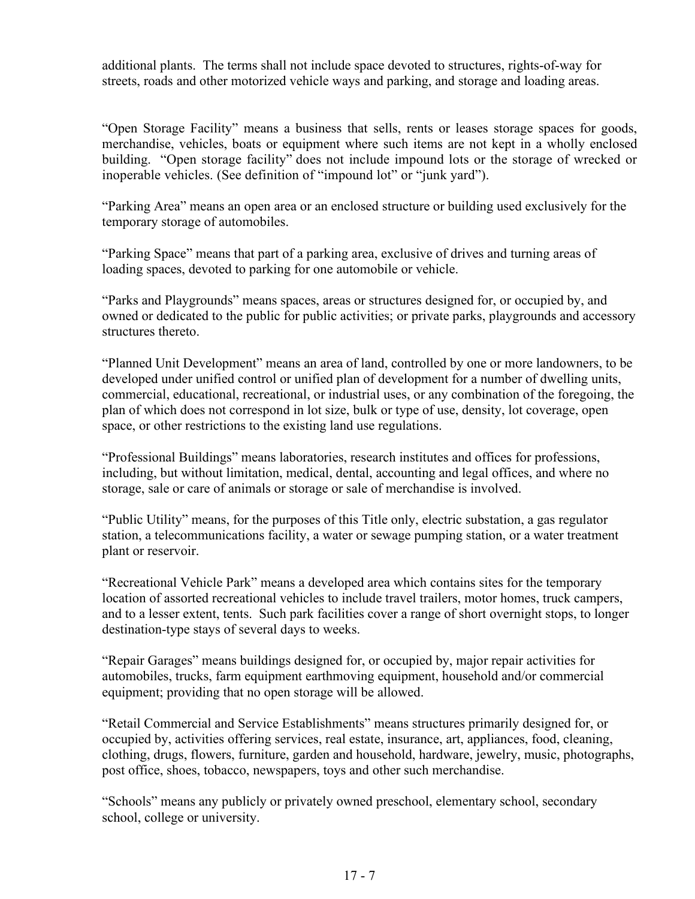additional plants. The terms shall not include space devoted to structures, rights-of-way for streets, roads and other motorized vehicle ways and parking, and storage and loading areas.

"Open Storage Facility" means a business that sells, rents or leases storage spaces for goods, merchandise, vehicles, boats or equipment where such items are not kept in a wholly enclosed building. "Open storage facility" does not include impound lots or the storage of wrecked or inoperable vehicles. (See definition of "impound lot" or "junk yard").

"Parking Area" means an open area or an enclosed structure or building used exclusively for the temporary storage of automobiles.

"Parking Space" means that part of a parking area, exclusive of drives and turning areas of loading spaces, devoted to parking for one automobile or vehicle.

"Parks and Playgrounds" means spaces, areas or structures designed for, or occupied by, and owned or dedicated to the public for public activities; or private parks, playgrounds and accessory structures thereto.

"Planned Unit Development" means an area of land, controlled by one or more landowners, to be developed under unified control or unified plan of development for a number of dwelling units, commercial, educational, recreational, or industrial uses, or any combination of the foregoing, the plan of which does not correspond in lot size, bulk or type of use, density, lot coverage, open space, or other restrictions to the existing land use regulations.

"Professional Buildings" means laboratories, research institutes and offices for professions, including, but without limitation, medical, dental, accounting and legal offices, and where no storage, sale or care of animals or storage or sale of merchandise is involved.

"Public Utility" means, for the purposes of this Title only, electric substation, a gas regulator station, a telecommunications facility, a water or sewage pumping station, or a water treatment plant or reservoir.

"Recreational Vehicle Park" means a developed area which contains sites for the temporary location of assorted recreational vehicles to include travel trailers, motor homes, truck campers, and to a lesser extent, tents. Such park facilities cover a range of short overnight stops, to longer destination-type stays of several days to weeks.

"Repair Garages" means buildings designed for, or occupied by, major repair activities for automobiles, trucks, farm equipment earthmoving equipment, household and/or commercial equipment; providing that no open storage will be allowed.

"Retail Commercial and Service Establishments" means structures primarily designed for, or occupied by, activities offering services, real estate, insurance, art, appliances, food, cleaning, clothing, drugs, flowers, furniture, garden and household, hardware, jewelry, music, photographs, post office, shoes, tobacco, newspapers, toys and other such merchandise.

"Schools" means any publicly or privately owned preschool, elementary school, secondary school, college or university.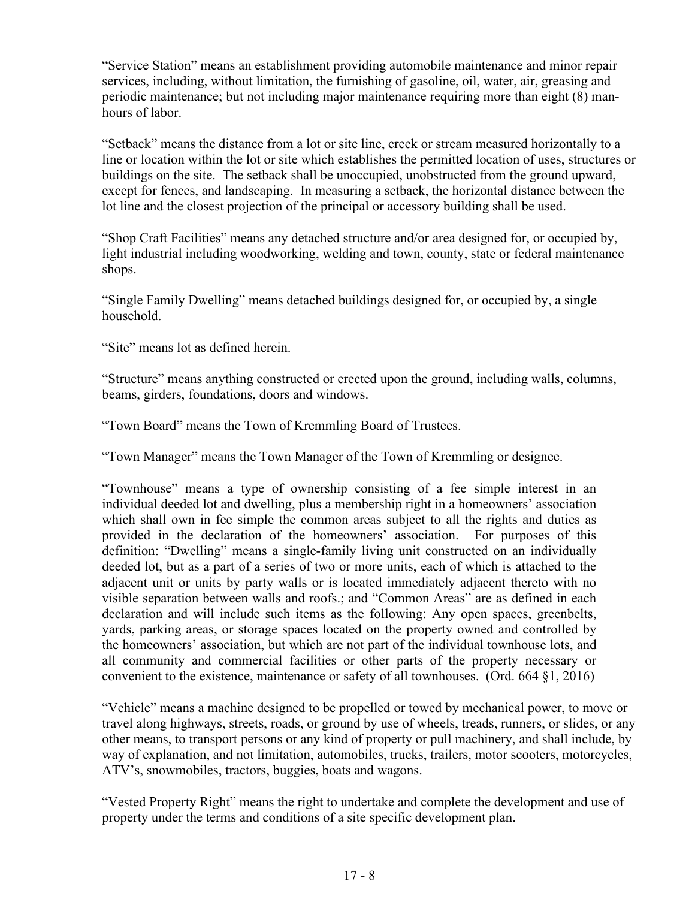"Service Station" means an establishment providing automobile maintenance and minor repair services, including, without limitation, the furnishing of gasoline, oil, water, air, greasing and periodic maintenance; but not including major maintenance requiring more than eight (8) manhours of labor.

"Setback" means the distance from a lot or site line, creek or stream measured horizontally to a line or location within the lot or site which establishes the permitted location of uses, structures or buildings on the site. The setback shall be unoccupied, unobstructed from the ground upward, except for fences, and landscaping. In measuring a setback, the horizontal distance between the lot line and the closest projection of the principal or accessory building shall be used.

"Shop Craft Facilities" means any detached structure and/or area designed for, or occupied by, light industrial including woodworking, welding and town, county, state or federal maintenance shops.

"Single Family Dwelling" means detached buildings designed for, or occupied by, a single household.

"Site" means lot as defined herein.

"Structure" means anything constructed or erected upon the ground, including walls, columns, beams, girders, foundations, doors and windows.

"Town Board" means the Town of Kremmling Board of Trustees.

"Town Manager" means the Town Manager of the Town of Kremmling or designee.

"Townhouse" means a type of ownership consisting of a fee simple interest in an individual deeded lot and dwelling, plus a membership right in a homeowners' association which shall own in fee simple the common areas subject to all the rights and duties as provided in the declaration of the homeowners' association. For purposes of this definition: "Dwelling" means a single-family living unit constructed on an individually deeded lot, but as a part of a series of two or more units, each of which is attached to the adjacent unit or units by party walls or is located immediately adjacent thereto with no visible separation between walls and roofs.; and "Common Areas" are as defined in each declaration and will include such items as the following: Any open spaces, greenbelts, yards, parking areas, or storage spaces located on the property owned and controlled by the homeowners' association, but which are not part of the individual townhouse lots, and all community and commercial facilities or other parts of the property necessary or convenient to the existence, maintenance or safety of all townhouses. (Ord. 664 §1, 2016)

"Vehicle" means a machine designed to be propelled or towed by mechanical power, to move or travel along highways, streets, roads, or ground by use of wheels, treads, runners, or slides, or any other means, to transport persons or any kind of property or pull machinery, and shall include, by way of explanation, and not limitation, automobiles, trucks, trailers, motor scooters, motorcycles, ATV's, snowmobiles, tractors, buggies, boats and wagons.

"Vested Property Right" means the right to undertake and complete the development and use of property under the terms and conditions of a site specific development plan.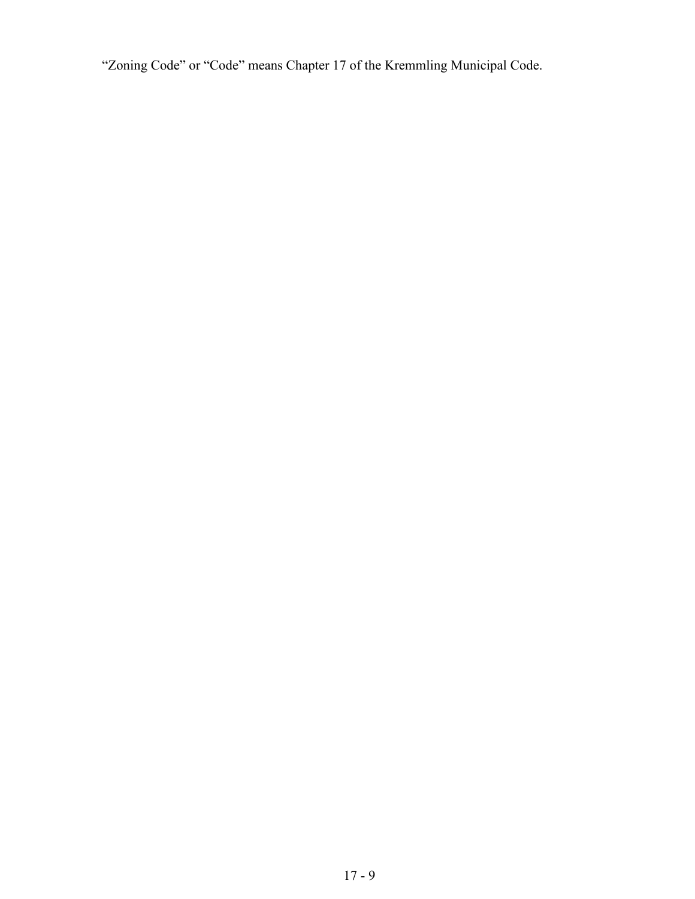"Zoning Code" or "Code" means Chapter 17 of the Kremmling Municipal Code.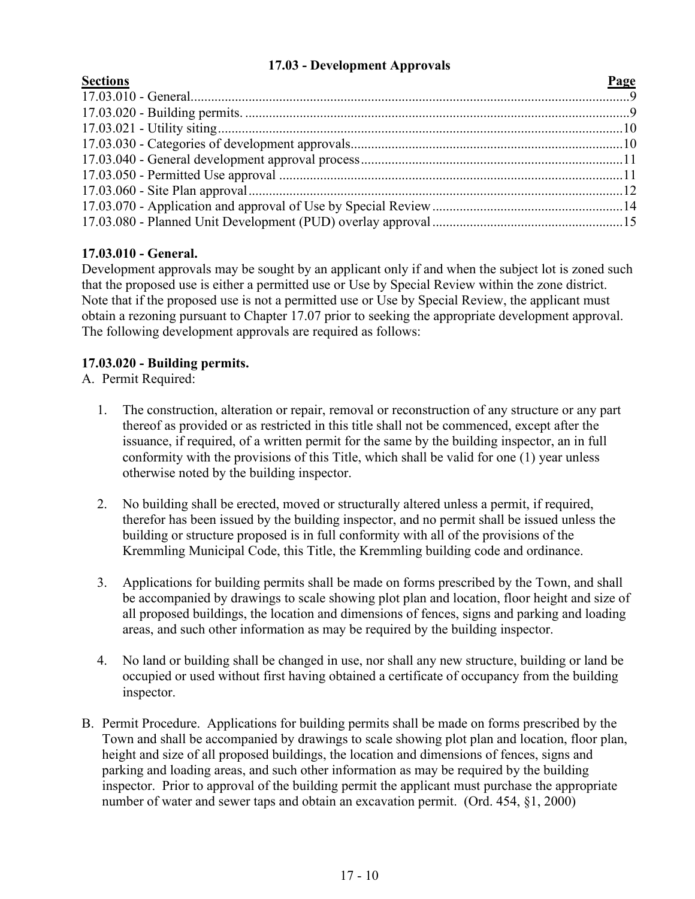# **17.03 - Development Approvals**

<span id="page-9-0"></span>

| <b>Sections</b> | Page |
|-----------------|------|
|                 |      |
|                 |      |
|                 |      |
|                 |      |
|                 |      |
|                 |      |
|                 |      |
|                 |      |
|                 |      |

# **17.03.010 - General.**

Development approvals may be sought by an applicant only if and when the subject lot is zoned such that the proposed use is either a permitted use or Use by Special Review within the zone district. Note that if the proposed use is not a permitted use or Use by Special Review, the applicant must obtain a rezoning pursuant to Chapter 17.07 prior to seeking the appropriate development approval. The following development approvals are required as follows:

# **17.03.020 - Building permits.**

A. Permit Required:

- 1. The construction, alteration or repair, removal or reconstruction of any structure or any part thereof as provided or as restricted in this title shall not be commenced, except after the issuance, if required, of a written permit for the same by the building inspector, an in full conformity with the provisions of this Title, which shall be valid for one (1) year unless otherwise noted by the building inspector.
- 2. No building shall be erected, moved or structurally altered unless a permit, if required, therefor has been issued by the building inspector, and no permit shall be issued unless the building or structure proposed is in full conformity with all of the provisions of the Kremmling Municipal Code, this Title, the Kremmling building code and ordinance.
- 3. Applications for building permits shall be made on forms prescribed by the Town, and shall be accompanied by drawings to scale showing plot plan and location, floor height and size of all proposed buildings, the location and dimensions of fences, signs and parking and loading areas, and such other information as may be required by the building inspector.
- 4. No land or building shall be changed in use, nor shall any new structure, building or land be occupied or used without first having obtained a certificate of occupancy from the building inspector.
- B. Permit Procedure. Applications for building permits shall be made on forms prescribed by the Town and shall be accompanied by drawings to scale showing plot plan and location, floor plan, height and size of all proposed buildings, the location and dimensions of fences, signs and parking and loading areas, and such other information as may be required by the building inspector. Prior to approval of the building permit the applicant must purchase the appropriate number of water and sewer taps and obtain an excavation permit. (Ord. 454, §1, 2000)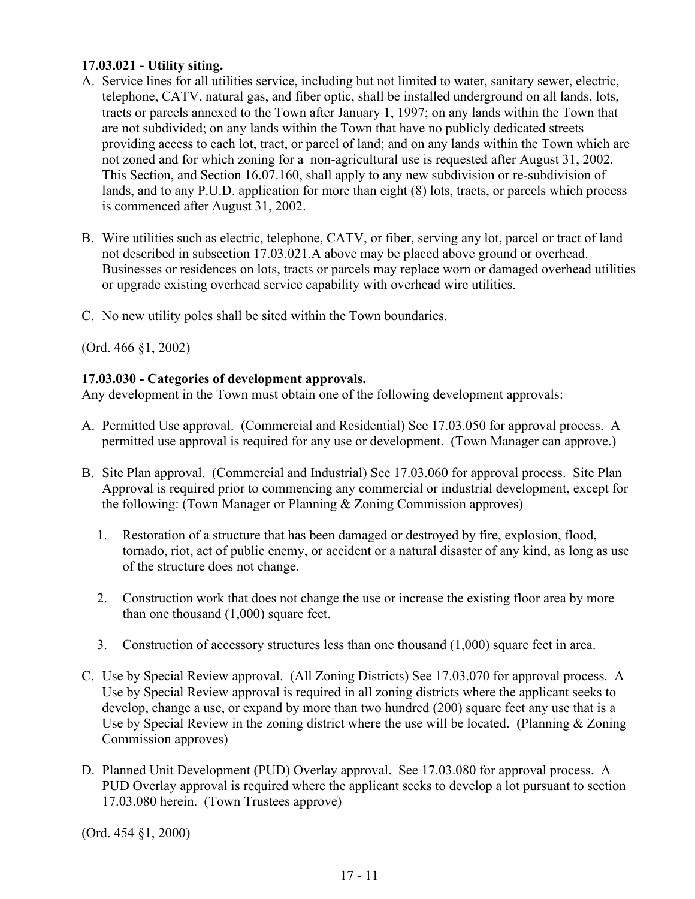# **17.03.021 - Utility siting.**

- A. Service lines for all utilities service, including but not limited to water, sanitary sewer, electric, telephone, CATV, natural gas, and fiber optic, shall be installed underground on all lands, lots, tracts or parcels annexed to the Town after January 1, 1997; on any lands within the Town that are not subdivided; on any lands within the Town that have no publicly dedicated streets providing access to each lot, tract, or parcel of land; and on any lands within the Town which are not zoned and for which zoning for a non-agricultural use is requested after August 31, 2002. This Section, and Section 16.07.160, shall apply to any new subdivision or re-subdivision of lands, and to any P.U.D. application for more than eight (8) lots, tracts, or parcels which process is commenced after August 31, 2002.
- B. Wire utilities such as electric, telephone, CATV, or fiber, serving any lot, parcel or tract of land not described in subsection 17.03.021.A above may be placed above ground or overhead. Businesses or residences on lots, tracts or parcels may replace worn or damaged overhead utilities or upgrade existing overhead service capability with overhead wire utilities.
- C. No new utility poles shall be sited within the Town boundaries.

(Ord. 466 §1, 2002)

# **17.03.030 - Categories of development approvals.**

Any development in the Town must obtain one of the following development approvals:

- A. Permitted Use approval. (Commercial and Residential) See 17.03.050 for approval process. A permitted use approval is required for any use or development. (Town Manager can approve.)
- B. Site Plan approval. (Commercial and Industrial) See 17.03.060 for approval process. Site Plan Approval is required prior to commencing any commercial or industrial development, except for the following: (Town Manager or Planning & Zoning Commission approves)
	- 1. Restoration of a structure that has been damaged or destroyed by fire, explosion, flood, tornado, riot, act of public enemy, or accident or a natural disaster of any kind, as long as use of the structure does not change.
	- 2. Construction work that does not change the use or increase the existing floor area by more than one thousand (1,000) square feet.
	- 3. Construction of accessory structures less than one thousand (1,000) square feet in area.
- C. Use by Special Review approval. (All Zoning Districts) See 17.03.070 for approval process. A Use by Special Review approval is required in all zoning districts where the applicant seeks to develop, change a use, or expand by more than two hundred (200) square feet any use that is a Use by Special Review in the zoning district where the use will be located. (Planning & Zoning Commission approves)
- D. Planned Unit Development (PUD) Overlay approval. See 17.03.080 for approval process. A PUD Overlay approval is required where the applicant seeks to develop a lot pursuant to section 17.03.080 herein. (Town Trustees approve)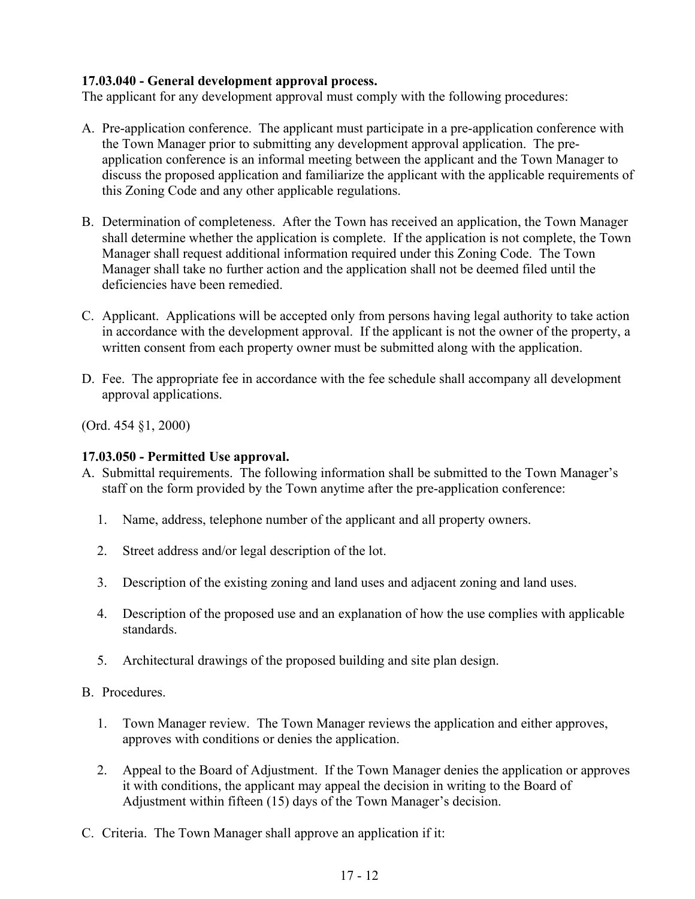# **17.03.040 - General development approval process.**

The applicant for any development approval must comply with the following procedures:

- A. Pre-application conference. The applicant must participate in a pre-application conference with the Town Manager prior to submitting any development approval application. The preapplication conference is an informal meeting between the applicant and the Town Manager to discuss the proposed application and familiarize the applicant with the applicable requirements of this Zoning Code and any other applicable regulations.
- B. Determination of completeness. After the Town has received an application, the Town Manager shall determine whether the application is complete. If the application is not complete, the Town Manager shall request additional information required under this Zoning Code. The Town Manager shall take no further action and the application shall not be deemed filed until the deficiencies have been remedied.
- C. Applicant. Applications will be accepted only from persons having legal authority to take action in accordance with the development approval. If the applicant is not the owner of the property, a written consent from each property owner must be submitted along with the application.
- D. Fee. The appropriate fee in accordance with the fee schedule shall accompany all development approval applications.

(Ord. 454 §1, 2000)

# **17.03.050 - Permitted Use approval.**

- A. Submittal requirements. The following information shall be submitted to the Town Manager's staff on the form provided by the Town anytime after the pre-application conference:
	- 1. Name, address, telephone number of the applicant and all property owners.
	- 2. Street address and/or legal description of the lot.
	- 3. Description of the existing zoning and land uses and adjacent zoning and land uses.
	- 4. Description of the proposed use and an explanation of how the use complies with applicable standards.
	- 5. Architectural drawings of the proposed building and site plan design.
- B. Procedures.
	- 1. Town Manager review. The Town Manager reviews the application and either approves, approves with conditions or denies the application.
	- 2. Appeal to the Board of Adjustment. If the Town Manager denies the application or approves it with conditions, the applicant may appeal the decision in writing to the Board of Adjustment within fifteen (15) days of the Town Manager's decision.
- C. Criteria. The Town Manager shall approve an application if it: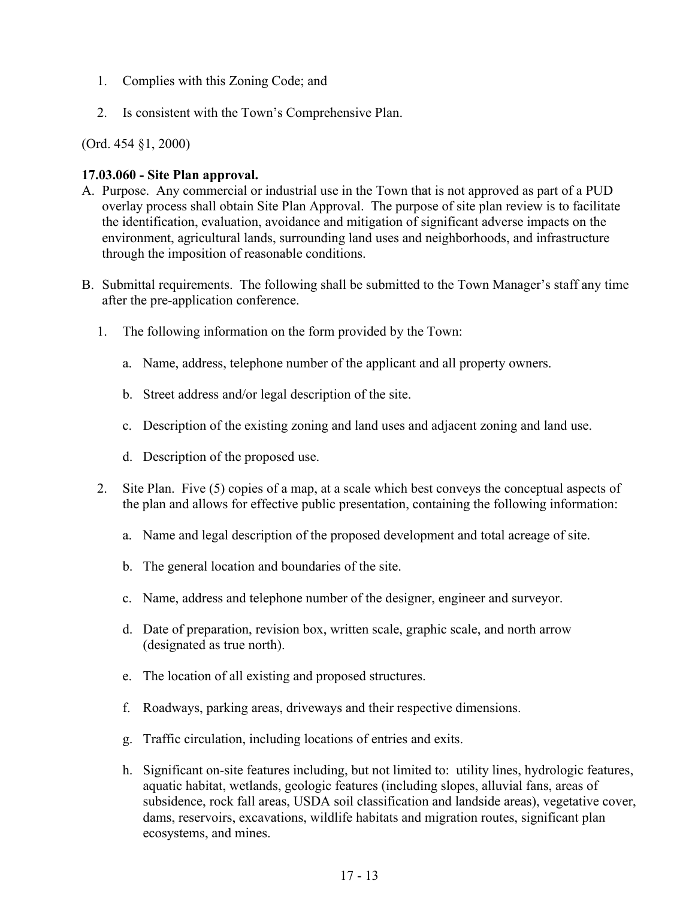- 1. Complies with this Zoning Code; and
- 2. Is consistent with the Town's Comprehensive Plan.

### **17.03.060 - Site Plan approval.**

- A. Purpose. Any commercial or industrial use in the Town that is not approved as part of a PUD overlay process shall obtain Site Plan Approval. The purpose of site plan review is to facilitate the identification, evaluation, avoidance and mitigation of significant adverse impacts on the environment, agricultural lands, surrounding land uses and neighborhoods, and infrastructure through the imposition of reasonable conditions.
- B. Submittal requirements. The following shall be submitted to the Town Manager's staff any time after the pre-application conference.
	- 1. The following information on the form provided by the Town:
		- a. Name, address, telephone number of the applicant and all property owners.
		- b. Street address and/or legal description of the site.
		- c. Description of the existing zoning and land uses and adjacent zoning and land use.
		- d. Description of the proposed use.
	- 2. Site Plan. Five (5) copies of a map, at a scale which best conveys the conceptual aspects of the plan and allows for effective public presentation, containing the following information:
		- a. Name and legal description of the proposed development and total acreage of site.
		- b. The general location and boundaries of the site.
		- c. Name, address and telephone number of the designer, engineer and surveyor.
		- d. Date of preparation, revision box, written scale, graphic scale, and north arrow (designated as true north).
		- e. The location of all existing and proposed structures.
		- f. Roadways, parking areas, driveways and their respective dimensions.
		- g. Traffic circulation, including locations of entries and exits.
		- h. Significant on-site features including, but not limited to: utility lines, hydrologic features, aquatic habitat, wetlands, geologic features (including slopes, alluvial fans, areas of subsidence, rock fall areas, USDA soil classification and landside areas), vegetative cover, dams, reservoirs, excavations, wildlife habitats and migration routes, significant plan ecosystems, and mines.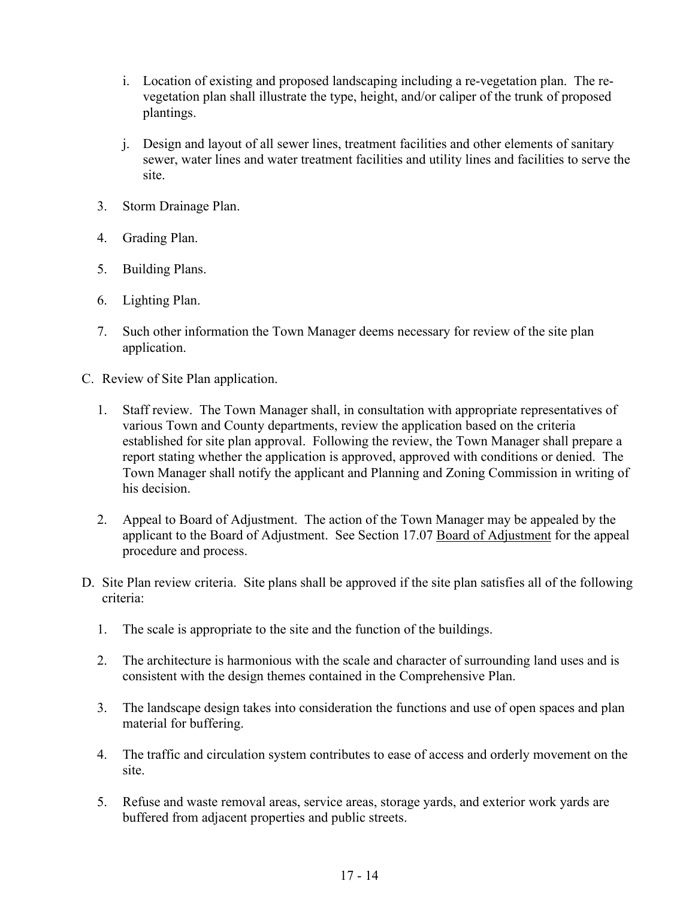- i. Location of existing and proposed landscaping including a re-vegetation plan. The revegetation plan shall illustrate the type, height, and/or caliper of the trunk of proposed plantings.
- j. Design and layout of all sewer lines, treatment facilities and other elements of sanitary sewer, water lines and water treatment facilities and utility lines and facilities to serve the site.
- 3. Storm Drainage Plan.
- 4. Grading Plan.
- 5. Building Plans.
- 6. Lighting Plan.
- 7. Such other information the Town Manager deems necessary for review of the site plan application.
- C. Review of Site Plan application.
	- 1. Staff review. The Town Manager shall, in consultation with appropriate representatives of various Town and County departments, review the application based on the criteria established for site plan approval. Following the review, the Town Manager shall prepare a report stating whether the application is approved, approved with conditions or denied. The Town Manager shall notify the applicant and Planning and Zoning Commission in writing of his decision.
	- 2. Appeal to Board of Adjustment. The action of the Town Manager may be appealed by the applicant to the Board of Adjustment. See Section 17.07 Board of Adjustment for the appeal procedure and process.
- D. Site Plan review criteria. Site plans shall be approved if the site plan satisfies all of the following criteria:
	- 1. The scale is appropriate to the site and the function of the buildings.
	- 2. The architecture is harmonious with the scale and character of surrounding land uses and is consistent with the design themes contained in the Comprehensive Plan.
	- 3. The landscape design takes into consideration the functions and use of open spaces and plan material for buffering.
	- 4. The traffic and circulation system contributes to ease of access and orderly movement on the site.
	- 5. Refuse and waste removal areas, service areas, storage yards, and exterior work yards are buffered from adjacent properties and public streets.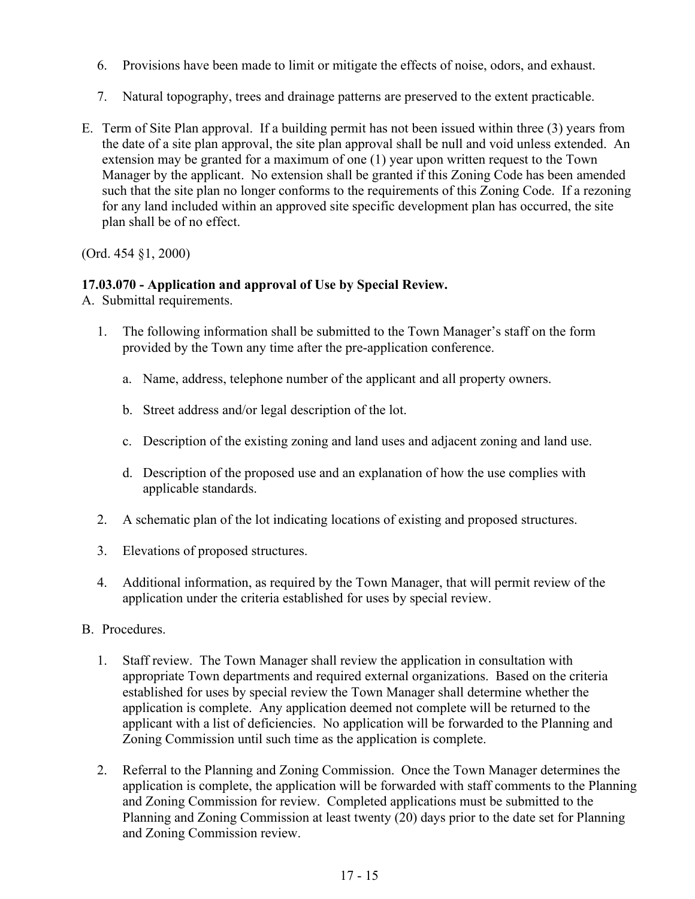- 6. Provisions have been made to limit or mitigate the effects of noise, odors, and exhaust.
- 7. Natural topography, trees and drainage patterns are preserved to the extent practicable.
- E. Term of Site Plan approval. If a building permit has not been issued within three (3) years from the date of a site plan approval, the site plan approval shall be null and void unless extended. An extension may be granted for a maximum of one (1) year upon written request to the Town Manager by the applicant. No extension shall be granted if this Zoning Code has been amended such that the site plan no longer conforms to the requirements of this Zoning Code. If a rezoning for any land included within an approved site specific development plan has occurred, the site plan shall be of no effect.

# **17.03.070 - Application and approval of Use by Special Review.**

A. Submittal requirements.

- 1. The following information shall be submitted to the Town Manager's staff on the form provided by the Town any time after the pre-application conference.
	- a. Name, address, telephone number of the applicant and all property owners.
	- b. Street address and/or legal description of the lot.
	- c. Description of the existing zoning and land uses and adjacent zoning and land use.
	- d. Description of the proposed use and an explanation of how the use complies with applicable standards.
- 2. A schematic plan of the lot indicating locations of existing and proposed structures.
- 3. Elevations of proposed structures.
- 4. Additional information, as required by the Town Manager, that will permit review of the application under the criteria established for uses by special review.
- B. Procedures.
	- 1. Staff review. The Town Manager shall review the application in consultation with appropriate Town departments and required external organizations. Based on the criteria established for uses by special review the Town Manager shall determine whether the application is complete. Any application deemed not complete will be returned to the applicant with a list of deficiencies. No application will be forwarded to the Planning and Zoning Commission until such time as the application is complete.
	- 2. Referral to the Planning and Zoning Commission. Once the Town Manager determines the application is complete, the application will be forwarded with staff comments to the Planning and Zoning Commission for review. Completed applications must be submitted to the Planning and Zoning Commission at least twenty (20) days prior to the date set for Planning and Zoning Commission review.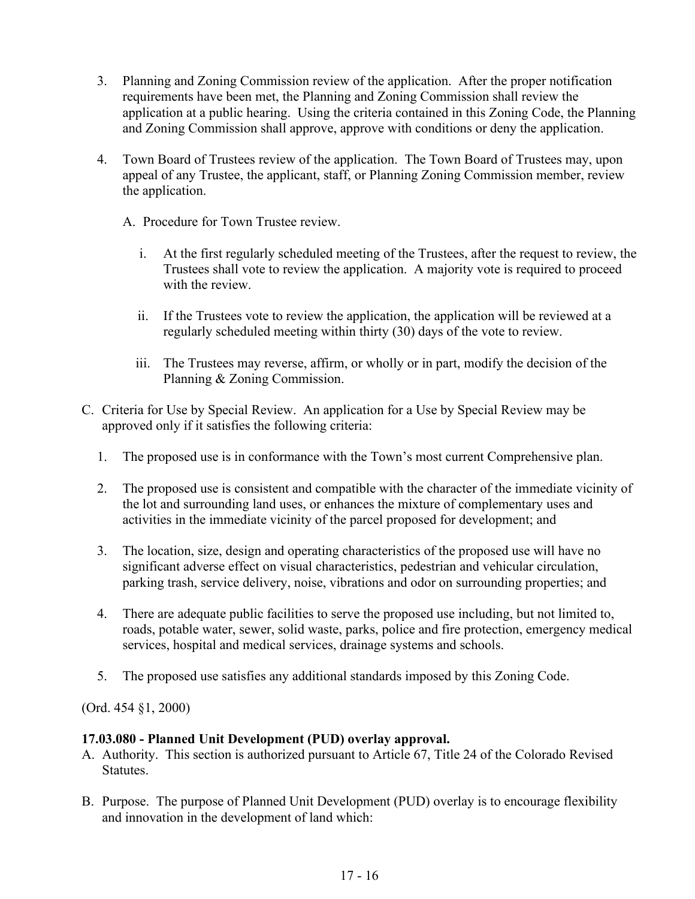- 3. Planning and Zoning Commission review of the application. After the proper notification requirements have been met, the Planning and Zoning Commission shall review the application at a public hearing. Using the criteria contained in this Zoning Code, the Planning and Zoning Commission shall approve, approve with conditions or deny the application.
- 4. Town Board of Trustees review of the application. The Town Board of Trustees may, upon appeal of any Trustee, the applicant, staff, or Planning Zoning Commission member, review the application.
	- A. Procedure for Town Trustee review.
		- i. At the first regularly scheduled meeting of the Trustees, after the request to review, the Trustees shall vote to review the application. A majority vote is required to proceed with the review.
		- ii. If the Trustees vote to review the application, the application will be reviewed at a regularly scheduled meeting within thirty (30) days of the vote to review.
		- iii. The Trustees may reverse, affirm, or wholly or in part, modify the decision of the Planning & Zoning Commission.
- C. Criteria for Use by Special Review. An application for a Use by Special Review may be approved only if it satisfies the following criteria:
	- 1. The proposed use is in conformance with the Town's most current Comprehensive plan.
	- 2. The proposed use is consistent and compatible with the character of the immediate vicinity of the lot and surrounding land uses, or enhances the mixture of complementary uses and activities in the immediate vicinity of the parcel proposed for development; and
	- 3. The location, size, design and operating characteristics of the proposed use will have no significant adverse effect on visual characteristics, pedestrian and vehicular circulation, parking trash, service delivery, noise, vibrations and odor on surrounding properties; and
	- 4. There are adequate public facilities to serve the proposed use including, but not limited to, roads, potable water, sewer, solid waste, parks, police and fire protection, emergency medical services, hospital and medical services, drainage systems and schools.
	- 5. The proposed use satisfies any additional standards imposed by this Zoning Code.

#### **17.03.080 - Planned Unit Development (PUD) overlay approval.**

- A. Authority. This section is authorized pursuant to Article 67, Title 24 of the Colorado Revised Statutes.
- B. Purpose. The purpose of Planned Unit Development (PUD) overlay is to encourage flexibility and innovation in the development of land which: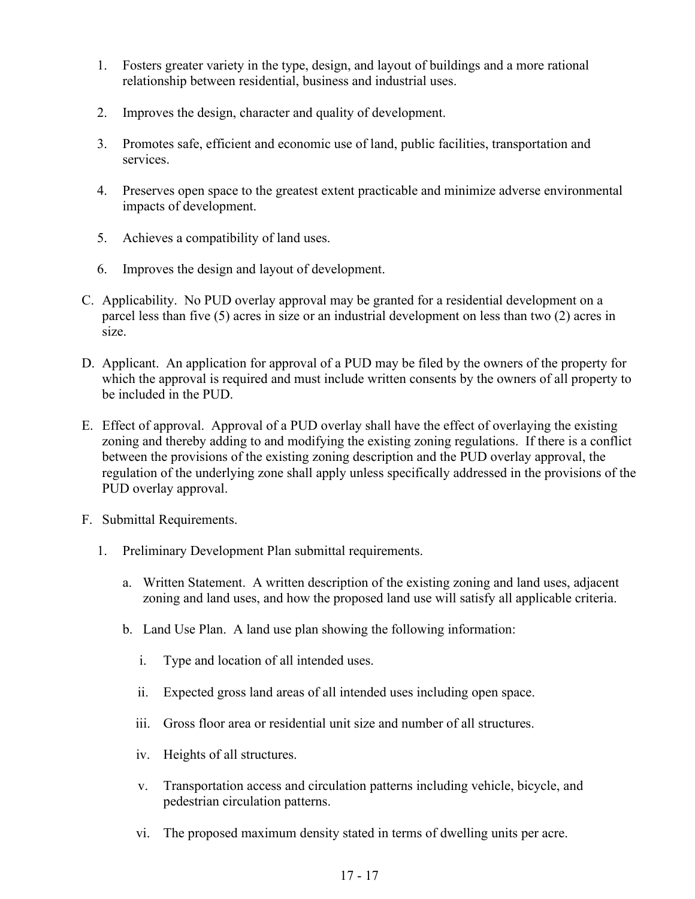- 1. Fosters greater variety in the type, design, and layout of buildings and a more rational relationship between residential, business and industrial uses.
- 2. Improves the design, character and quality of development.
- 3. Promotes safe, efficient and economic use of land, public facilities, transportation and services.
- 4. Preserves open space to the greatest extent practicable and minimize adverse environmental impacts of development.
- 5. Achieves a compatibility of land uses.
- 6. Improves the design and layout of development.
- C. Applicability. No PUD overlay approval may be granted for a residential development on a parcel less than five (5) acres in size or an industrial development on less than two (2) acres in size.
- D. Applicant. An application for approval of a PUD may be filed by the owners of the property for which the approval is required and must include written consents by the owners of all property to be included in the PUD.
- E. Effect of approval. Approval of a PUD overlay shall have the effect of overlaying the existing zoning and thereby adding to and modifying the existing zoning regulations. If there is a conflict between the provisions of the existing zoning description and the PUD overlay approval, the regulation of the underlying zone shall apply unless specifically addressed in the provisions of the PUD overlay approval.
- F. Submittal Requirements.
	- 1. Preliminary Development Plan submittal requirements.
		- a. Written Statement. A written description of the existing zoning and land uses, adjacent zoning and land uses, and how the proposed land use will satisfy all applicable criteria.
		- b. Land Use Plan. A land use plan showing the following information:
			- i. Type and location of all intended uses.
			- ii. Expected gross land areas of all intended uses including open space.
			- iii. Gross floor area or residential unit size and number of all structures.
			- iv. Heights of all structures.
			- v. Transportation access and circulation patterns including vehicle, bicycle, and pedestrian circulation patterns.
			- vi. The proposed maximum density stated in terms of dwelling units per acre.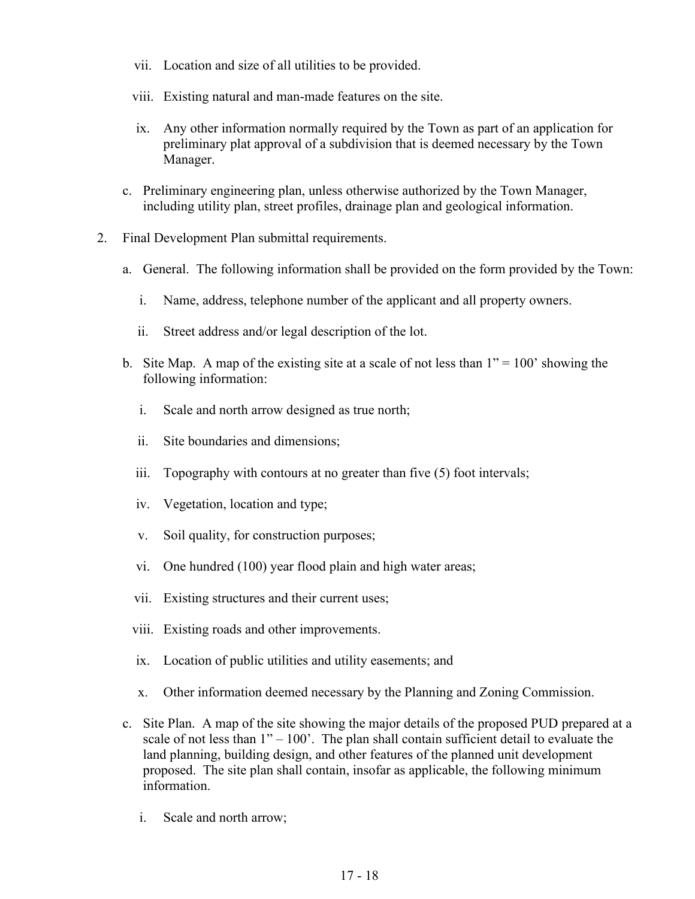- vii. Location and size of all utilities to be provided.
- viii. Existing natural and man-made features on the site.
- ix. Any other information normally required by the Town as part of an application for preliminary plat approval of a subdivision that is deemed necessary by the Town Manager.
- c. Preliminary engineering plan, unless otherwise authorized by the Town Manager, including utility plan, street profiles, drainage plan and geological information.
- 2. Final Development Plan submittal requirements.
	- a. General. The following information shall be provided on the form provided by the Town:
		- i. Name, address, telephone number of the applicant and all property owners.
		- ii. Street address and/or legal description of the lot.
	- b. Site Map. A map of the existing site at a scale of not less than  $1" = 100"$  showing the following information:
		- i. Scale and north arrow designed as true north;
		- ii. Site boundaries and dimensions;
		- iii. Topography with contours at no greater than five (5) foot intervals;
		- iv. Vegetation, location and type;
		- v. Soil quality, for construction purposes;
		- vi. One hundred (100) year flood plain and high water areas;
		- vii. Existing structures and their current uses;
		- viii. Existing roads and other improvements.
		- ix. Location of public utilities and utility easements; and
		- x. Other information deemed necessary by the Planning and Zoning Commission.
	- c. Site Plan. A map of the site showing the major details of the proposed PUD prepared at a scale of not less than  $1" - 100'$ . The plan shall contain sufficient detail to evaluate the land planning, building design, and other features of the planned unit development proposed. The site plan shall contain, insofar as applicable, the following minimum information.
		- i. Scale and north arrow;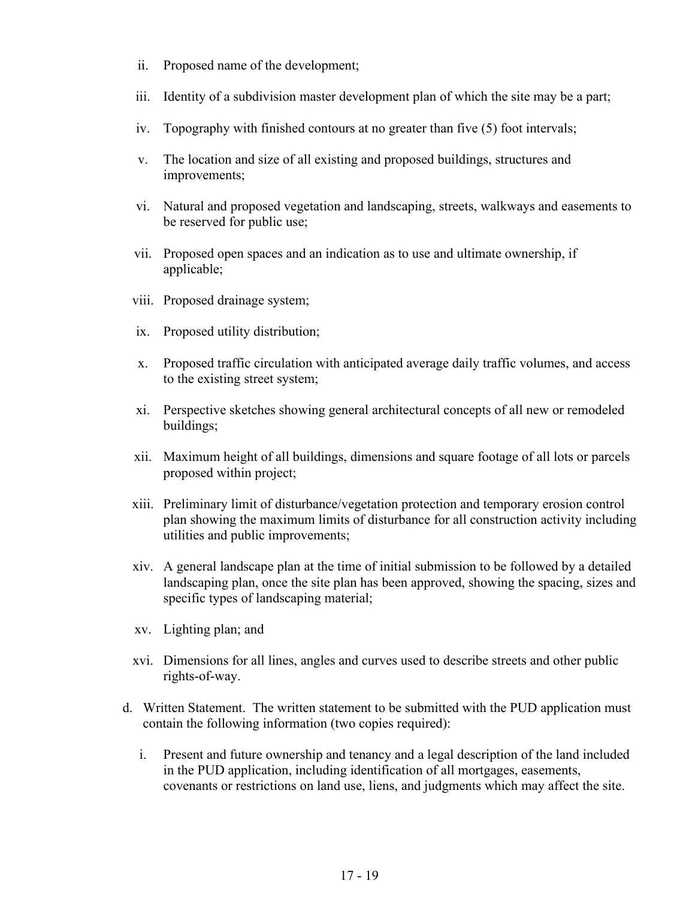- ii. Proposed name of the development;
- iii. Identity of a subdivision master development plan of which the site may be a part;
- iv. Topography with finished contours at no greater than five (5) foot intervals;
- v. The location and size of all existing and proposed buildings, structures and improvements;
- vi. Natural and proposed vegetation and landscaping, streets, walkways and easements to be reserved for public use;
- vii. Proposed open spaces and an indication as to use and ultimate ownership, if applicable;
- viii. Proposed drainage system;
- ix. Proposed utility distribution;
- x. Proposed traffic circulation with anticipated average daily traffic volumes, and access to the existing street system;
- xi. Perspective sketches showing general architectural concepts of all new or remodeled buildings;
- xii. Maximum height of all buildings, dimensions and square footage of all lots or parcels proposed within project;
- xiii. Preliminary limit of disturbance/vegetation protection and temporary erosion control plan showing the maximum limits of disturbance for all construction activity including utilities and public improvements;
- xiv. A general landscape plan at the time of initial submission to be followed by a detailed landscaping plan, once the site plan has been approved, showing the spacing, sizes and specific types of landscaping material;
- xv. Lighting plan; and
- xvi. Dimensions for all lines, angles and curves used to describe streets and other public rights-of-way.
- d. Written Statement. The written statement to be submitted with the PUD application must contain the following information (two copies required):
	- i. Present and future ownership and tenancy and a legal description of the land included in the PUD application, including identification of all mortgages, easements, covenants or restrictions on land use, liens, and judgments which may affect the site.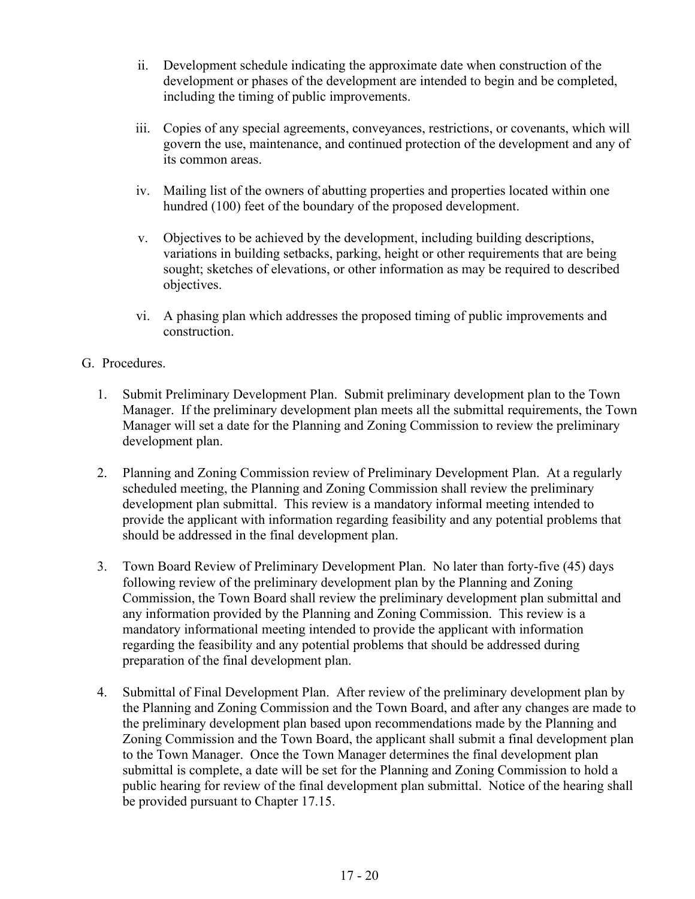- ii. Development schedule indicating the approximate date when construction of the development or phases of the development are intended to begin and be completed, including the timing of public improvements.
- iii. Copies of any special agreements, conveyances, restrictions, or covenants, which will govern the use, maintenance, and continued protection of the development and any of its common areas.
- iv. Mailing list of the owners of abutting properties and properties located within one hundred (100) feet of the boundary of the proposed development.
- v. Objectives to be achieved by the development, including building descriptions, variations in building setbacks, parking, height or other requirements that are being sought; sketches of elevations, or other information as may be required to described objectives.
- vi. A phasing plan which addresses the proposed timing of public improvements and construction.
- G. Procedures.
	- 1. Submit Preliminary Development Plan. Submit preliminary development plan to the Town Manager. If the preliminary development plan meets all the submittal requirements, the Town Manager will set a date for the Planning and Zoning Commission to review the preliminary development plan.
	- 2. Planning and Zoning Commission review of Preliminary Development Plan. At a regularly scheduled meeting, the Planning and Zoning Commission shall review the preliminary development plan submittal. This review is a mandatory informal meeting intended to provide the applicant with information regarding feasibility and any potential problems that should be addressed in the final development plan.
	- 3. Town Board Review of Preliminary Development Plan. No later than forty-five (45) days following review of the preliminary development plan by the Planning and Zoning Commission, the Town Board shall review the preliminary development plan submittal and any information provided by the Planning and Zoning Commission. This review is a mandatory informational meeting intended to provide the applicant with information regarding the feasibility and any potential problems that should be addressed during preparation of the final development plan.
	- 4. Submittal of Final Development Plan. After review of the preliminary development plan by the Planning and Zoning Commission and the Town Board, and after any changes are made to the preliminary development plan based upon recommendations made by the Planning and Zoning Commission and the Town Board, the applicant shall submit a final development plan to the Town Manager. Once the Town Manager determines the final development plan submittal is complete, a date will be set for the Planning and Zoning Commission to hold a public hearing for review of the final development plan submittal. Notice of the hearing shall be provided pursuant to Chapter 17.15.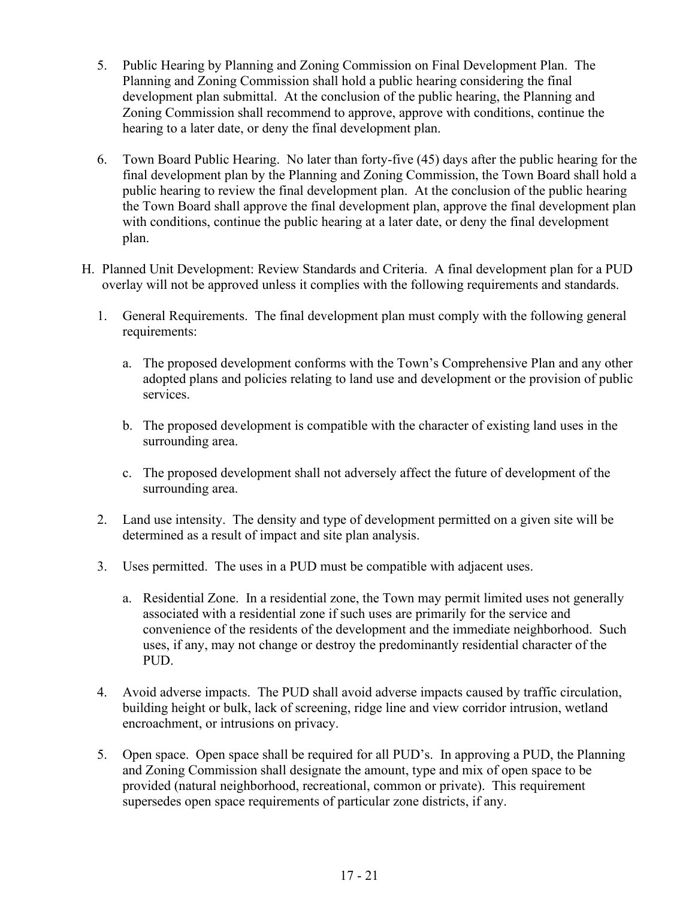- 5. Public Hearing by Planning and Zoning Commission on Final Development Plan. The Planning and Zoning Commission shall hold a public hearing considering the final development plan submittal. At the conclusion of the public hearing, the Planning and Zoning Commission shall recommend to approve, approve with conditions, continue the hearing to a later date, or deny the final development plan.
- 6. Town Board Public Hearing. No later than forty-five (45) days after the public hearing for the final development plan by the Planning and Zoning Commission, the Town Board shall hold a public hearing to review the final development plan. At the conclusion of the public hearing the Town Board shall approve the final development plan, approve the final development plan with conditions, continue the public hearing at a later date, or deny the final development plan.
- H. Planned Unit Development: Review Standards and Criteria. A final development plan for a PUD overlay will not be approved unless it complies with the following requirements and standards.
	- 1. General Requirements. The final development plan must comply with the following general requirements:
		- a. The proposed development conforms with the Town's Comprehensive Plan and any other adopted plans and policies relating to land use and development or the provision of public services.
		- b. The proposed development is compatible with the character of existing land uses in the surrounding area.
		- c. The proposed development shall not adversely affect the future of development of the surrounding area.
	- 2. Land use intensity. The density and type of development permitted on a given site will be determined as a result of impact and site plan analysis.
	- 3. Uses permitted. The uses in a PUD must be compatible with adjacent uses.
		- a. Residential Zone. In a residential zone, the Town may permit limited uses not generally associated with a residential zone if such uses are primarily for the service and convenience of the residents of the development and the immediate neighborhood. Such uses, if any, may not change or destroy the predominantly residential character of the PUD.
	- 4. Avoid adverse impacts. The PUD shall avoid adverse impacts caused by traffic circulation, building height or bulk, lack of screening, ridge line and view corridor intrusion, wetland encroachment, or intrusions on privacy.
	- 5. Open space. Open space shall be required for all PUD's. In approving a PUD, the Planning and Zoning Commission shall designate the amount, type and mix of open space to be provided (natural neighborhood, recreational, common or private). This requirement supersedes open space requirements of particular zone districts, if any.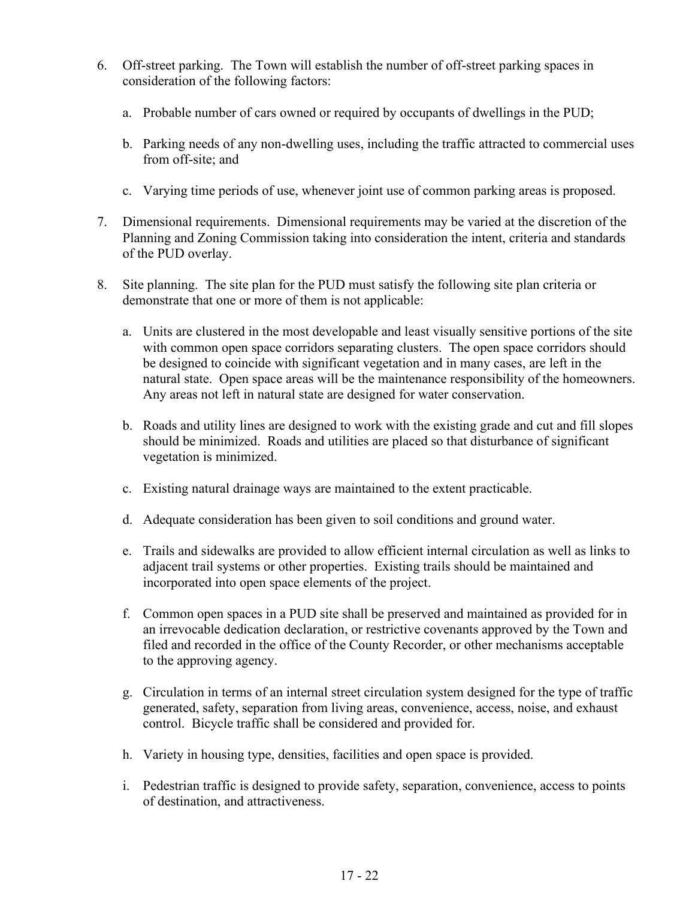- 6. Off-street parking. The Town will establish the number of off-street parking spaces in consideration of the following factors:
	- a. Probable number of cars owned or required by occupants of dwellings in the PUD;
	- b. Parking needs of any non-dwelling uses, including the traffic attracted to commercial uses from off-site; and
	- c. Varying time periods of use, whenever joint use of common parking areas is proposed.
- 7. Dimensional requirements. Dimensional requirements may be varied at the discretion of the Planning and Zoning Commission taking into consideration the intent, criteria and standards of the PUD overlay.
- 8. Site planning. The site plan for the PUD must satisfy the following site plan criteria or demonstrate that one or more of them is not applicable:
	- a. Units are clustered in the most developable and least visually sensitive portions of the site with common open space corridors separating clusters. The open space corridors should be designed to coincide with significant vegetation and in many cases, are left in the natural state. Open space areas will be the maintenance responsibility of the homeowners. Any areas not left in natural state are designed for water conservation.
	- b. Roads and utility lines are designed to work with the existing grade and cut and fill slopes should be minimized. Roads and utilities are placed so that disturbance of significant vegetation is minimized.
	- c. Existing natural drainage ways are maintained to the extent practicable.
	- d. Adequate consideration has been given to soil conditions and ground water.
	- e. Trails and sidewalks are provided to allow efficient internal circulation as well as links to adjacent trail systems or other properties. Existing trails should be maintained and incorporated into open space elements of the project.
	- f. Common open spaces in a PUD site shall be preserved and maintained as provided for in an irrevocable dedication declaration, or restrictive covenants approved by the Town and filed and recorded in the office of the County Recorder, or other mechanisms acceptable to the approving agency.
	- g. Circulation in terms of an internal street circulation system designed for the type of traffic generated, safety, separation from living areas, convenience, access, noise, and exhaust control. Bicycle traffic shall be considered and provided for.
	- h. Variety in housing type, densities, facilities and open space is provided.
	- i. Pedestrian traffic is designed to provide safety, separation, convenience, access to points of destination, and attractiveness.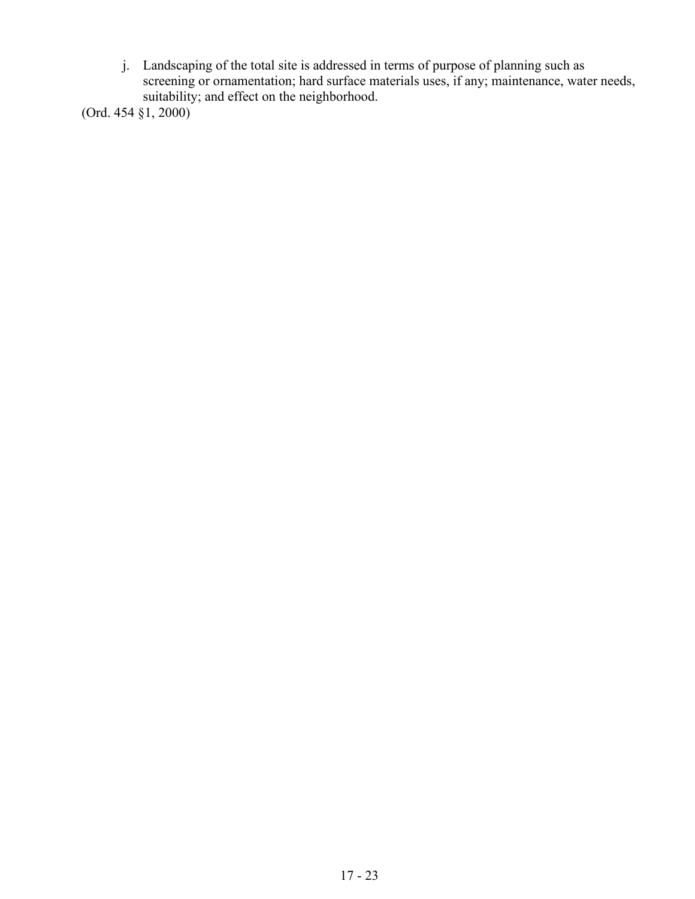j. Landscaping of the total site is addressed in terms of purpose of planning such as screening or ornamentation; hard surface materials uses, if any; maintenance, water needs, suitability; and effect on the neighborhood.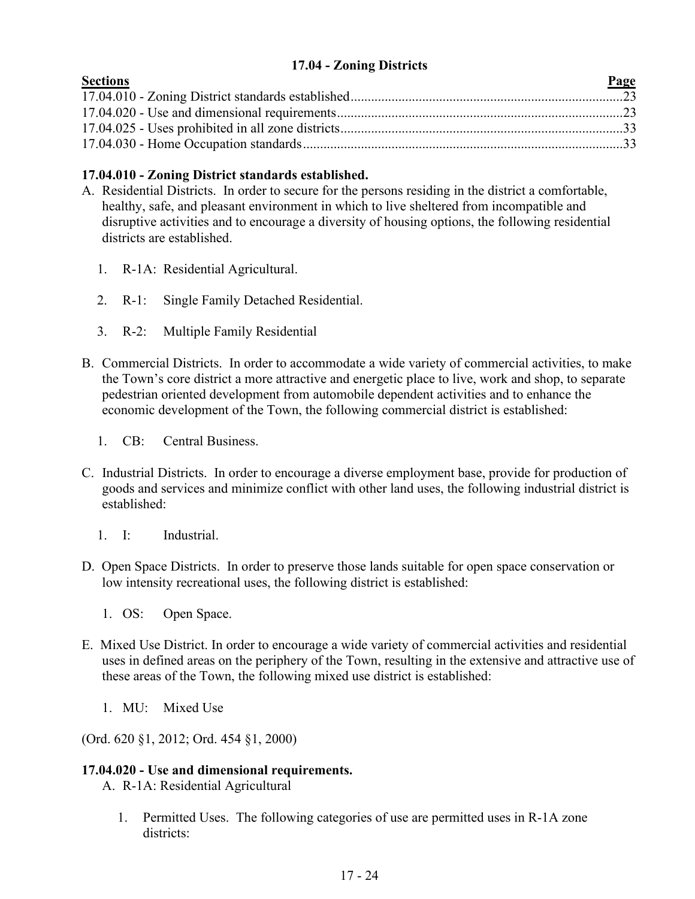# **17.04 - Zoning Districts**

<span id="page-23-0"></span>

| <b>Sections</b> | Page |
|-----------------|------|
|                 |      |
|                 |      |
|                 |      |
|                 |      |

# **17.04.010 - Zoning District standards established.**

- A. Residential Districts. In order to secure for the persons residing in the district a comfortable, healthy, safe, and pleasant environment in which to live sheltered from incompatible and disruptive activities and to encourage a diversity of housing options, the following residential districts are established.
	- 1. R-1A: Residential Agricultural.
	- 2. R-1: Single Family Detached Residential.
	- 3. R-2: Multiple Family Residential
- B. Commercial Districts. In order to accommodate a wide variety of commercial activities, to make the Town's core district a more attractive and energetic place to live, work and shop, to separate pedestrian oriented development from automobile dependent activities and to enhance the economic development of the Town, the following commercial district is established:
	- 1. CB: Central Business.
- C. Industrial Districts. In order to encourage a diverse employment base, provide for production of goods and services and minimize conflict with other land uses, the following industrial district is established:
	- 1. I: Industrial.
- D. Open Space Districts. In order to preserve those lands suitable for open space conservation or low intensity recreational uses, the following district is established:
	- 1. OS: Open Space.
- E. Mixed Use District. In order to encourage a wide variety of commercial activities and residential uses in defined areas on the periphery of the Town, resulting in the extensive and attractive use of these areas of the Town, the following mixed use district is established:
	- 1. MU: Mixed Use

(Ord. 620 §1, 2012; Ord. 454 §1, 2000)

# **17.04.020 - Use and dimensional requirements.**

A. R-1A: Residential Agricultural

1. Permitted Uses. The following categories of use are permitted uses in R-1A zone districts: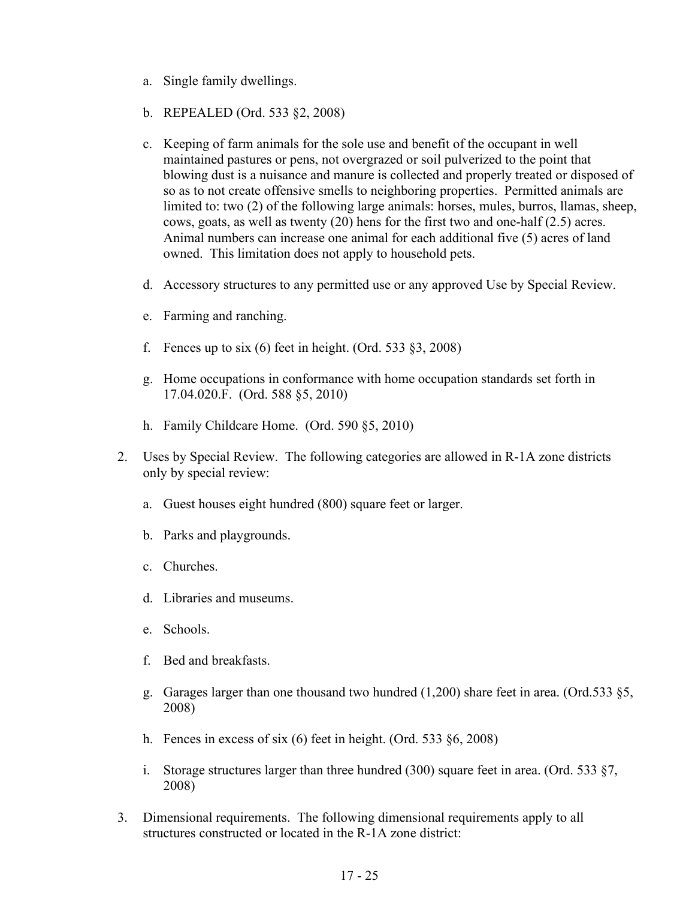- a. Single family dwellings.
- b. REPEALED (Ord. 533 §2, 2008)
- c. Keeping of farm animals for the sole use and benefit of the occupant in well maintained pastures or pens, not overgrazed or soil pulverized to the point that blowing dust is a nuisance and manure is collected and properly treated or disposed of so as to not create offensive smells to neighboring properties. Permitted animals are limited to: two (2) of the following large animals: horses, mules, burros, llamas, sheep, cows, goats, as well as twenty (20) hens for the first two and one-half (2.5) acres. Animal numbers can increase one animal for each additional five (5) acres of land owned. This limitation does not apply to household pets.
- d. Accessory structures to any permitted use or any approved Use by Special Review.
- e. Farming and ranching.
- f. Fences up to six (6) feet in height. (Ord. 533  $\S3$ , 2008)
- g. Home occupations in conformance with home occupation standards set forth in 17.04.020.F. (Ord. 588 §5, 2010)
- h. Family Childcare Home. (Ord. 590 §5, 2010)
- 2. Uses by Special Review. The following categories are allowed in R-1A zone districts only by special review:
	- a. Guest houses eight hundred (800) square feet or larger.
	- b. Parks and playgrounds.
	- c. Churches.
	- d. Libraries and museums.
	- e. Schools.
	- f. Bed and breakfasts.
	- g. Garages larger than one thousand two hundred (1,200) share feet in area. (Ord.533 §5, 2008)
	- h. Fences in excess of six (6) feet in height. (Ord. 533 §6, 2008)
	- i. Storage structures larger than three hundred (300) square feet in area. (Ord. 533 §7, 2008)
- 3. Dimensional requirements. The following dimensional requirements apply to all structures constructed or located in the R-1A zone district: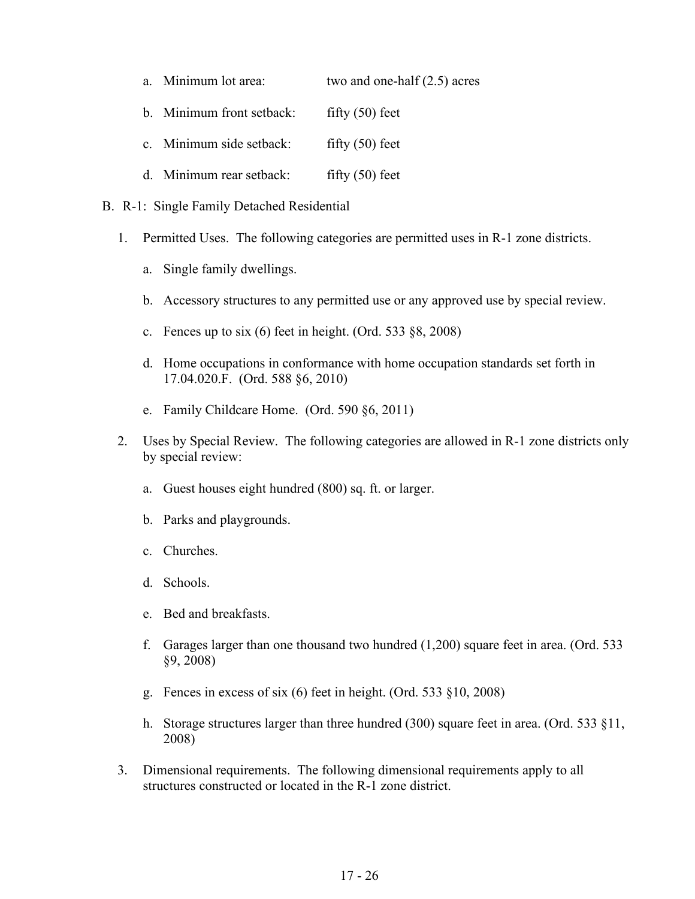| a. Minimum lot area:      | two and one-half $(2.5)$ acres |
|---------------------------|--------------------------------|
| b. Minimum front setback: | fifty $(50)$ feet              |
| c. Minimum side setback:  | fifty $(50)$ feet              |
| d. Minimum rear setback:  | fifty $(50)$ feet              |

- B. R-1: Single Family Detached Residential
	- 1. Permitted Uses. The following categories are permitted uses in R-1 zone districts.
		- a. Single family dwellings.
		- b. Accessory structures to any permitted use or any approved use by special review.
		- c. Fences up to six (6) feet in height. (Ord. 533 §8, 2008)
		- d. Home occupations in conformance with home occupation standards set forth in 17.04.020.F. (Ord. 588 §6, 2010)
		- e. Family Childcare Home. (Ord. 590 §6, 2011)
	- 2. Uses by Special Review. The following categories are allowed in R-1 zone districts only by special review:
		- a. Guest houses eight hundred (800) sq. ft. or larger.
		- b. Parks and playgrounds.
		- c. Churches.
		- d. Schools.
		- e. Bed and breakfasts.
		- f. Garages larger than one thousand two hundred (1,200) square feet in area. (Ord. 533 §9, 2008)
		- g. Fences in excess of six (6) feet in height. (Ord. 533 §10, 2008)
		- h. Storage structures larger than three hundred (300) square feet in area. (Ord. 533 §11, 2008)
	- 3. Dimensional requirements. The following dimensional requirements apply to all structures constructed or located in the R-1 zone district.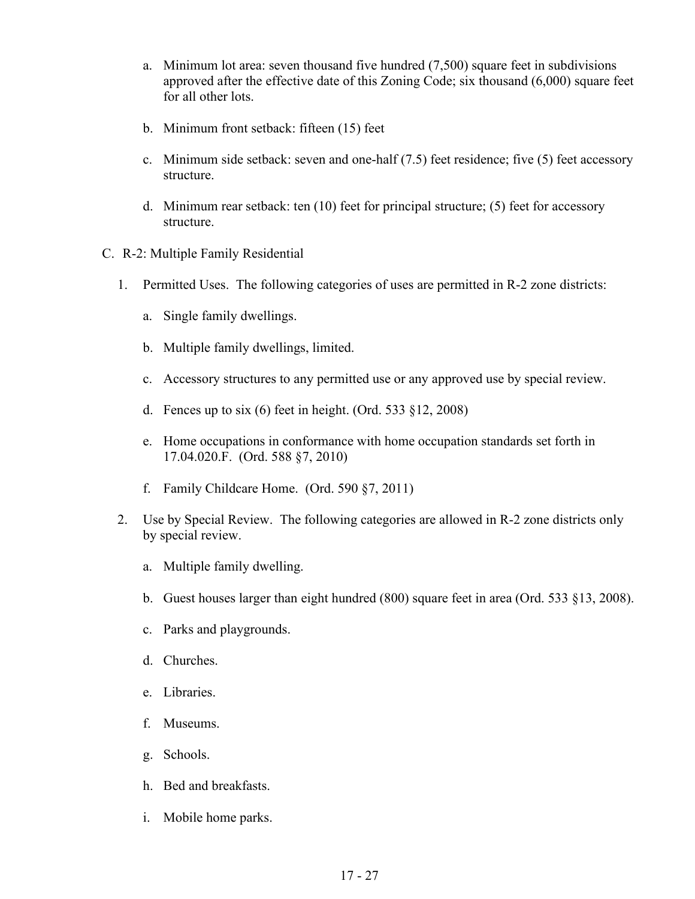- a. Minimum lot area: seven thousand five hundred (7,500) square feet in subdivisions approved after the effective date of this Zoning Code; six thousand (6,000) square feet for all other lots.
- b. Minimum front setback: fifteen (15) feet
- c. Minimum side setback: seven and one-half (7.5) feet residence; five (5) feet accessory structure.
- d. Minimum rear setback: ten (10) feet for principal structure; (5) feet for accessory structure.
- C. R-2: Multiple Family Residential
	- 1. Permitted Uses. The following categories of uses are permitted in R-2 zone districts:
		- a. Single family dwellings.
		- b. Multiple family dwellings, limited.
		- c. Accessory structures to any permitted use or any approved use by special review.
		- d. Fences up to six (6) feet in height. (Ord. 533 §12, 2008)
		- e. Home occupations in conformance with home occupation standards set forth in 17.04.020.F. (Ord. 588 §7, 2010)
		- f. Family Childcare Home. (Ord. 590 §7, 2011)
	- 2. Use by Special Review. The following categories are allowed in R-2 zone districts only by special review.
		- a. Multiple family dwelling.
		- b. Guest houses larger than eight hundred (800) square feet in area (Ord. 533 §13, 2008).
		- c. Parks and playgrounds.
		- d. Churches.
		- e. Libraries.
		- f. Museums.
		- g. Schools.
		- h. Bed and breakfasts.
		- i. Mobile home parks.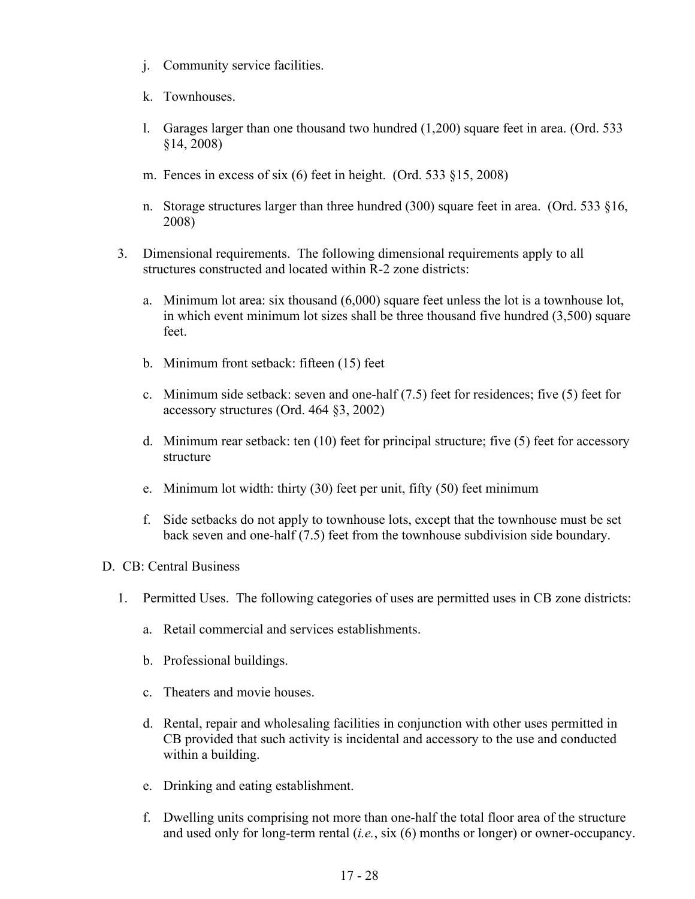- j. Community service facilities.
- k. Townhouses.
- l. Garages larger than one thousand two hundred (1,200) square feet in area. (Ord. 533 §14, 2008)
- m. Fences in excess of six (6) feet in height. (Ord. 533 §15, 2008)
- n. Storage structures larger than three hundred (300) square feet in area. (Ord. 533 §16, 2008)
- 3. Dimensional requirements. The following dimensional requirements apply to all structures constructed and located within R-2 zone districts:
	- a. Minimum lot area: six thousand (6,000) square feet unless the lot is a townhouse lot, in which event minimum lot sizes shall be three thousand five hundred (3,500) square feet.
	- b. Minimum front setback: fifteen (15) feet
	- c. Minimum side setback: seven and one-half (7.5) feet for residences; five (5) feet for accessory structures (Ord. 464 §3, 2002)
	- d. Minimum rear setback: ten (10) feet for principal structure; five (5) feet for accessory structure
	- e. Minimum lot width: thirty (30) feet per unit, fifty (50) feet minimum
	- f. Side setbacks do not apply to townhouse lots, except that the townhouse must be set back seven and one-half (7.5) feet from the townhouse subdivision side boundary.

#### D. CB: Central Business

- 1. Permitted Uses. The following categories of uses are permitted uses in CB zone districts:
	- a. Retail commercial and services establishments.
	- b. Professional buildings.
	- c. Theaters and movie houses.
	- d. Rental, repair and wholesaling facilities in conjunction with other uses permitted in CB provided that such activity is incidental and accessory to the use and conducted within a building.
	- e. Drinking and eating establishment.
	- f. Dwelling units comprising not more than one-half the total floor area of the structure and used only for long-term rental (*i.e.*, six (6) months or longer) or owner-occupancy.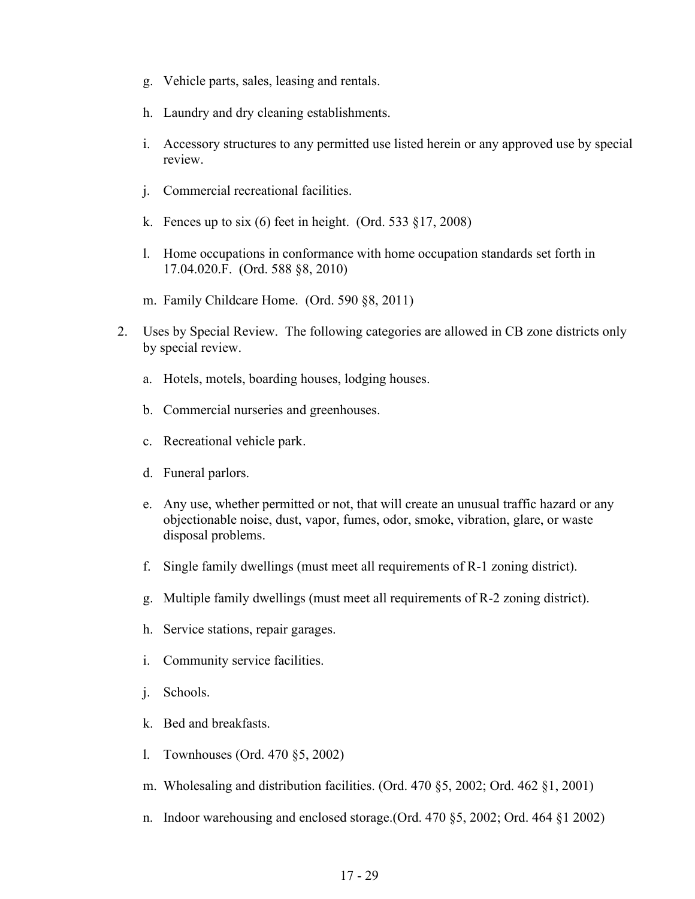- g. Vehicle parts, sales, leasing and rentals.
- h. Laundry and dry cleaning establishments.
- i. Accessory structures to any permitted use listed herein or any approved use by special review.
- j. Commercial recreational facilities.
- k. Fences up to six  $(6)$  feet in height. (Ord. 533 §17, 2008)
- l. Home occupations in conformance with home occupation standards set forth in 17.04.020.F. (Ord. 588 §8, 2010)
- m. Family Childcare Home. (Ord. 590 §8, 2011)
- 2. Uses by Special Review. The following categories are allowed in CB zone districts only by special review.
	- a. Hotels, motels, boarding houses, lodging houses.
	- b. Commercial nurseries and greenhouses.
	- c. Recreational vehicle park.
	- d. Funeral parlors.
	- e. Any use, whether permitted or not, that will create an unusual traffic hazard or any objectionable noise, dust, vapor, fumes, odor, smoke, vibration, glare, or waste disposal problems.
	- f. Single family dwellings (must meet all requirements of R-1 zoning district).
	- g. Multiple family dwellings (must meet all requirements of R-2 zoning district).
	- h. Service stations, repair garages.
	- i. Community service facilities.
	- j. Schools.
	- k. Bed and breakfasts.
	- l. Townhouses (Ord. 470 §5, 2002)
	- m. Wholesaling and distribution facilities. (Ord. 470 §5, 2002; Ord. 462 §1, 2001)
	- n. Indoor warehousing and enclosed storage.(Ord. 470 §5, 2002; Ord. 464 §1 2002)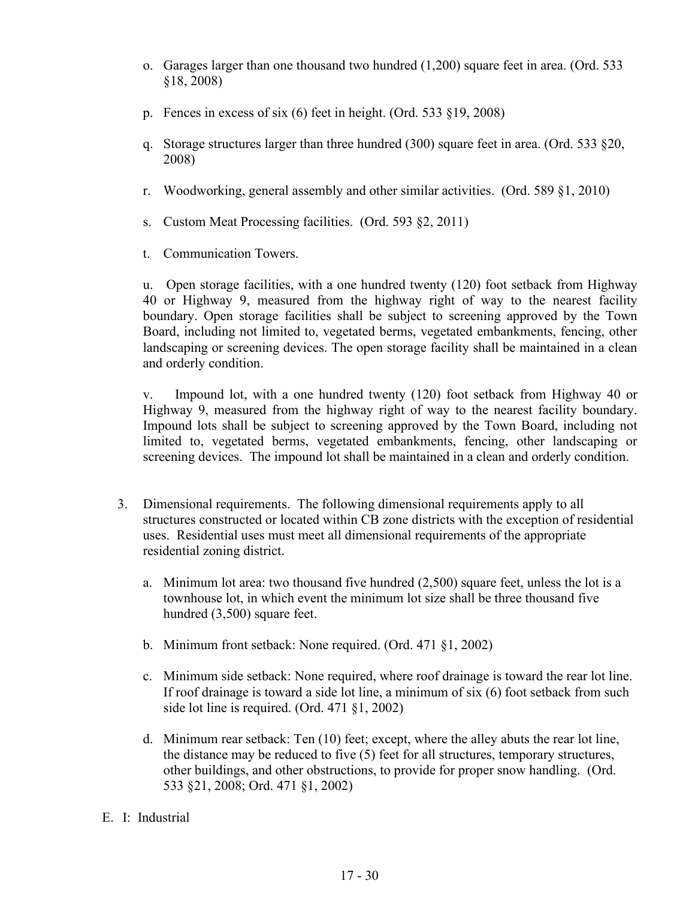- o. Garages larger than one thousand two hundred (1,200) square feet in area. (Ord. 533 §18, 2008)
- p. Fences in excess of six (6) feet in height. (Ord. 533 §19, 2008)
- q. Storage structures larger than three hundred (300) square feet in area. (Ord. 533 §20, 2008)
- r. Woodworking, general assembly and other similar activities. (Ord. 589 §1, 2010)
- s. Custom Meat Processing facilities. (Ord. 593 §2, 2011)
- t. Communication Towers.

u. Open storage facilities, with a one hundred twenty (120) foot setback from Highway 40 or Highway 9, measured from the highway right of way to the nearest facility boundary. Open storage facilities shall be subject to screening approved by the Town Board, including not limited to, vegetated berms, vegetated embankments, fencing, other landscaping or screening devices. The open storage facility shall be maintained in a clean and orderly condition.

v. Impound lot, with a one hundred twenty (120) foot setback from Highway 40 or Highway 9, measured from the highway right of way to the nearest facility boundary. Impound lots shall be subject to screening approved by the Town Board, including not limited to, vegetated berms, vegetated embankments, fencing, other landscaping or screening devices. The impound lot shall be maintained in a clean and orderly condition.

- 3. Dimensional requirements. The following dimensional requirements apply to all structures constructed or located within CB zone districts with the exception of residential uses. Residential uses must meet all dimensional requirements of the appropriate residential zoning district.
	- a. Minimum lot area: two thousand five hundred (2,500) square feet, unless the lot is a townhouse lot, in which event the minimum lot size shall be three thousand five hundred (3,500) square feet.
	- b. Minimum front setback: None required. (Ord. 471 §1, 2002)
	- c. Minimum side setback: None required, where roof drainage is toward the rear lot line. If roof drainage is toward a side lot line, a minimum of six (6) foot setback from such side lot line is required. (Ord. 471 §1, 2002)
	- d. Minimum rear setback: Ten (10) feet; except, where the alley abuts the rear lot line, the distance may be reduced to five (5) feet for all structures, temporary structures, other buildings, and other obstructions, to provide for proper snow handling. (Ord. 533 §21, 2008; Ord. 471 §1, 2002)
- E. I: Industrial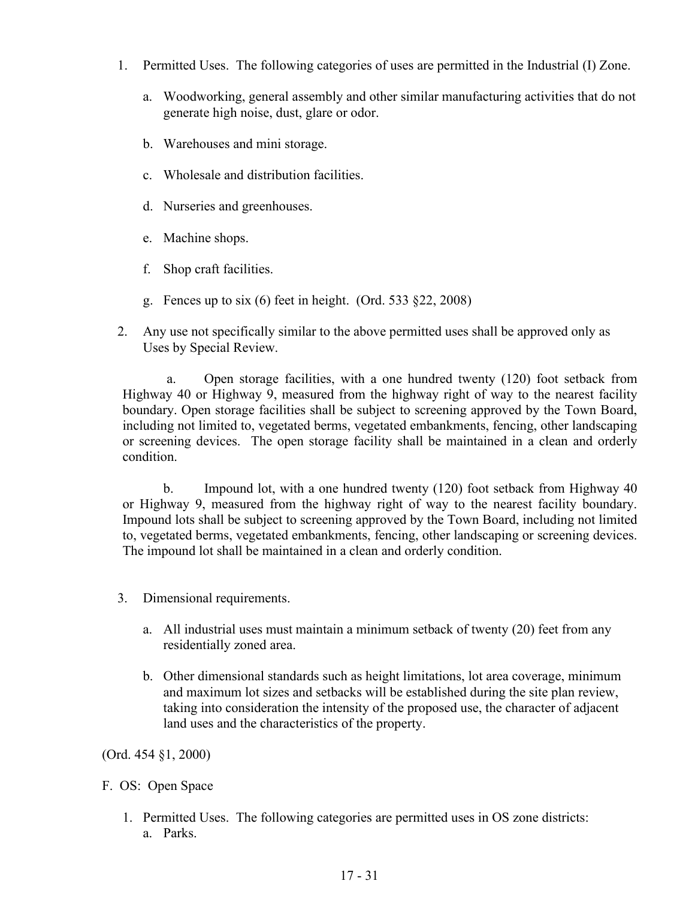- 1. Permitted Uses. The following categories of uses are permitted in the Industrial (I) Zone.
	- a. Woodworking, general assembly and other similar manufacturing activities that do not generate high noise, dust, glare or odor.
	- b. Warehouses and mini storage.
	- c. Wholesale and distribution facilities.
	- d. Nurseries and greenhouses.
	- e. Machine shops.
	- f. Shop craft facilities.
	- g. Fences up to six  $(6)$  feet in height. (Ord. 533 §22, 2008)
- 2. Any use not specifically similar to the above permitted uses shall be approved only as Uses by Special Review.

a. Open storage facilities, with a one hundred twenty (120) foot setback from Highway 40 or Highway 9, measured from the highway right of way to the nearest facility boundary. Open storage facilities shall be subject to screening approved by the Town Board, including not limited to, vegetated berms, vegetated embankments, fencing, other landscaping or screening devices. The open storage facility shall be maintained in a clean and orderly condition.

b. Impound lot, with a one hundred twenty (120) foot setback from Highway 40 or Highway 9, measured from the highway right of way to the nearest facility boundary. Impound lots shall be subject to screening approved by the Town Board, including not limited to, vegetated berms, vegetated embankments, fencing, other landscaping or screening devices. The impound lot shall be maintained in a clean and orderly condition.

- 3. Dimensional requirements.
	- a. All industrial uses must maintain a minimum setback of twenty (20) feet from any residentially zoned area.
	- b. Other dimensional standards such as height limitations, lot area coverage, minimum and maximum lot sizes and setbacks will be established during the site plan review, taking into consideration the intensity of the proposed use, the character of adjacent land uses and the characteristics of the property.

(Ord. 454 §1, 2000)

#### F. OS: Open Space

1. Permitted Uses. The following categories are permitted uses in OS zone districts: a. Parks.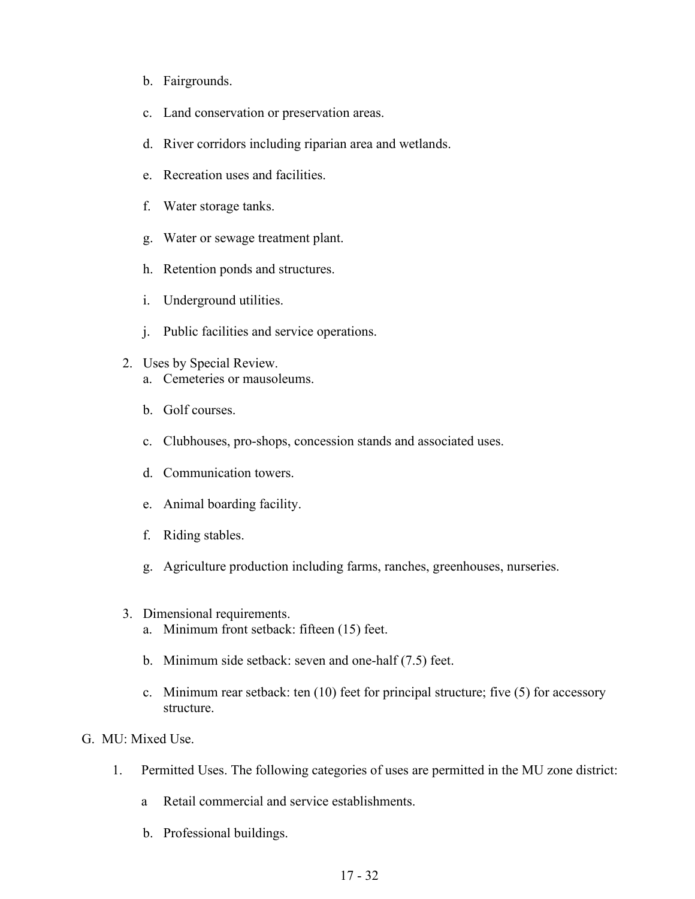- b. Fairgrounds.
- c. Land conservation or preservation areas.
- d. River corridors including riparian area and wetlands.
- e. Recreation uses and facilities.
- f. Water storage tanks.
- g. Water or sewage treatment plant.
- h. Retention ponds and structures.
- i. Underground utilities.
- j. Public facilities and service operations.
- 2. Uses by Special Review. a. Cemeteries or mausoleums.
	- b. Golf courses.
	- c. Clubhouses, pro-shops, concession stands and associated uses.
	- d. Communication towers.
	- e. Animal boarding facility.
	- f. Riding stables.
	- g. Agriculture production including farms, ranches, greenhouses, nurseries.
- 3. Dimensional requirements.
	- a. Minimum front setback: fifteen (15) feet.
	- b. Minimum side setback: seven and one-half (7.5) feet.
	- c. Minimum rear setback: ten (10) feet for principal structure; five (5) for accessory structure.
- G. MU: Mixed Use.
	- 1. Permitted Uses. The following categories of uses are permitted in the MU zone district:
		- a Retail commercial and service establishments.
		- b. Professional buildings.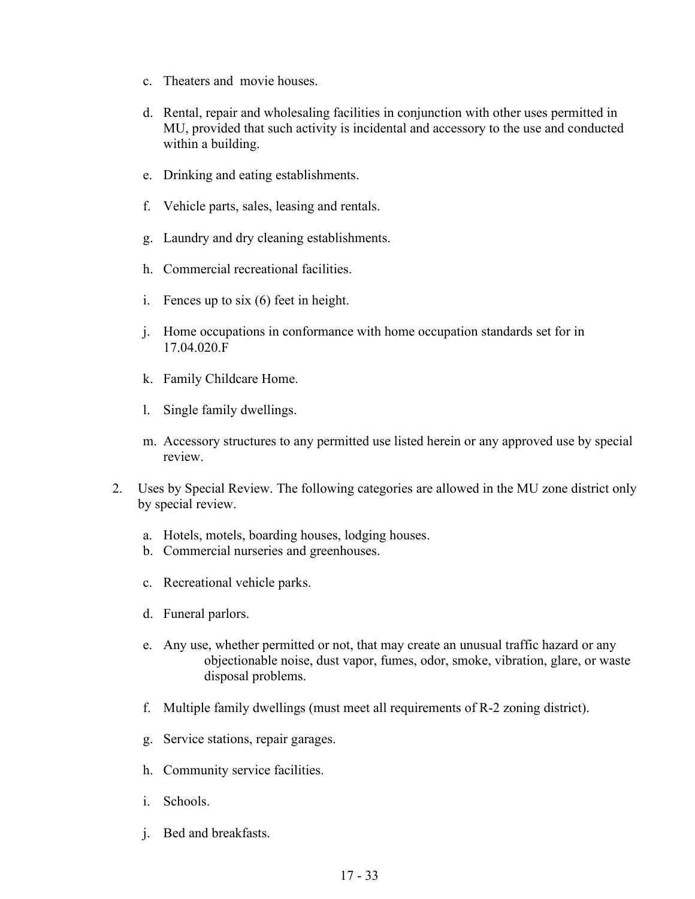- c. Theaters and movie houses.
- d. Rental, repair and wholesaling facilities in conjunction with other uses permitted in MU, provided that such activity is incidental and accessory to the use and conducted within a building.
- e. Drinking and eating establishments.
- f. Vehicle parts, sales, leasing and rentals.
- g. Laundry and dry cleaning establishments.
- h. Commercial recreational facilities.
- i. Fences up to six (6) feet in height.
- j. Home occupations in conformance with home occupation standards set for in 17.04.020.F
- k. Family Childcare Home.
- l. Single family dwellings.
- m. Accessory structures to any permitted use listed herein or any approved use by special review.
- 2. Uses by Special Review. The following categories are allowed in the MU zone district only by special review.
	- a. Hotels, motels, boarding houses, lodging houses.
	- b. Commercial nurseries and greenhouses.
	- c. Recreational vehicle parks.
	- d. Funeral parlors.
	- e. Any use, whether permitted or not, that may create an unusual traffic hazard or any objectionable noise, dust vapor, fumes, odor, smoke, vibration, glare, or waste disposal problems.
	- f. Multiple family dwellings (must meet all requirements of R-2 zoning district).
	- g. Service stations, repair garages.
	- h. Community service facilities.
	- i. Schools.
	- j. Bed and breakfasts.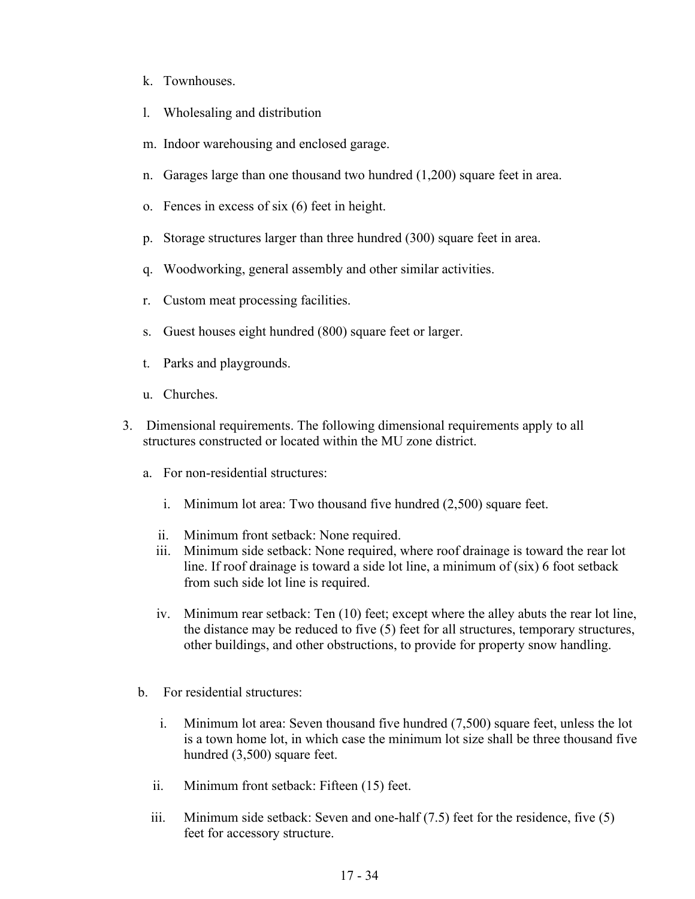- k. Townhouses.
- l. Wholesaling and distribution
- m. Indoor warehousing and enclosed garage.
- n. Garages large than one thousand two hundred (1,200) square feet in area.
- o. Fences in excess of six (6) feet in height.
- p. Storage structures larger than three hundred (300) square feet in area.
- q. Woodworking, general assembly and other similar activities.
- r. Custom meat processing facilities.
- s. Guest houses eight hundred (800) square feet or larger.
- t. Parks and playgrounds.
- u. Churches.
- 3. Dimensional requirements. The following dimensional requirements apply to all structures constructed or located within the MU zone district.
	- a. For non-residential structures:
		- i. Minimum lot area: Two thousand five hundred (2,500) square feet.
		- ii. Minimum front setback: None required.
		- iii. Minimum side setback: None required, where roof drainage is toward the rear lot line. If roof drainage is toward a side lot line, a minimum of (six) 6 foot setback from such side lot line is required.
		- iv. Minimum rear setback: Ten (10) feet; except where the alley abuts the rear lot line, the distance may be reduced to five (5) feet for all structures, temporary structures, other buildings, and other obstructions, to provide for property snow handling.
	- b. For residential structures:
		- i. Minimum lot area: Seven thousand five hundred (7,500) square feet, unless the lot is a town home lot, in which case the minimum lot size shall be three thousand five hundred (3,500) square feet.
		- ii. Minimum front setback: Fifteen (15) feet.
		- iii. Minimum side setback: Seven and one-half (7.5) feet for the residence, five (5) feet for accessory structure.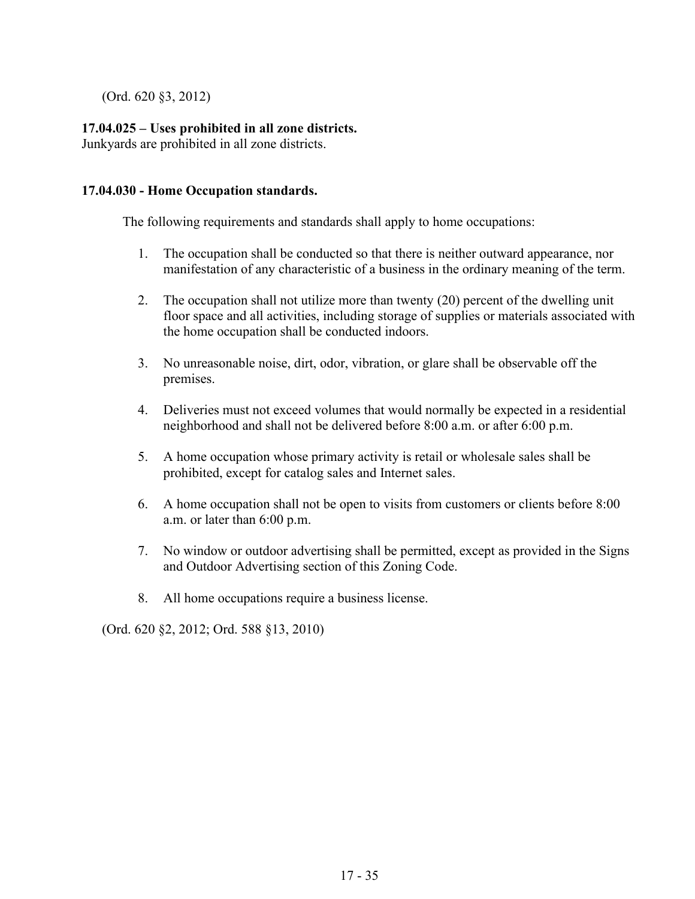(Ord. 620 §3, 2012)

# **17.04.025 – Uses prohibited in all zone districts.**

Junkyards are prohibited in all zone districts.

## **17.04.030 - Home Occupation standards.**

The following requirements and standards shall apply to home occupations:

- 1. The occupation shall be conducted so that there is neither outward appearance, nor manifestation of any characteristic of a business in the ordinary meaning of the term.
- 2. The occupation shall not utilize more than twenty (20) percent of the dwelling unit floor space and all activities, including storage of supplies or materials associated with the home occupation shall be conducted indoors.
- 3. No unreasonable noise, dirt, odor, vibration, or glare shall be observable off the premises.
- 4. Deliveries must not exceed volumes that would normally be expected in a residential neighborhood and shall not be delivered before 8:00 a.m. or after 6:00 p.m.
- 5. A home occupation whose primary activity is retail or wholesale sales shall be prohibited, except for catalog sales and Internet sales.
- 6. A home occupation shall not be open to visits from customers or clients before 8:00 a.m. or later than 6:00 p.m.
- 7. No window or outdoor advertising shall be permitted, except as provided in the Signs and Outdoor Advertising section of this Zoning Code.
- 8. All home occupations require a business license.

(Ord. 620 §2, 2012; Ord. 588 §13, 2010)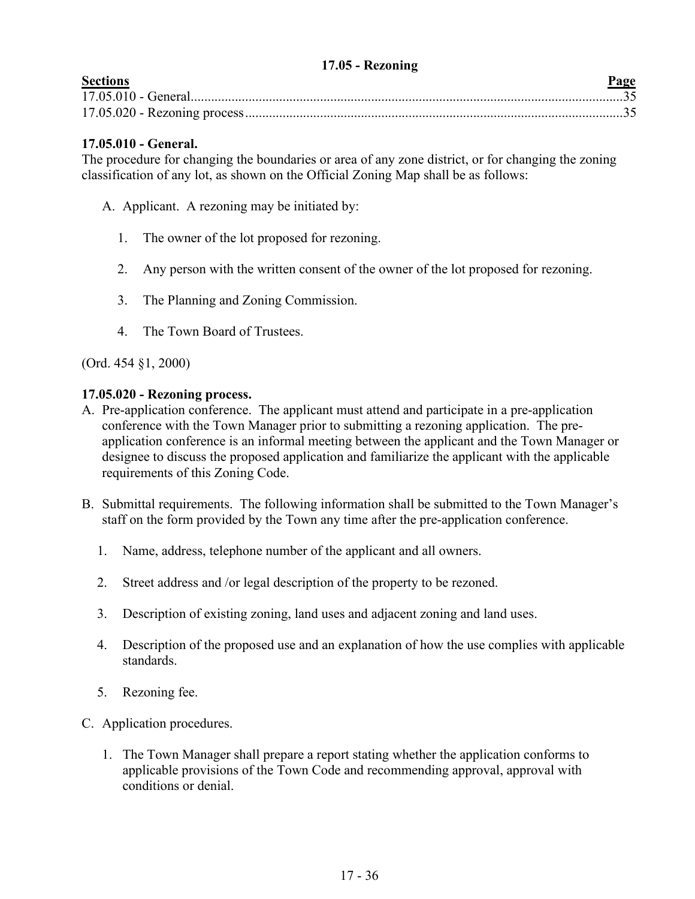### **17.05 - Rezoning**

<span id="page-35-0"></span>

| <b>Sections</b> | Page |
|-----------------|------|
|                 |      |
|                 |      |

# **17.05.010 - General.**

The procedure for changing the boundaries or area of any zone district, or for changing the zoning classification of any lot, as shown on the Official Zoning Map shall be as follows:

- A. Applicant. A rezoning may be initiated by:
	- 1. The owner of the lot proposed for rezoning.
	- 2. Any person with the written consent of the owner of the lot proposed for rezoning.
	- 3. The Planning and Zoning Commission.
	- 4. The Town Board of Trustees.

(Ord. 454 §1, 2000)

### **17.05.020 - Rezoning process.**

- A. Pre-application conference. The applicant must attend and participate in a pre-application conference with the Town Manager prior to submitting a rezoning application. The preapplication conference is an informal meeting between the applicant and the Town Manager or designee to discuss the proposed application and familiarize the applicant with the applicable requirements of this Zoning Code.
- B. Submittal requirements. The following information shall be submitted to the Town Manager's staff on the form provided by the Town any time after the pre-application conference.
	- 1. Name, address, telephone number of the applicant and all owners.
	- 2. Street address and /or legal description of the property to be rezoned.
	- 3. Description of existing zoning, land uses and adjacent zoning and land uses.
	- 4. Description of the proposed use and an explanation of how the use complies with applicable standards.
	- 5. Rezoning fee.
- C. Application procedures.
	- 1. The Town Manager shall prepare a report stating whether the application conforms to applicable provisions of the Town Code and recommending approval, approval with conditions or denial.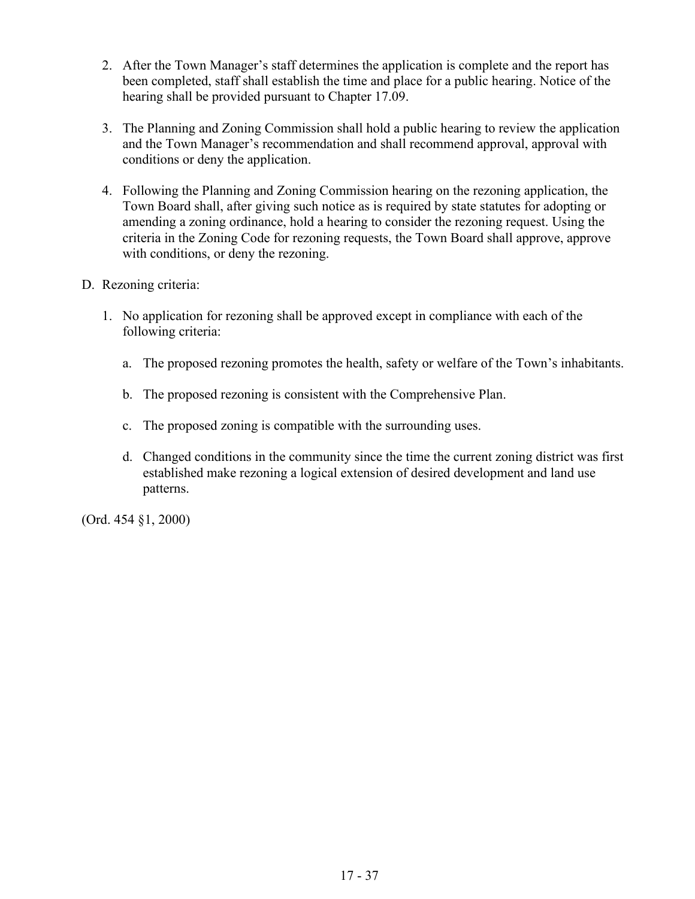- 2. After the Town Manager's staff determines the application is complete and the report has been completed, staff shall establish the time and place for a public hearing. Notice of the hearing shall be provided pursuant to Chapter 17.09.
- 3. The Planning and Zoning Commission shall hold a public hearing to review the application and the Town Manager's recommendation and shall recommend approval, approval with conditions or deny the application.
- 4. Following the Planning and Zoning Commission hearing on the rezoning application, the Town Board shall, after giving such notice as is required by state statutes for adopting or amending a zoning ordinance, hold a hearing to consider the rezoning request. Using the criteria in the Zoning Code for rezoning requests, the Town Board shall approve, approve with conditions, or deny the rezoning.

# D. Rezoning criteria:

- 1. No application for rezoning shall be approved except in compliance with each of the following criteria:
	- a. The proposed rezoning promotes the health, safety or welfare of the Town's inhabitants.
	- b. The proposed rezoning is consistent with the Comprehensive Plan.
	- c. The proposed zoning is compatible with the surrounding uses.
	- d. Changed conditions in the community since the time the current zoning district was first established make rezoning a logical extension of desired development and land use patterns.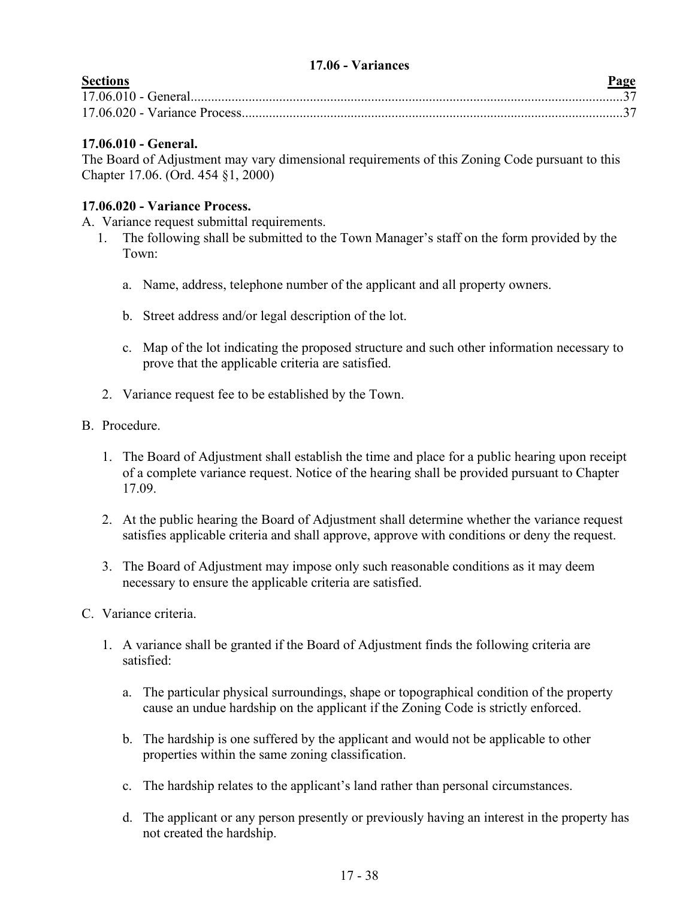### **17.06 - Variances**

<span id="page-37-0"></span>

| <b>Sections</b> | Page |
|-----------------|------|
|                 |      |
|                 |      |

# **17.06.010 - General.**

The Board of Adjustment may vary dimensional requirements of this Zoning Code pursuant to this Chapter 17.06. (Ord. 454 §1, 2000)

# **17.06.020 - Variance Process.**

A. Variance request submittal requirements.

- 1. The following shall be submitted to the Town Manager's staff on the form provided by the Town:
	- a. Name, address, telephone number of the applicant and all property owners.
	- b. Street address and/or legal description of the lot.
	- c. Map of the lot indicating the proposed structure and such other information necessary to prove that the applicable criteria are satisfied.
- 2. Variance request fee to be established by the Town.
- B. Procedure.
	- 1. The Board of Adjustment shall establish the time and place for a public hearing upon receipt of a complete variance request. Notice of the hearing shall be provided pursuant to Chapter 17.09.
	- 2. At the public hearing the Board of Adjustment shall determine whether the variance request satisfies applicable criteria and shall approve, approve with conditions or deny the request.
	- 3. The Board of Adjustment may impose only such reasonable conditions as it may deem necessary to ensure the applicable criteria are satisfied.
- C. Variance criteria.
	- 1. A variance shall be granted if the Board of Adjustment finds the following criteria are satisfied:
		- a. The particular physical surroundings, shape or topographical condition of the property cause an undue hardship on the applicant if the Zoning Code is strictly enforced.
		- b. The hardship is one suffered by the applicant and would not be applicable to other properties within the same zoning classification.
		- c. The hardship relates to the applicant's land rather than personal circumstances.
		- d. The applicant or any person presently or previously having an interest in the property has not created the hardship.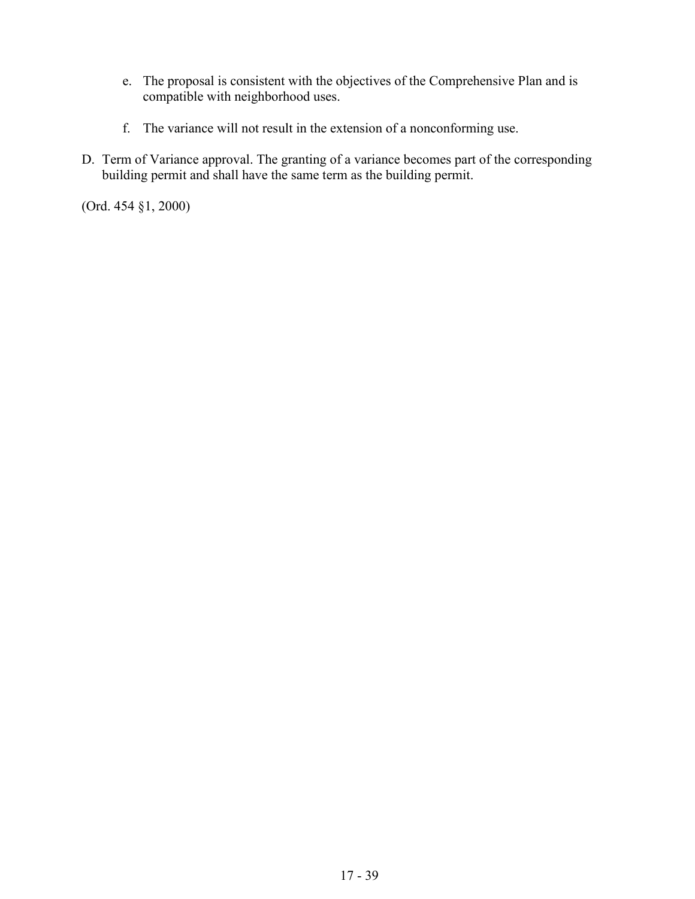- e. The proposal is consistent with the objectives of the Comprehensive Plan and is compatible with neighborhood uses.
- f. The variance will not result in the extension of a nonconforming use.
- D. Term of Variance approval. The granting of a variance becomes part of the corresponding building permit and shall have the same term as the building permit.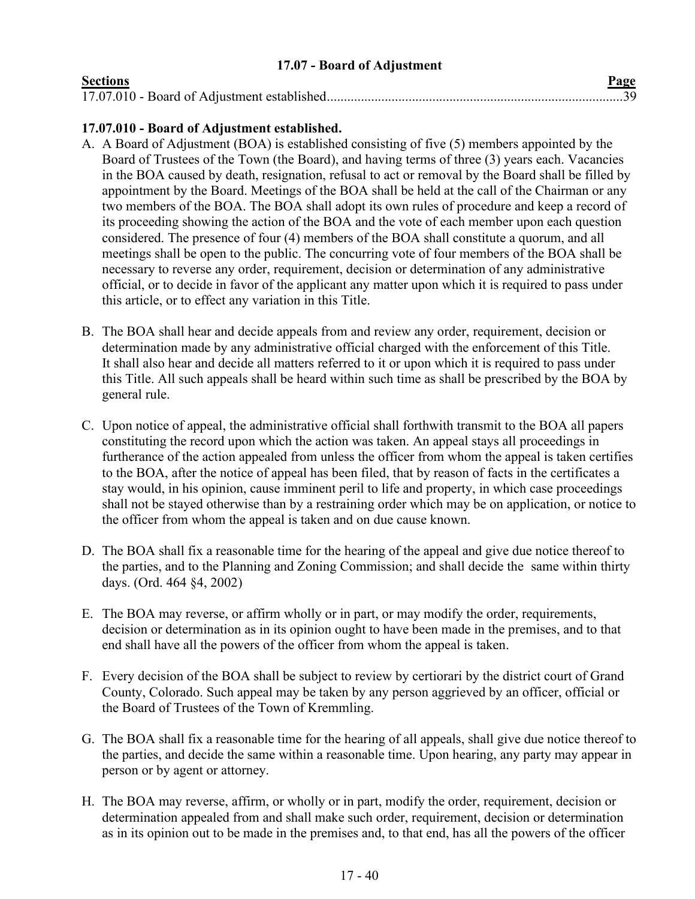### **17.07 - Board of Adjustment**

<span id="page-39-0"></span>

| <b>Sections</b> | Page |
|-----------------|------|
|                 |      |

# **17.07.010 - Board of Adjustment established.**

- A. A Board of Adjustment (BOA) is established consisting of five (5) members appointed by the Board of Trustees of the Town (the Board), and having terms of three (3) years each. Vacancies in the BOA caused by death, resignation, refusal to act or removal by the Board shall be filled by appointment by the Board. Meetings of the BOA shall be held at the call of the Chairman or any two members of the BOA. The BOA shall adopt its own rules of procedure and keep a record of its proceeding showing the action of the BOA and the vote of each member upon each question considered. The presence of four (4) members of the BOA shall constitute a quorum, and all meetings shall be open to the public. The concurring vote of four members of the BOA shall be necessary to reverse any order, requirement, decision or determination of any administrative official, or to decide in favor of the applicant any matter upon which it is required to pass under this article, or to effect any variation in this Title.
- B. The BOA shall hear and decide appeals from and review any order, requirement, decision or determination made by any administrative official charged with the enforcement of this Title. It shall also hear and decide all matters referred to it or upon which it is required to pass under this Title. All such appeals shall be heard within such time as shall be prescribed by the BOA by general rule.
- C. Upon notice of appeal, the administrative official shall forthwith transmit to the BOA all papers constituting the record upon which the action was taken. An appeal stays all proceedings in furtherance of the action appealed from unless the officer from whom the appeal is taken certifies to the BOA, after the notice of appeal has been filed, that by reason of facts in the certificates a stay would, in his opinion, cause imminent peril to life and property, in which case proceedings shall not be stayed otherwise than by a restraining order which may be on application, or notice to the officer from whom the appeal is taken and on due cause known.
- D. The BOA shall fix a reasonable time for the hearing of the appeal and give due notice thereof to the parties, and to the Planning and Zoning Commission; and shall decide the same within thirty days. (Ord. 464 §4, 2002)
- E. The BOA may reverse, or affirm wholly or in part, or may modify the order, requirements, decision or determination as in its opinion ought to have been made in the premises, and to that end shall have all the powers of the officer from whom the appeal is taken.
- F. Every decision of the BOA shall be subject to review by certiorari by the district court of Grand County, Colorado. Such appeal may be taken by any person aggrieved by an officer, official or the Board of Trustees of the Town of Kremmling.
- G. The BOA shall fix a reasonable time for the hearing of all appeals, shall give due notice thereof to the parties, and decide the same within a reasonable time. Upon hearing, any party may appear in person or by agent or attorney.
- H. The BOA may reverse, affirm, or wholly or in part, modify the order, requirement, decision or determination appealed from and shall make such order, requirement, decision or determination as in its opinion out to be made in the premises and, to that end, has all the powers of the officer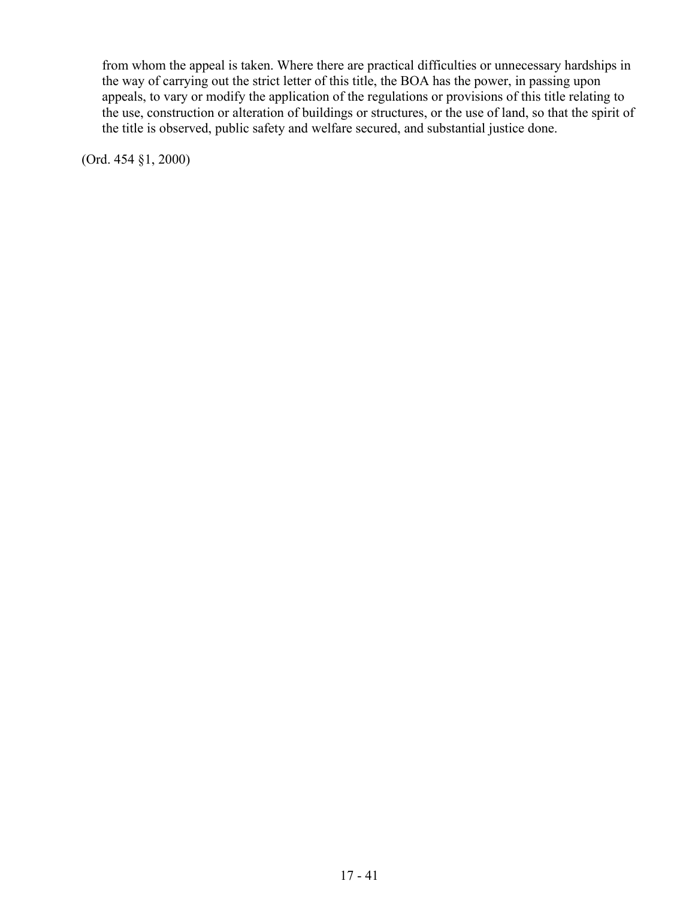from whom the appeal is taken. Where there are practical difficulties or unnecessary hardships in the way of carrying out the strict letter of this title, the BOA has the power, in passing upon appeals, to vary or modify the application of the regulations or provisions of this title relating to the use, construction or alteration of buildings or structures, or the use of land, so that the spirit of the title is observed, public safety and welfare secured, and substantial justice done.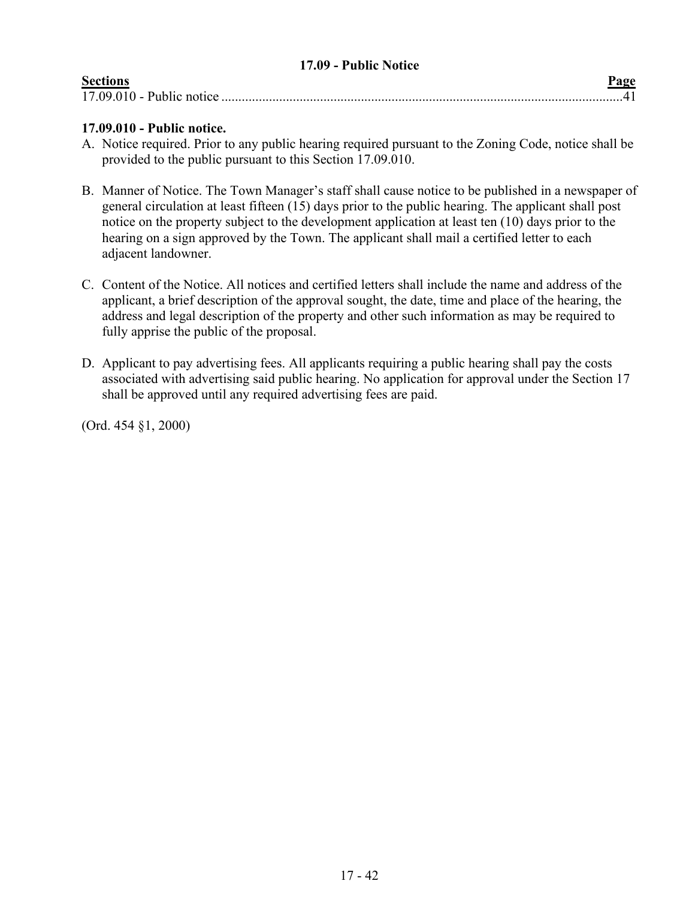<span id="page-41-0"></span>

| 17.09 - Public Notice |      |
|-----------------------|------|
| <b>Sections</b>       | Page |
|                       |      |

# **17.09.010 - Public notice.**

- A. Notice required. Prior to any public hearing required pursuant to the Zoning Code, notice shall be provided to the public pursuant to this Section 17.09.010.
- B. Manner of Notice. The Town Manager's staff shall cause notice to be published in a newspaper of general circulation at least fifteen (15) days prior to the public hearing. The applicant shall post notice on the property subject to the development application at least ten (10) days prior to the hearing on a sign approved by the Town. The applicant shall mail a certified letter to each adjacent landowner.
- C. Content of the Notice. All notices and certified letters shall include the name and address of the applicant, a brief description of the approval sought, the date, time and place of the hearing, the address and legal description of the property and other such information as may be required to fully apprise the public of the proposal.
- D. Applicant to pay advertising fees. All applicants requiring a public hearing shall pay the costs associated with advertising said public hearing. No application for approval under the Section 17 shall be approved until any required advertising fees are paid.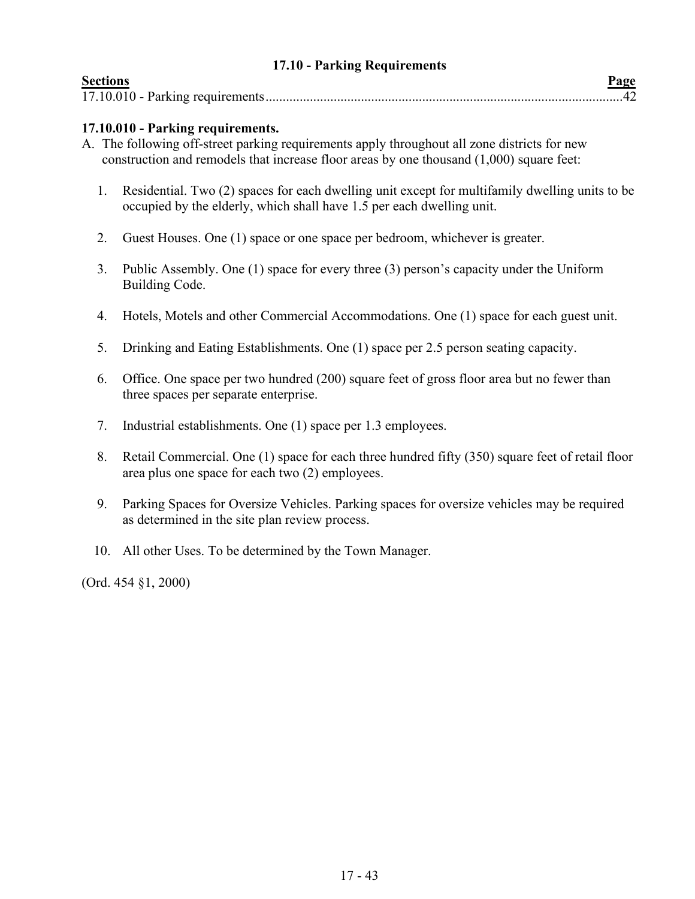### **17.10 - Parking Requirements**

<span id="page-42-0"></span>

| <b>Sections</b> |  |
|-----------------|--|
|                 |  |

## **17.10.010 - Parking requirements.**

- A. The following off-street parking requirements apply throughout all zone districts for new construction and remodels that increase floor areas by one thousand (1,000) square feet:
	- 1. Residential. Two (2) spaces for each dwelling unit except for multifamily dwelling units to be occupied by the elderly, which shall have 1.5 per each dwelling unit.
	- 2. Guest Houses. One (1) space or one space per bedroom, whichever is greater.
	- 3. Public Assembly. One (1) space for every three (3) person's capacity under the Uniform Building Code.
	- 4. Hotels, Motels and other Commercial Accommodations. One (1) space for each guest unit.
	- 5. Drinking and Eating Establishments. One (1) space per 2.5 person seating capacity.
	- 6. Office. One space per two hundred (200) square feet of gross floor area but no fewer than three spaces per separate enterprise.
	- 7. Industrial establishments. One (1) space per 1.3 employees.
	- 8. Retail Commercial. One (1) space for each three hundred fifty (350) square feet of retail floor area plus one space for each two (2) employees.
	- 9. Parking Spaces for Oversize Vehicles. Parking spaces for oversize vehicles may be required as determined in the site plan review process.
	- 10. All other Uses. To be determined by the Town Manager.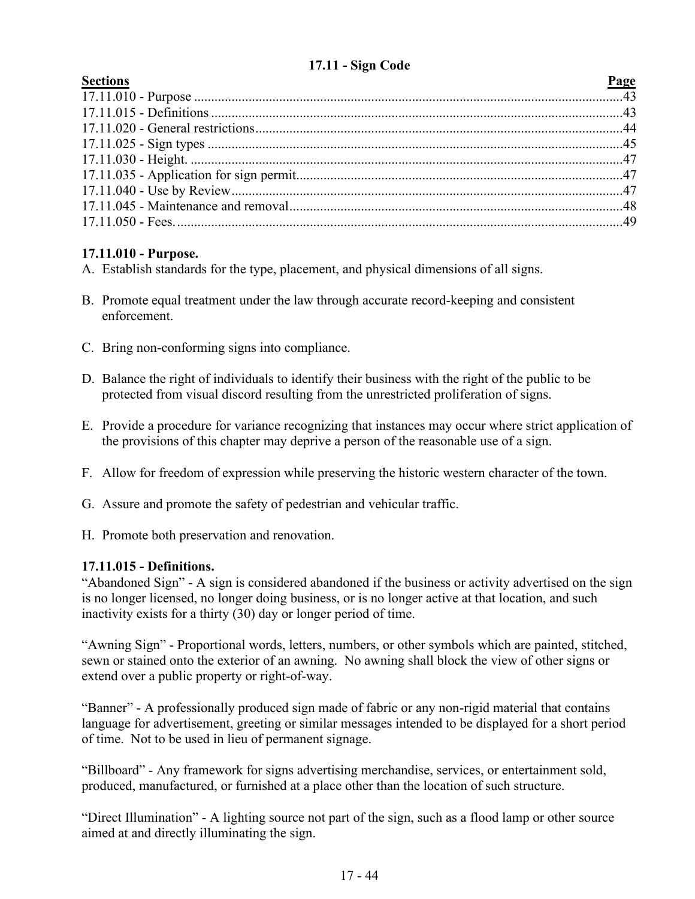# **17.11 - Sign Code**

<span id="page-43-0"></span>

| <b>Sections</b><br><b>Page</b> |  |
|--------------------------------|--|
|                                |  |
|                                |  |
|                                |  |
|                                |  |
|                                |  |
|                                |  |
|                                |  |
|                                |  |
|                                |  |
|                                |  |

# **17.11.010 - Purpose.**

- A. Establish standards for the type, placement, and physical dimensions of all signs.
- B. Promote equal treatment under the law through accurate record-keeping and consistent enforcement.
- C. Bring non-conforming signs into compliance.
- D. Balance the right of individuals to identify their business with the right of the public to be protected from visual discord resulting from the unrestricted proliferation of signs.
- E. Provide a procedure for variance recognizing that instances may occur where strict application of the provisions of this chapter may deprive a person of the reasonable use of a sign.
- F. Allow for freedom of expression while preserving the historic western character of the town.
- G. Assure and promote the safety of pedestrian and vehicular traffic.
- H. Promote both preservation and renovation.

# **17.11.015 - Definitions.**

"Abandoned Sign" - A sign is considered abandoned if the business or activity advertised on the sign is no longer licensed, no longer doing business, or is no longer active at that location, and such inactivity exists for a thirty (30) day or longer period of time.

"Awning Sign" - Proportional words, letters, numbers, or other symbols which are painted, stitched, sewn or stained onto the exterior of an awning. No awning shall block the view of other signs or extend over a public property or right-of-way.

"Banner" - A professionally produced sign made of fabric or any non-rigid material that contains language for advertisement, greeting or similar messages intended to be displayed for a short period of time. Not to be used in lieu of permanent signage.

"Billboard" - Any framework for signs advertising merchandise, services, or entertainment sold, produced, manufactured, or furnished at a place other than the location of such structure.

"Direct Illumination" - A lighting source not part of the sign, such as a flood lamp or other source aimed at and directly illuminating the sign.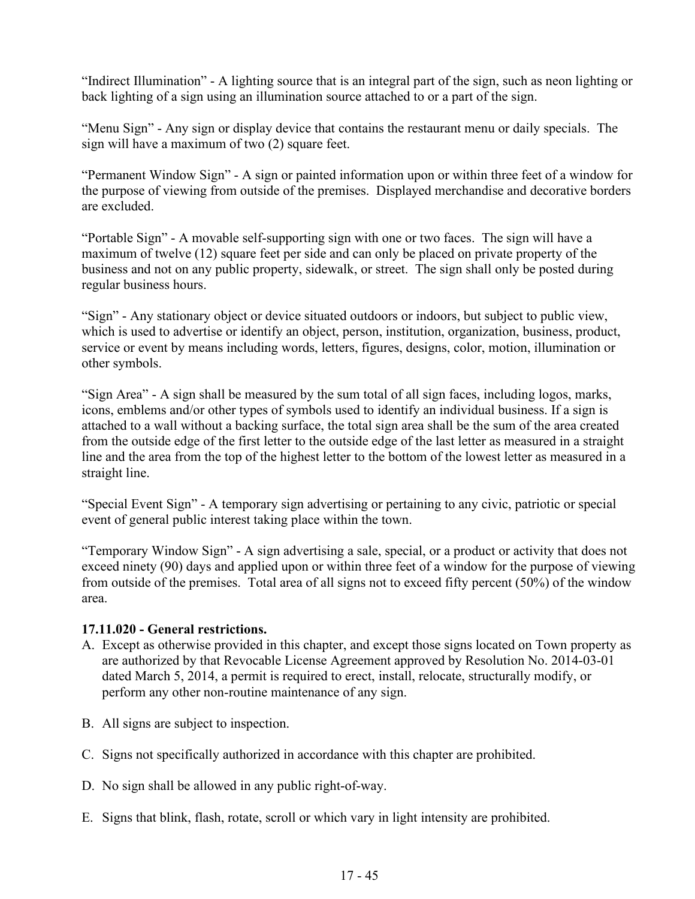"Indirect Illumination" - A lighting source that is an integral part of the sign, such as neon lighting or back lighting of a sign using an illumination source attached to or a part of the sign.

"Menu Sign" - Any sign or display device that contains the restaurant menu or daily specials. The sign will have a maximum of two (2) square feet.

"Permanent Window Sign" - A sign or painted information upon or within three feet of a window for the purpose of viewing from outside of the premises. Displayed merchandise and decorative borders are excluded.

"Portable Sign" - A movable self-supporting sign with one or two faces. The sign will have a maximum of twelve (12) square feet per side and can only be placed on private property of the business and not on any public property, sidewalk, or street. The sign shall only be posted during regular business hours.

"Sign" - Any stationary object or device situated outdoors or indoors, but subject to public view, which is used to advertise or identify an object, person, institution, organization, business, product, service or event by means including words, letters, figures, designs, color, motion, illumination or other symbols.

"Sign Area" - A sign shall be measured by the sum total of all sign faces, including logos, marks, icons, emblems and/or other types of symbols used to identify an individual business. If a sign is attached to a wall without a backing surface, the total sign area shall be the sum of the area created from the outside edge of the first letter to the outside edge of the last letter as measured in a straight line and the area from the top of the highest letter to the bottom of the lowest letter as measured in a straight line.

"Special Event Sign" - A temporary sign advertising or pertaining to any civic, patriotic or special event of general public interest taking place within the town.

"Temporary Window Sign" - A sign advertising a sale, special, or a product or activity that does not exceed ninety (90) days and applied upon or within three feet of a window for the purpose of viewing from outside of the premises. Total area of all signs not to exceed fifty percent (50%) of the window area.

# **17.11.020 - General restrictions.**

- A. Except as otherwise provided in this chapter, and except those signs located on Town property as are authorized by that Revocable License Agreement approved by Resolution No. 2014-03-01 dated March 5, 2014, a permit is required to erect, install, relocate, structurally modify, or perform any other non-routine maintenance of any sign.
- B. All signs are subject to inspection.
- C. Signs not specifically authorized in accordance with this chapter are prohibited.
- D. No sign shall be allowed in any public right-of-way.
- E. Signs that blink, flash, rotate, scroll or which vary in light intensity are prohibited.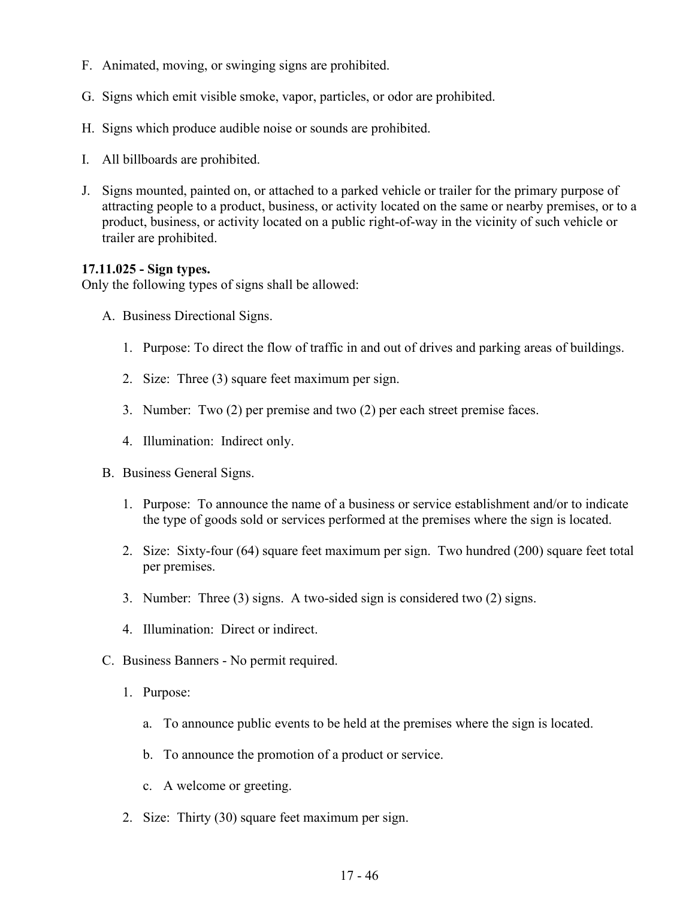- F. Animated, moving, or swinging signs are prohibited.
- G. Signs which emit visible smoke, vapor, particles, or odor are prohibited.
- H. Signs which produce audible noise or sounds are prohibited.
- I. All billboards are prohibited.
- J. Signs mounted, painted on, or attached to a parked vehicle or trailer for the primary purpose of attracting people to a product, business, or activity located on the same or nearby premises, or to a product, business, or activity located on a public right-of-way in the vicinity of such vehicle or trailer are prohibited.

#### **17.11.025 - Sign types.**

Only the following types of signs shall be allowed:

- A. Business Directional Signs.
	- 1. Purpose: To direct the flow of traffic in and out of drives and parking areas of buildings.
	- 2. Size: Three (3) square feet maximum per sign.
	- 3. Number: Two (2) per premise and two (2) per each street premise faces.
	- 4. Illumination: Indirect only.
- B. Business General Signs.
	- 1. Purpose: To announce the name of a business or service establishment and/or to indicate the type of goods sold or services performed at the premises where the sign is located.
	- 2. Size: Sixty-four (64) square feet maximum per sign. Two hundred (200) square feet total per premises.
	- 3. Number: Three (3) signs. A two-sided sign is considered two (2) signs.
	- 4. Illumination: Direct or indirect.
- C. Business Banners No permit required.
	- 1. Purpose:
		- a. To announce public events to be held at the premises where the sign is located.
		- b. To announce the promotion of a product or service.
		- c. A welcome or greeting.
	- 2. Size: Thirty (30) square feet maximum per sign.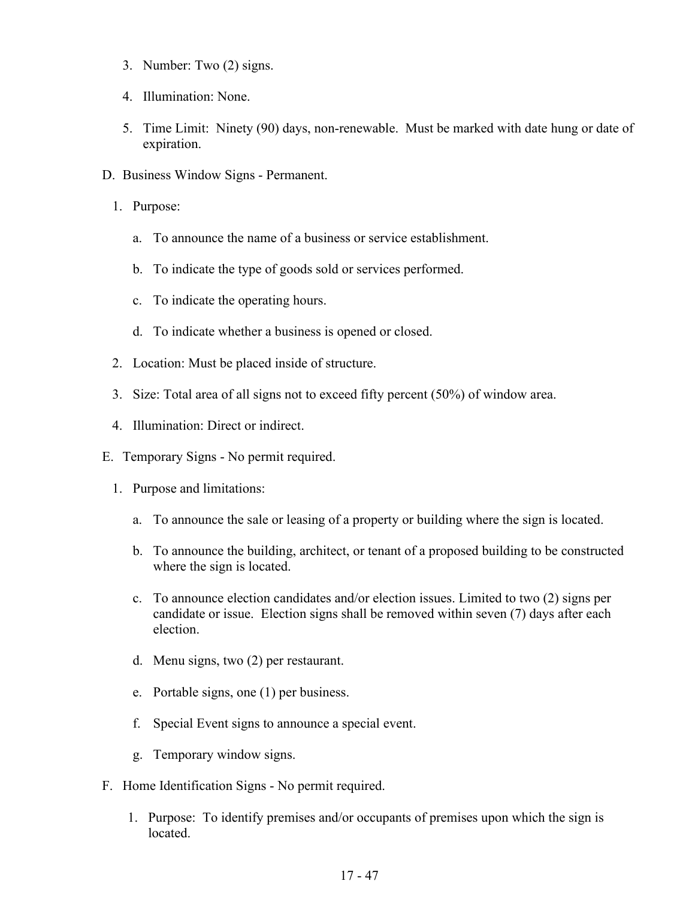- 3. Number: Two (2) signs.
- 4. Illumination: None.
- 5. Time Limit: Ninety (90) days, non-renewable. Must be marked with date hung or date of expiration.
- D. Business Window Signs Permanent.
	- 1. Purpose:
		- a. To announce the name of a business or service establishment.
		- b. To indicate the type of goods sold or services performed.
		- c. To indicate the operating hours.
		- d. To indicate whether a business is opened or closed.
	- 2. Location: Must be placed inside of structure.
	- 3. Size: Total area of all signs not to exceed fifty percent (50%) of window area.
	- 4. Illumination: Direct or indirect.
- E. Temporary Signs No permit required.
	- 1. Purpose and limitations:
		- a. To announce the sale or leasing of a property or building where the sign is located.
		- b. To announce the building, architect, or tenant of a proposed building to be constructed where the sign is located.
		- c. To announce election candidates and/or election issues. Limited to two (2) signs per candidate or issue. Election signs shall be removed within seven (7) days after each election.
		- d. Menu signs, two (2) per restaurant.
		- e. Portable signs, one (1) per business.
		- f. Special Event signs to announce a special event.
		- g. Temporary window signs.
- F. Home Identification Signs No permit required.
	- 1. Purpose: To identify premises and/or occupants of premises upon which the sign is located.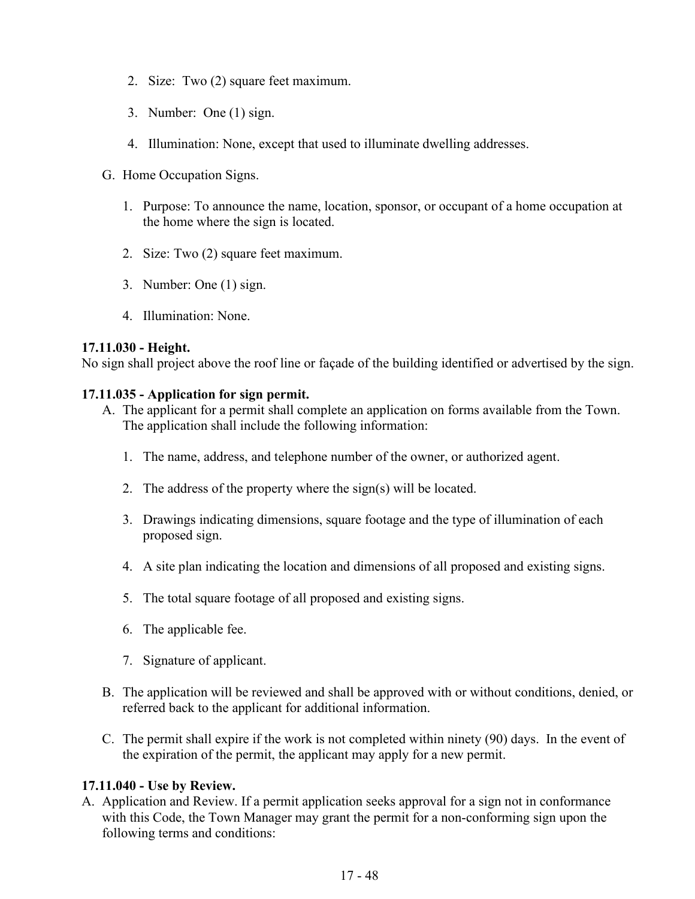- 2. Size: Two (2) square feet maximum.
- 3. Number: One (1) sign.
- 4. Illumination: None, except that used to illuminate dwelling addresses.
- G. Home Occupation Signs.
	- 1. Purpose: To announce the name, location, sponsor, or occupant of a home occupation at the home where the sign is located.
	- 2. Size: Two (2) square feet maximum.
	- 3. Number: One (1) sign.
	- 4. Illumination: None.

#### **17.11.030 - Height.**

No sign shall project above the roof line or façade of the building identified or advertised by the sign.

### **17.11.035 - Application for sign permit.**

- A. The applicant for a permit shall complete an application on forms available from the Town. The application shall include the following information:
	- 1. The name, address, and telephone number of the owner, or authorized agent.
	- 2. The address of the property where the sign(s) will be located.
	- 3. Drawings indicating dimensions, square footage and the type of illumination of each proposed sign.
	- 4. A site plan indicating the location and dimensions of all proposed and existing signs.
	- 5. The total square footage of all proposed and existing signs.
	- 6. The applicable fee.
	- 7. Signature of applicant.
- B. The application will be reviewed and shall be approved with or without conditions, denied, or referred back to the applicant for additional information.
- C. The permit shall expire if the work is not completed within ninety (90) days. In the event of the expiration of the permit, the applicant may apply for a new permit.

#### **17.11.040 - Use by Review.**

A. Application and Review. If a permit application seeks approval for a sign not in conformance with this Code, the Town Manager may grant the permit for a non-conforming sign upon the following terms and conditions: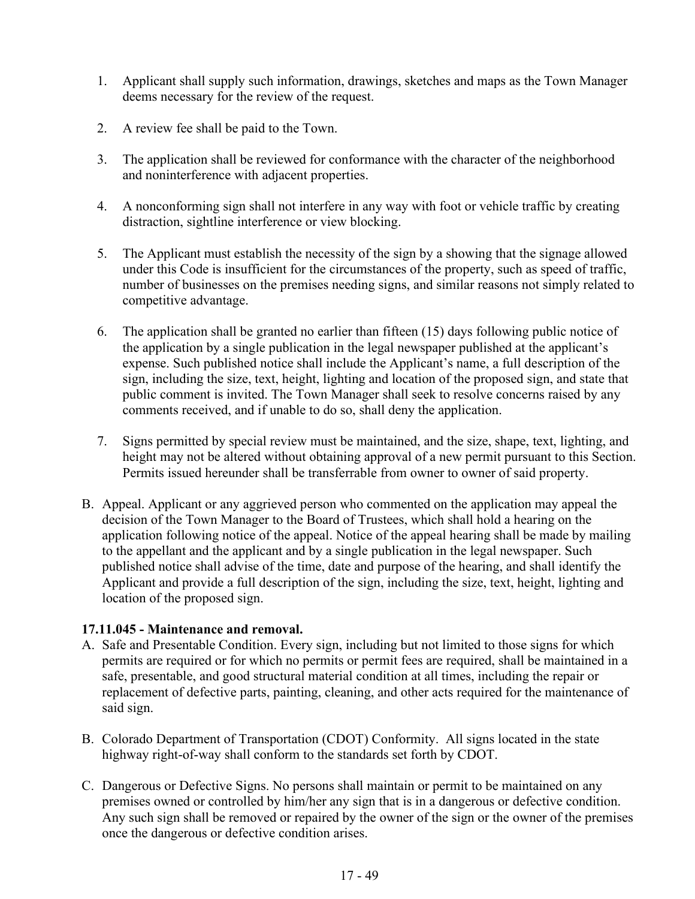- 1. Applicant shall supply such information, drawings, sketches and maps as the Town Manager deems necessary for the review of the request.
- 2. A review fee shall be paid to the Town.
- 3. The application shall be reviewed for conformance with the character of the neighborhood and noninterference with adjacent properties.
- 4. A nonconforming sign shall not interfere in any way with foot or vehicle traffic by creating distraction, sightline interference or view blocking.
- 5. The Applicant must establish the necessity of the sign by a showing that the signage allowed under this Code is insufficient for the circumstances of the property, such as speed of traffic, number of businesses on the premises needing signs, and similar reasons not simply related to competitive advantage.
- 6. The application shall be granted no earlier than fifteen (15) days following public notice of the application by a single publication in the legal newspaper published at the applicant's expense. Such published notice shall include the Applicant's name, a full description of the sign, including the size, text, height, lighting and location of the proposed sign, and state that public comment is invited. The Town Manager shall seek to resolve concerns raised by any comments received, and if unable to do so, shall deny the application.
- 7. Signs permitted by special review must be maintained, and the size, shape, text, lighting, and height may not be altered without obtaining approval of a new permit pursuant to this Section. Permits issued hereunder shall be transferrable from owner to owner of said property.
- B. Appeal. Applicant or any aggrieved person who commented on the application may appeal the decision of the Town Manager to the Board of Trustees, which shall hold a hearing on the application following notice of the appeal. Notice of the appeal hearing shall be made by mailing to the appellant and the applicant and by a single publication in the legal newspaper. Such published notice shall advise of the time, date and purpose of the hearing, and shall identify the Applicant and provide a full description of the sign, including the size, text, height, lighting and location of the proposed sign.

# **17.11.045 - Maintenance and removal.**

- A. Safe and Presentable Condition. Every sign, including but not limited to those signs for which permits are required or for which no permits or permit fees are required, shall be maintained in a safe, presentable, and good structural material condition at all times, including the repair or replacement of defective parts, painting, cleaning, and other acts required for the maintenance of said sign.
- B. Colorado Department of Transportation (CDOT) Conformity. All signs located in the state highway right-of-way shall conform to the standards set forth by CDOT.
- C. Dangerous or Defective Signs. No persons shall maintain or permit to be maintained on any premises owned or controlled by him/her any sign that is in a dangerous or defective condition. Any such sign shall be removed or repaired by the owner of the sign or the owner of the premises once the dangerous or defective condition arises.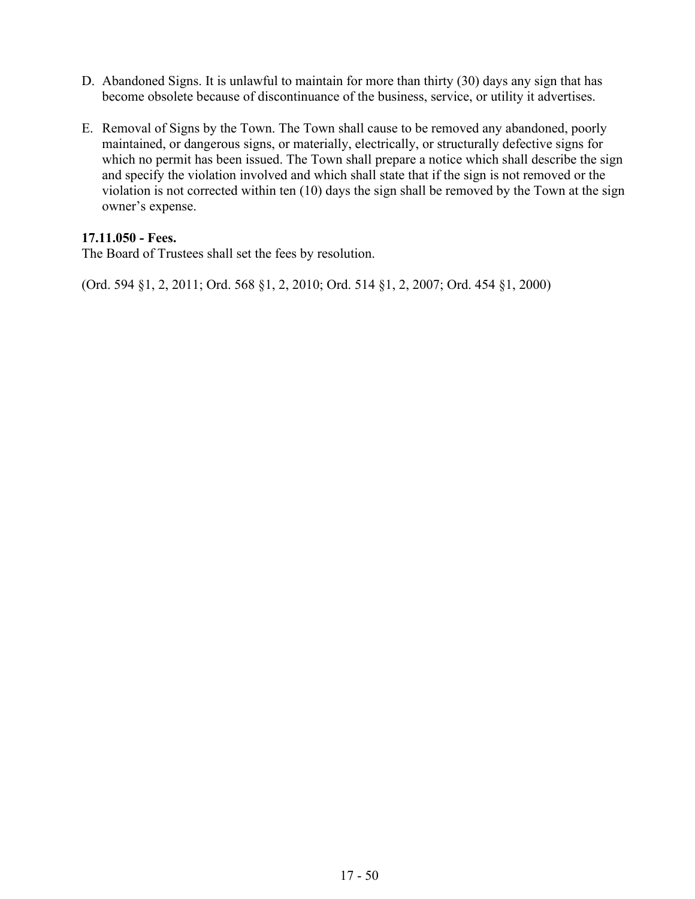- D. Abandoned Signs. It is unlawful to maintain for more than thirty (30) days any sign that has become obsolete because of discontinuance of the business, service, or utility it advertises.
- E. Removal of Signs by the Town. The Town shall cause to be removed any abandoned, poorly maintained, or dangerous signs, or materially, electrically, or structurally defective signs for which no permit has been issued. The Town shall prepare a notice which shall describe the sign and specify the violation involved and which shall state that if the sign is not removed or the violation is not corrected within ten (10) days the sign shall be removed by the Town at the sign owner's expense.

### **17.11.050 - Fees.**

The Board of Trustees shall set the fees by resolution.

(Ord. 594 §1, 2, 2011; Ord. 568 §1, 2, 2010; Ord. 514 §1, 2, 2007; Ord. 454 §1, 2000)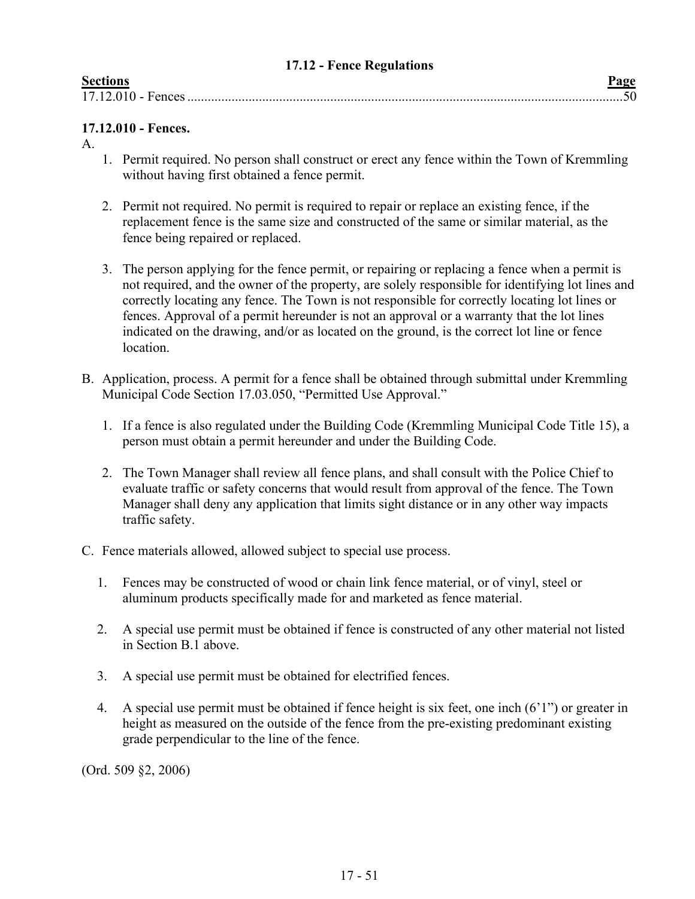### **17.12 - Fence Regulations**

<span id="page-50-0"></span>

| Sections |
|----------|
|          |
|          |

| <b>Sections</b>    |  |
|--------------------|--|
| 17.12.010 - Fences |  |

# **17.12.010 - Fences.**

A.

- 1. Permit required. No person shall construct or erect any fence within the Town of Kremmling without having first obtained a fence permit.
- 2. Permit not required. No permit is required to repair or replace an existing fence, if the replacement fence is the same size and constructed of the same or similar material, as the fence being repaired or replaced.
- 3. The person applying for the fence permit, or repairing or replacing a fence when a permit is not required, and the owner of the property, are solely responsible for identifying lot lines and correctly locating any fence. The Town is not responsible for correctly locating lot lines or fences. Approval of a permit hereunder is not an approval or a warranty that the lot lines indicated on the drawing, and/or as located on the ground, is the correct lot line or fence location.
- B. Application, process. A permit for a fence shall be obtained through submittal under Kremmling Municipal Code Section 17.03.050, "Permitted Use Approval."
	- 1. If a fence is also regulated under the Building Code (Kremmling Municipal Code Title 15), a person must obtain a permit hereunder and under the Building Code.
	- 2. The Town Manager shall review all fence plans, and shall consult with the Police Chief to evaluate traffic or safety concerns that would result from approval of the fence. The Town Manager shall deny any application that limits sight distance or in any other way impacts traffic safety.
- C. Fence materials allowed, allowed subject to special use process.
	- 1. Fences may be constructed of wood or chain link fence material, or of vinyl, steel or aluminum products specifically made for and marketed as fence material.
	- 2. A special use permit must be obtained if fence is constructed of any other material not listed in Section B.1 above.
	- 3. A special use permit must be obtained for electrified fences.
	- 4. A special use permit must be obtained if fence height is six feet, one inch (6'1") or greater in height as measured on the outside of the fence from the pre-existing predominant existing grade perpendicular to the line of the fence.

(Ord. 509 §2, 2006)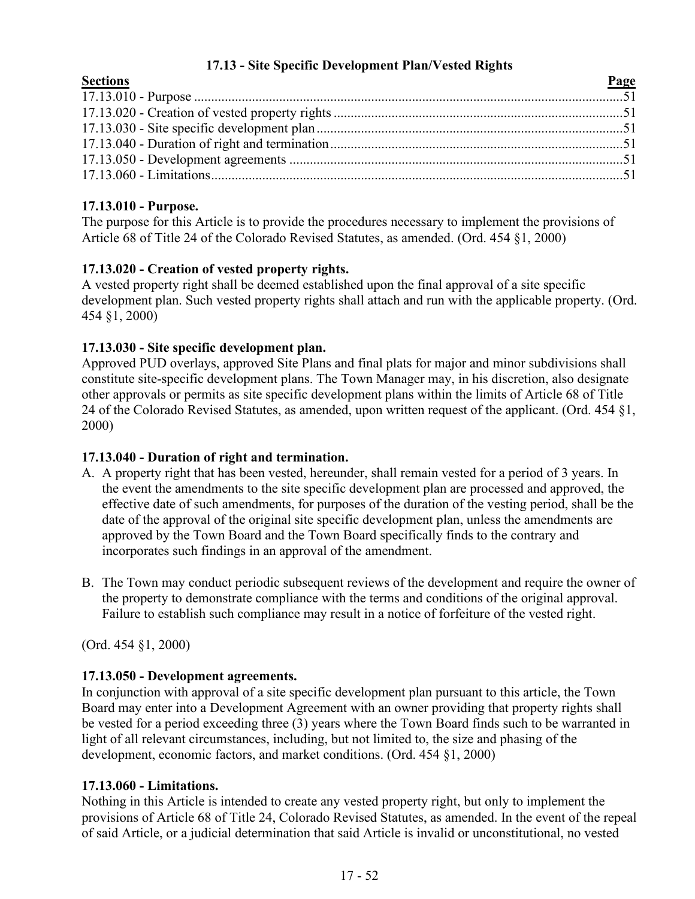# **17.13 - Site Specific Development Plan/Vested Rights**

<span id="page-51-0"></span>

| <b>Sections</b> | Page |
|-----------------|------|
|                 |      |
|                 |      |
|                 |      |
|                 |      |
|                 |      |
|                 |      |
|                 |      |

# **17.13.010 - Purpose.**

The purpose for this Article is to provide the procedures necessary to implement the provisions of Article 68 of Title 24 of the Colorado Revised Statutes, as amended. (Ord. 454 §1, 2000)

# **17.13.020 - Creation of vested property rights.**

A vested property right shall be deemed established upon the final approval of a site specific development plan. Such vested property rights shall attach and run with the applicable property. (Ord. 454 §1, 2000)

# **17.13.030 - Site specific development plan.**

Approved PUD overlays, approved Site Plans and final plats for major and minor subdivisions shall constitute site-specific development plans. The Town Manager may, in his discretion, also designate other approvals or permits as site specific development plans within the limits of Article 68 of Title 24 of the Colorado Revised Statutes, as amended, upon written request of the applicant. (Ord. 454 §1, 2000)

# **17.13.040 - Duration of right and termination.**

- A. A property right that has been vested, hereunder, shall remain vested for a period of 3 years. In the event the amendments to the site specific development plan are processed and approved, the effective date of such amendments, for purposes of the duration of the vesting period, shall be the date of the approval of the original site specific development plan, unless the amendments are approved by the Town Board and the Town Board specifically finds to the contrary and incorporates such findings in an approval of the amendment.
- B. The Town may conduct periodic subsequent reviews of the development and require the owner of the property to demonstrate compliance with the terms and conditions of the original approval. Failure to establish such compliance may result in a notice of forfeiture of the vested right.

(Ord. 454 §1, 2000)

# **17.13.050 - Development agreements.**

In conjunction with approval of a site specific development plan pursuant to this article, the Town Board may enter into a Development Agreement with an owner providing that property rights shall be vested for a period exceeding three (3) years where the Town Board finds such to be warranted in light of all relevant circumstances, including, but not limited to, the size and phasing of the development, economic factors, and market conditions. (Ord. 454 §1, 2000)

# **17.13.060 - Limitations.**

Nothing in this Article is intended to create any vested property right, but only to implement the provisions of Article 68 of Title 24, Colorado Revised Statutes, as amended. In the event of the repeal of said Article, or a judicial determination that said Article is invalid or unconstitutional, no vested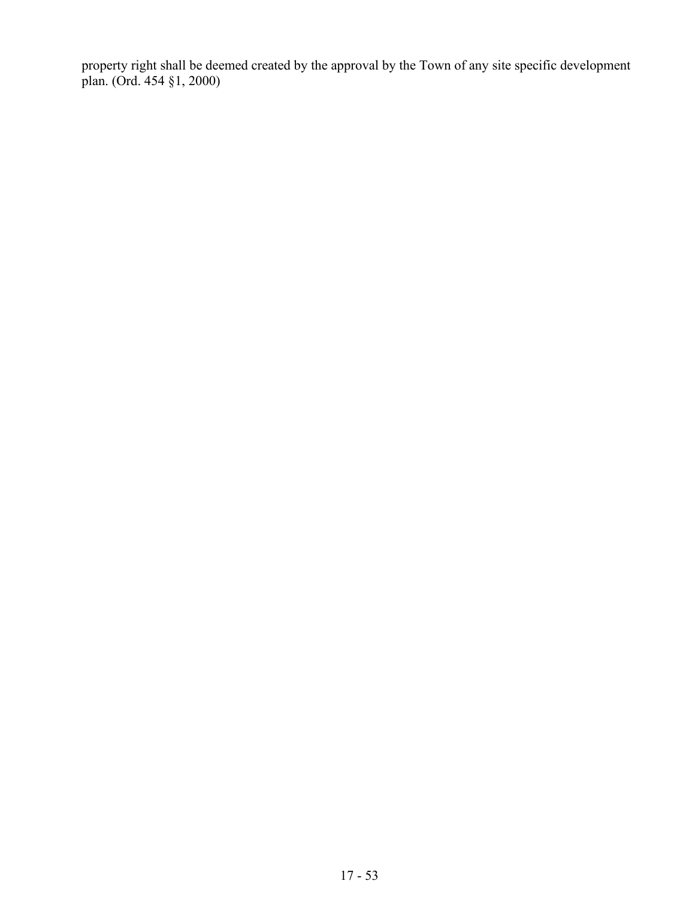property right shall be deemed created by the approval by the Town of any site specific development plan. (Ord. 454 §1, 2000)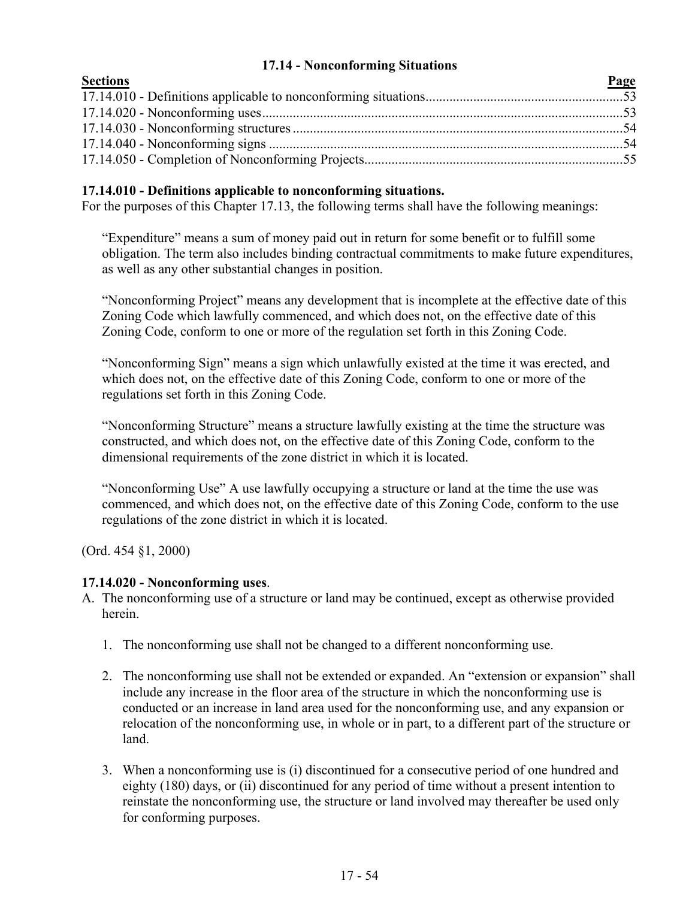# **17.14 - Nonconforming Situations**

<span id="page-53-0"></span>

| <b>Sections</b> | Page |
|-----------------|------|
|                 |      |
|                 |      |
|                 |      |
|                 |      |
|                 |      |

# **17.14.010 - Definitions applicable to nonconforming situations.**

For the purposes of this Chapter 17.13, the following terms shall have the following meanings:

"Expenditure" means a sum of money paid out in return for some benefit or to fulfill some obligation. The term also includes binding contractual commitments to make future expenditures, as well as any other substantial changes in position.

"Nonconforming Project" means any development that is incomplete at the effective date of this Zoning Code which lawfully commenced, and which does not, on the effective date of this Zoning Code, conform to one or more of the regulation set forth in this Zoning Code.

"Nonconforming Sign" means a sign which unlawfully existed at the time it was erected, and which does not, on the effective date of this Zoning Code, conform to one or more of the regulations set forth in this Zoning Code.

"Nonconforming Structure" means a structure lawfully existing at the time the structure was constructed, and which does not, on the effective date of this Zoning Code, conform to the dimensional requirements of the zone district in which it is located.

"Nonconforming Use" A use lawfully occupying a structure or land at the time the use was commenced, and which does not, on the effective date of this Zoning Code, conform to the use regulations of the zone district in which it is located.

(Ord. 454 §1, 2000)

#### **17.14.020 - Nonconforming uses**.

- A. The nonconforming use of a structure or land may be continued, except as otherwise provided herein.
	- 1. The nonconforming use shall not be changed to a different nonconforming use.
	- 2. The nonconforming use shall not be extended or expanded. An "extension or expansion" shall include any increase in the floor area of the structure in which the nonconforming use is conducted or an increase in land area used for the nonconforming use, and any expansion or relocation of the nonconforming use, in whole or in part, to a different part of the structure or land.
	- 3. When a nonconforming use is (i) discontinued for a consecutive period of one hundred and eighty (180) days, or (ii) discontinued for any period of time without a present intention to reinstate the nonconforming use, the structure or land involved may thereafter be used only for conforming purposes.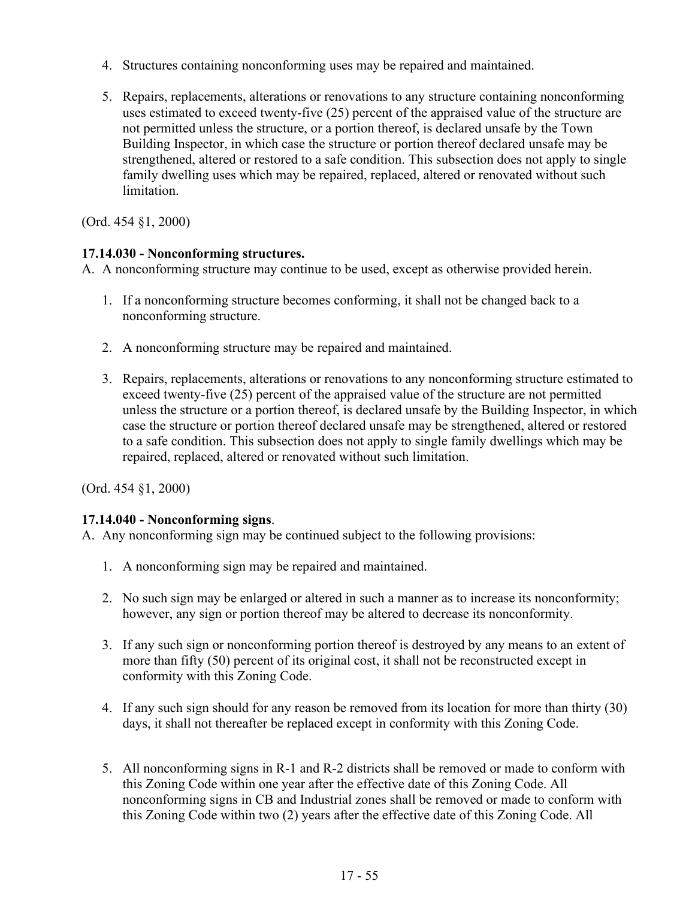- 4. Structures containing nonconforming uses may be repaired and maintained.
- 5. Repairs, replacements, alterations or renovations to any structure containing nonconforming uses estimated to exceed twenty-five (25) percent of the appraised value of the structure are not permitted unless the structure, or a portion thereof, is declared unsafe by the Town Building Inspector, in which case the structure or portion thereof declared unsafe may be strengthened, altered or restored to a safe condition. This subsection does not apply to single family dwelling uses which may be repaired, replaced, altered or renovated without such limitation.

# **17.14.030 - Nonconforming structures.**

A. A nonconforming structure may continue to be used, except as otherwise provided herein.

- 1. If a nonconforming structure becomes conforming, it shall not be changed back to a nonconforming structure.
- 2. A nonconforming structure may be repaired and maintained.
- 3. Repairs, replacements, alterations or renovations to any nonconforming structure estimated to exceed twenty-five (25) percent of the appraised value of the structure are not permitted unless the structure or a portion thereof, is declared unsafe by the Building Inspector, in which case the structure or portion thereof declared unsafe may be strengthened, altered or restored to a safe condition. This subsection does not apply to single family dwellings which may be repaired, replaced, altered or renovated without such limitation.

(Ord. 454 §1, 2000)

# **17.14.040 - Nonconforming signs**.

A. Any nonconforming sign may be continued subject to the following provisions:

- 1. A nonconforming sign may be repaired and maintained.
- 2. No such sign may be enlarged or altered in such a manner as to increase its nonconformity; however, any sign or portion thereof may be altered to decrease its nonconformity.
- 3. If any such sign or nonconforming portion thereof is destroyed by any means to an extent of more than fifty (50) percent of its original cost, it shall not be reconstructed except in conformity with this Zoning Code.
- 4. If any such sign should for any reason be removed from its location for more than thirty (30) days, it shall not thereafter be replaced except in conformity with this Zoning Code.
- 5. All nonconforming signs in R-1 and R-2 districts shall be removed or made to conform with this Zoning Code within one year after the effective date of this Zoning Code. All nonconforming signs in CB and Industrial zones shall be removed or made to conform with this Zoning Code within two (2) years after the effective date of this Zoning Code. All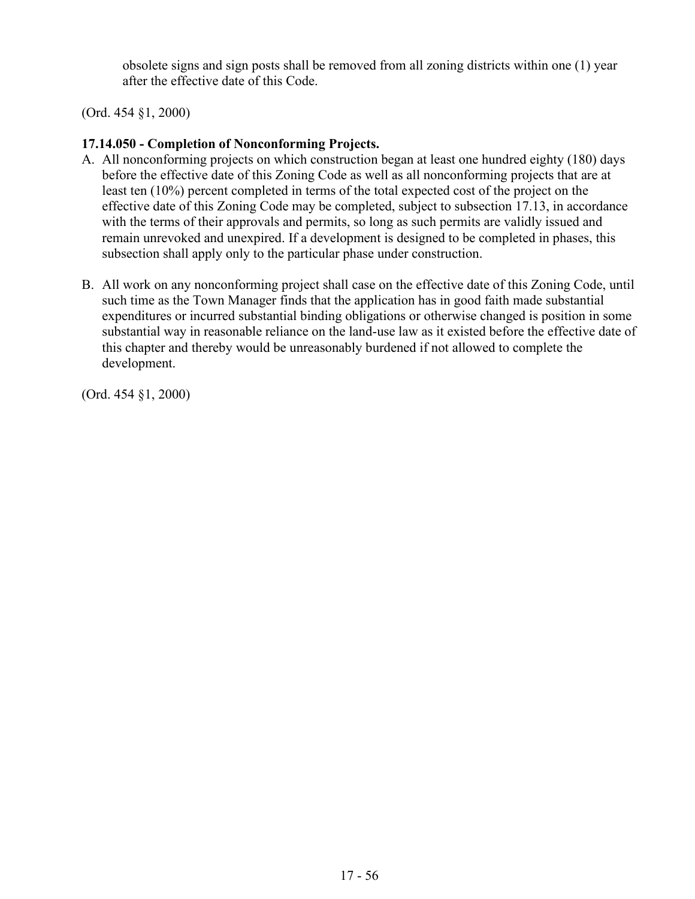obsolete signs and sign posts shall be removed from all zoning districts within one (1) year after the effective date of this Code.

(Ord. 454 §1, 2000)

# **17.14.050 - Completion of Nonconforming Projects.**

- A. All nonconforming projects on which construction began at least one hundred eighty (180) days before the effective date of this Zoning Code as well as all nonconforming projects that are at least ten (10%) percent completed in terms of the total expected cost of the project on the effective date of this Zoning Code may be completed, subject to subsection 17.13, in accordance with the terms of their approvals and permits, so long as such permits are validly issued and remain unrevoked and unexpired. If a development is designed to be completed in phases, this subsection shall apply only to the particular phase under construction.
- B. All work on any nonconforming project shall case on the effective date of this Zoning Code, until such time as the Town Manager finds that the application has in good faith made substantial expenditures or incurred substantial binding obligations or otherwise changed is position in some substantial way in reasonable reliance on the land-use law as it existed before the effective date of this chapter and thereby would be unreasonably burdened if not allowed to complete the development.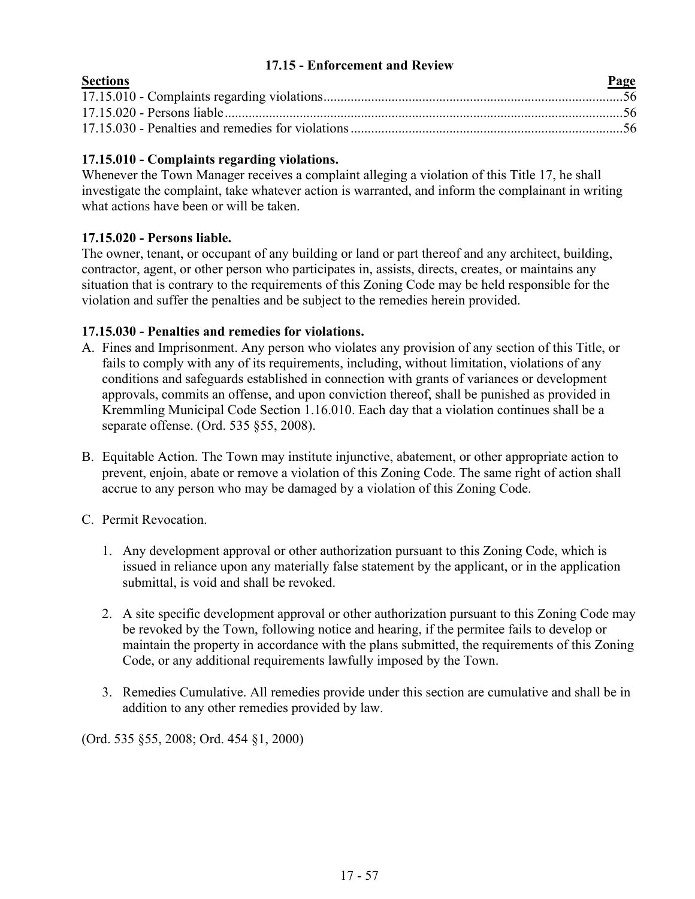## **17.15 - Enforcement and Review**

<span id="page-56-0"></span>

| <b>Sections</b> | Page |
|-----------------|------|
|                 |      |
|                 |      |
|                 |      |

# **17.15.010 - Complaints regarding violations.**

Whenever the Town Manager receives a complaint alleging a violation of this Title 17, he shall investigate the complaint, take whatever action is warranted, and inform the complainant in writing what actions have been or will be taken.

# **17.15.020 - Persons liable.**

The owner, tenant, or occupant of any building or land or part thereof and any architect, building, contractor, agent, or other person who participates in, assists, directs, creates, or maintains any situation that is contrary to the requirements of this Zoning Code may be held responsible for the violation and suffer the penalties and be subject to the remedies herein provided.

# **17.15.030 - Penalties and remedies for violations.**

- A. Fines and Imprisonment. Any person who violates any provision of any section of this Title, or fails to comply with any of its requirements, including, without limitation, violations of any conditions and safeguards established in connection with grants of variances or development approvals, commits an offense, and upon conviction thereof, shall be punished as provided in Kremmling Municipal Code Section 1.16.010. Each day that a violation continues shall be a separate offense. (Ord. 535 §55, 2008).
- B. Equitable Action. The Town may institute injunctive, abatement, or other appropriate action to prevent, enjoin, abate or remove a violation of this Zoning Code. The same right of action shall accrue to any person who may be damaged by a violation of this Zoning Code.
- C. Permit Revocation.
	- 1. Any development approval or other authorization pursuant to this Zoning Code, which is issued in reliance upon any materially false statement by the applicant, or in the application submittal, is void and shall be revoked.
	- 2. A site specific development approval or other authorization pursuant to this Zoning Code may be revoked by the Town, following notice and hearing, if the permitee fails to develop or maintain the property in accordance with the plans submitted, the requirements of this Zoning Code, or any additional requirements lawfully imposed by the Town.
	- 3. Remedies Cumulative. All remedies provide under this section are cumulative and shall be in addition to any other remedies provided by law.

(Ord. 535 §55, 2008; Ord. 454 §1, 2000)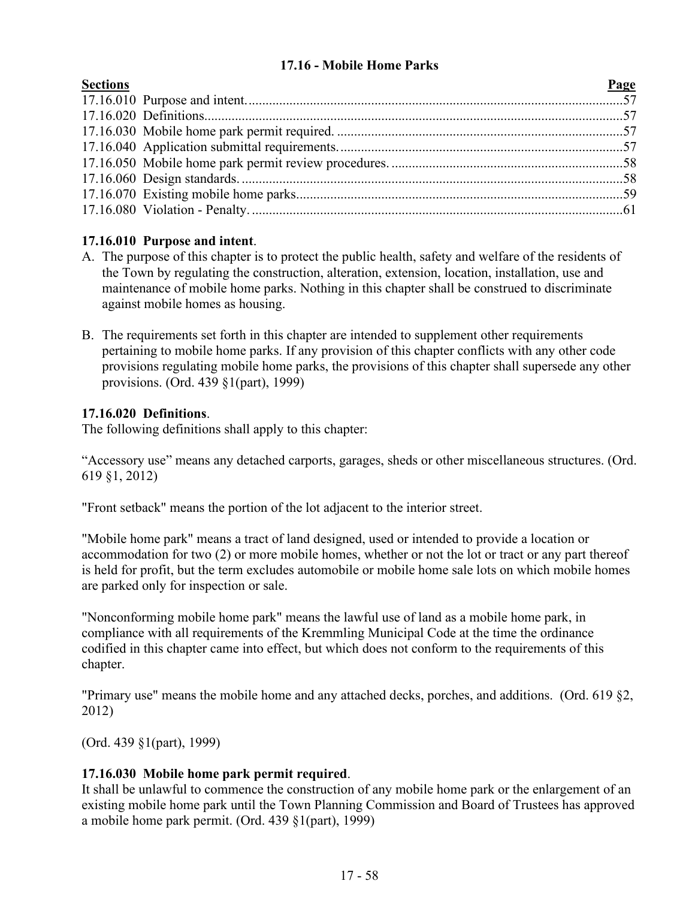# **17.16 - Mobile Home Parks**

| <b>Sections</b> |
|-----------------|
|                 |

| <b>Sections</b> | Page |
|-----------------|------|
|                 |      |
|                 |      |
|                 |      |
|                 |      |
|                 |      |
|                 |      |
|                 |      |
|                 |      |
|                 |      |

### **17.16.010 Purpose and intent**.

- A. The purpose of this chapter is to protect the public health, safety and welfare of the residents of the Town by regulating the construction, alteration, extension, location, installation, use and maintenance of mobile home parks. Nothing in this chapter shall be construed to discriminate against mobile homes as housing.
- B. The requirements set forth in this chapter are intended to supplement other requirements pertaining to mobile home parks. If any provision of this chapter conflicts with any other code provisions regulating mobile home parks, the provisions of this chapter shall supersede any other provisions. (Ord. 439 §1(part), 1999)

### **17.16.020 Definitions**.

The following definitions shall apply to this chapter:

"Accessory use" means any detached carports, garages, sheds or other miscellaneous structures. (Ord. 619 §1, 2012)

"Front setback" means the portion of the lot adjacent to the interior street.

"Mobile home park" means a tract of land designed, used or intended to provide a location or accommodation for two (2) or more mobile homes, whether or not the lot or tract or any part thereof is held for profit, but the term excludes automobile or mobile home sale lots on which mobile homes are parked only for inspection or sale.

"Nonconforming mobile home park" means the lawful use of land as a mobile home park, in compliance with all requirements of the Kremmling Municipal Code at the time the ordinance codified in this chapter came into effect, but which does not conform to the requirements of this chapter.

"Primary use" means the mobile home and any attached decks, porches, and additions. (Ord. 619 §2, 2012)

(Ord. 439 §1(part), 1999)

# **17.16.030 Mobile home park permit required**.

It shall be unlawful to commence the construction of any mobile home park or the enlargement of an existing mobile home park until the Town Planning Commission and Board of Trustees has approved a mobile home park permit. (Ord. 439 §1(part), 1999)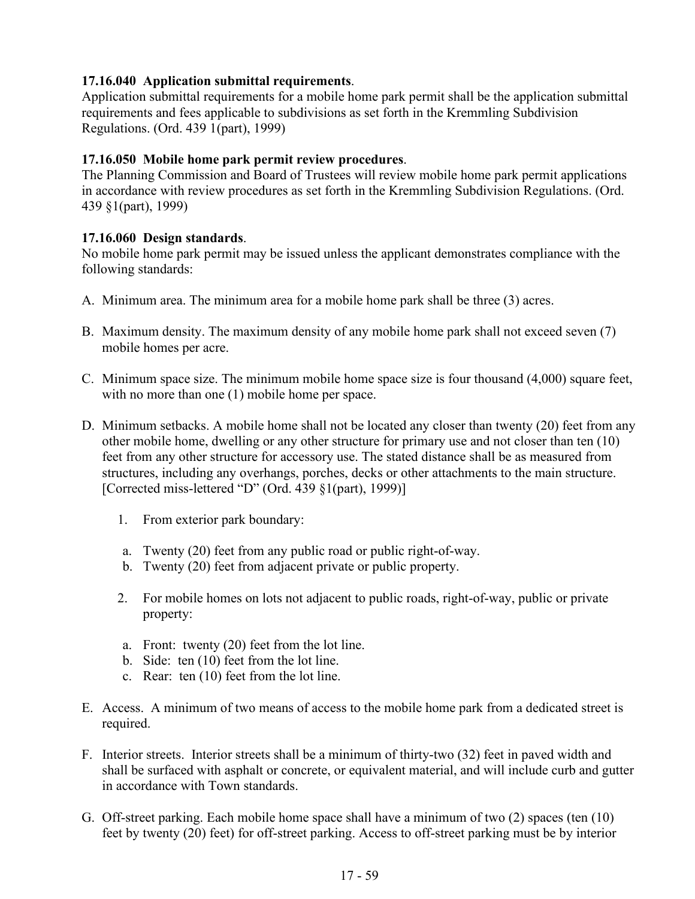# **17.16.040 Application submittal requirements**.

Application submittal requirements for a mobile home park permit shall be the application submittal requirements and fees applicable to subdivisions as set forth in the Kremmling Subdivision Regulations. (Ord. 439 1(part), 1999)

# **17.16.050 Mobile home park permit review procedures**.

The Planning Commission and Board of Trustees will review mobile home park permit applications in accordance with review procedures as set forth in the Kremmling Subdivision Regulations. (Ord. 439 §1(part), 1999)

# **17.16.060 Design standards**.

No mobile home park permit may be issued unless the applicant demonstrates compliance with the following standards:

- A. Minimum area. The minimum area for a mobile home park shall be three (3) acres.
- B. Maximum density. The maximum density of any mobile home park shall not exceed seven (7) mobile homes per acre.
- C. Minimum space size. The minimum mobile home space size is four thousand (4,000) square feet, with no more than one (1) mobile home per space.
- D. Minimum setbacks. A mobile home shall not be located any closer than twenty (20) feet from any other mobile home, dwelling or any other structure for primary use and not closer than ten (10) feet from any other structure for accessory use. The stated distance shall be as measured from structures, including any overhangs, porches, decks or other attachments to the main structure. [Corrected miss-lettered "D" (Ord. 439 §1(part), 1999)]
	- 1. From exterior park boundary:
	- a. Twenty (20) feet from any public road or public right-of-way.
	- b. Twenty (20) feet from adjacent private or public property.
	- 2. For mobile homes on lots not adjacent to public roads, right-of-way, public or private property:
	- a. Front: twenty (20) feet from the lot line.
	- b. Side: ten (10) feet from the lot line.
	- c. Rear: ten (10) feet from the lot line.
- E. Access. A minimum of two means of access to the mobile home park from a dedicated street is required.
- F. Interior streets. Interior streets shall be a minimum of thirty-two (32) feet in paved width and shall be surfaced with asphalt or concrete, or equivalent material, and will include curb and gutter in accordance with Town standards.
- G. Off-street parking. Each mobile home space shall have a minimum of two (2) spaces (ten (10) feet by twenty (20) feet) for off-street parking. Access to off-street parking must be by interior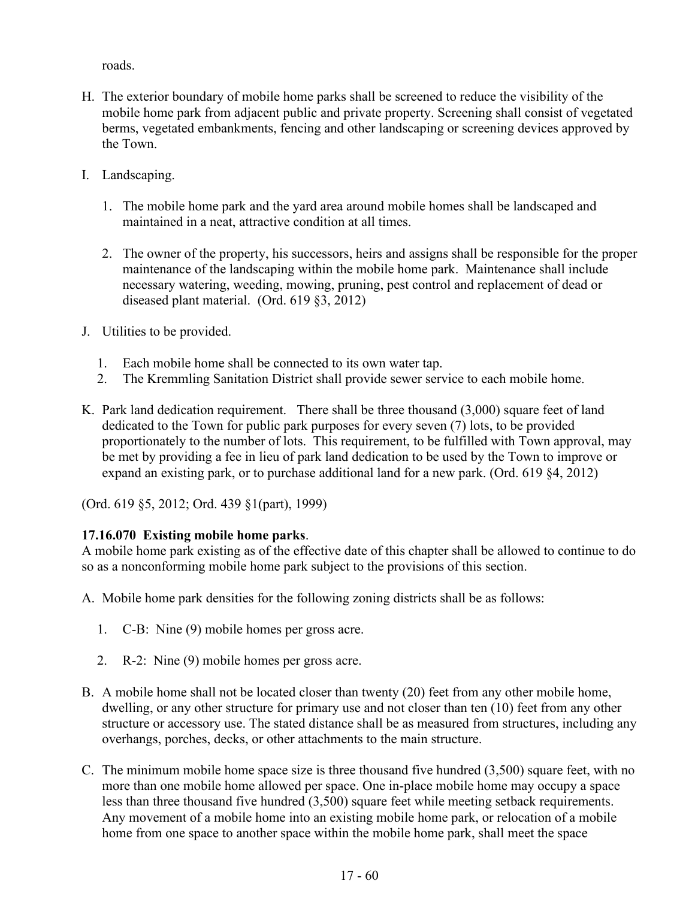roads.

- H. The exterior boundary of mobile home parks shall be screened to reduce the visibility of the mobile home park from adjacent public and private property. Screening shall consist of vegetated berms, vegetated embankments, fencing and other landscaping or screening devices approved by the Town.
- I. Landscaping.
	- 1. The mobile home park and the yard area around mobile homes shall be landscaped and maintained in a neat, attractive condition at all times.
	- 2. The owner of the property, his successors, heirs and assigns shall be responsible for the proper maintenance of the landscaping within the mobile home park. Maintenance shall include necessary watering, weeding, mowing, pruning, pest control and replacement of dead or diseased plant material. (Ord. 619 §3, 2012)
- J. Utilities to be provided.
	- 1. Each mobile home shall be connected to its own water tap.
	- 2. The Kremmling Sanitation District shall provide sewer service to each mobile home.
- K. Park land dedication requirement. There shall be three thousand (3,000) square feet of land dedicated to the Town for public park purposes for every seven (7) lots, to be provided proportionately to the number of lots. This requirement, to be fulfilled with Town approval, may be met by providing a fee in lieu of park land dedication to be used by the Town to improve or expand an existing park, or to purchase additional land for a new park. (Ord. 619 §4, 2012)

(Ord. 619 §5, 2012; Ord. 439 §1(part), 1999)

# **17.16.070 Existing mobile home parks**.

A mobile home park existing as of the effective date of this chapter shall be allowed to continue to do so as a nonconforming mobile home park subject to the provisions of this section.

A. Mobile home park densities for the following zoning districts shall be as follows:

- 1. C-B: Nine (9) mobile homes per gross acre.
- 2. R-2: Nine (9) mobile homes per gross acre.
- B. A mobile home shall not be located closer than twenty (20) feet from any other mobile home, dwelling, or any other structure for primary use and not closer than ten (10) feet from any other structure or accessory use. The stated distance shall be as measured from structures, including any overhangs, porches, decks, or other attachments to the main structure.
- C. The minimum mobile home space size is three thousand five hundred (3,500) square feet, with no more than one mobile home allowed per space. One in-place mobile home may occupy a space less than three thousand five hundred (3,500) square feet while meeting setback requirements. Any movement of a mobile home into an existing mobile home park, or relocation of a mobile home from one space to another space within the mobile home park, shall meet the space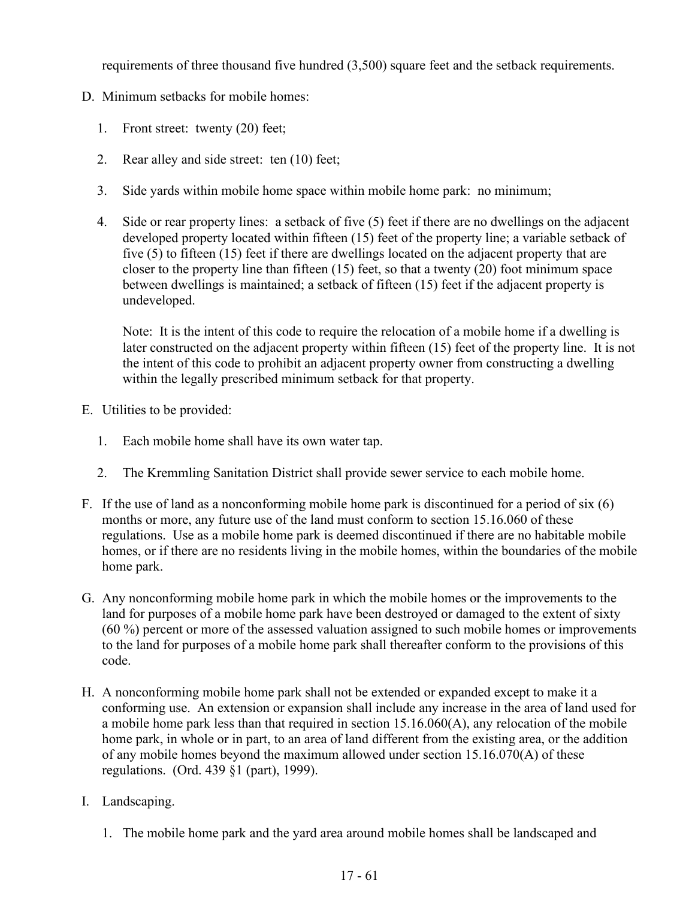requirements of three thousand five hundred (3,500) square feet and the setback requirements.

- D. Minimum setbacks for mobile homes:
	- 1. Front street: twenty (20) feet;
	- 2. Rear alley and side street: ten (10) feet;
	- 3. Side yards within mobile home space within mobile home park: no minimum;
	- 4. Side or rear property lines: a setback of five (5) feet if there are no dwellings on the adjacent developed property located within fifteen (15) feet of the property line; a variable setback of five (5) to fifteen (15) feet if there are dwellings located on the adjacent property that are closer to the property line than fifteen (15) feet, so that a twenty (20) foot minimum space between dwellings is maintained; a setback of fifteen (15) feet if the adjacent property is undeveloped.

Note: It is the intent of this code to require the relocation of a mobile home if a dwelling is later constructed on the adjacent property within fifteen (15) feet of the property line. It is not the intent of this code to prohibit an adjacent property owner from constructing a dwelling within the legally prescribed minimum setback for that property.

- E. Utilities to be provided:
	- 1. Each mobile home shall have its own water tap.
	- 2. The Kremmling Sanitation District shall provide sewer service to each mobile home.
- F. If the use of land as a nonconforming mobile home park is discontinued for a period of six (6) months or more, any future use of the land must conform to section 15.16.060 of these regulations. Use as a mobile home park is deemed discontinued if there are no habitable mobile homes, or if there are no residents living in the mobile homes, within the boundaries of the mobile home park.
- G. Any nonconforming mobile home park in which the mobile homes or the improvements to the land for purposes of a mobile home park have been destroyed or damaged to the extent of sixty (60 %) percent or more of the assessed valuation assigned to such mobile homes or improvements to the land for purposes of a mobile home park shall thereafter conform to the provisions of this code.
- H. A nonconforming mobile home park shall not be extended or expanded except to make it a conforming use. An extension or expansion shall include any increase in the area of land used for a mobile home park less than that required in section 15.16.060(A), any relocation of the mobile home park, in whole or in part, to an area of land different from the existing area, or the addition of any mobile homes beyond the maximum allowed under section 15.16.070(A) of these regulations. (Ord. 439 §1 (part), 1999).
- I. Landscaping.
	- 1. The mobile home park and the yard area around mobile homes shall be landscaped and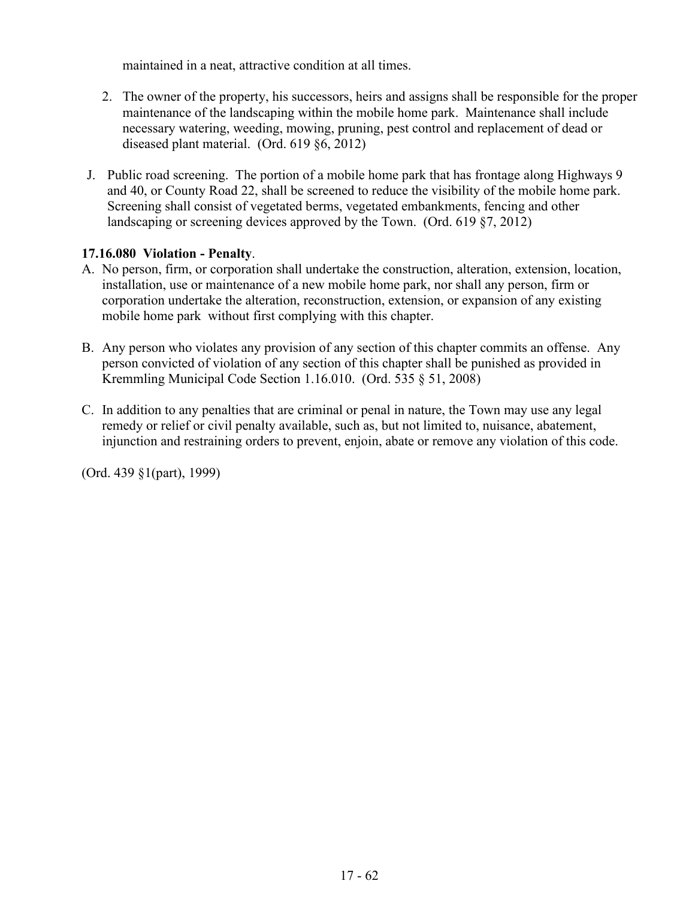maintained in a neat, attractive condition at all times.

- 2. The owner of the property, his successors, heirs and assigns shall be responsible for the proper maintenance of the landscaping within the mobile home park. Maintenance shall include necessary watering, weeding, mowing, pruning, pest control and replacement of dead or diseased plant material. (Ord. 619 §6, 2012)
- J. Public road screening. The portion of a mobile home park that has frontage along Highways 9 and 40, or County Road 22, shall be screened to reduce the visibility of the mobile home park. Screening shall consist of vegetated berms, vegetated embankments, fencing and other landscaping or screening devices approved by the Town. (Ord. 619 §7, 2012)

### **17.16.080 Violation - Penalty**.

- A. No person, firm, or corporation shall undertake the construction, alteration, extension, location, installation, use or maintenance of a new mobile home park, nor shall any person, firm or corporation undertake the alteration, reconstruction, extension, or expansion of any existing mobile home park without first complying with this chapter.
- B. Any person who violates any provision of any section of this chapter commits an offense. Any person convicted of violation of any section of this chapter shall be punished as provided in Kremmling Municipal Code Section 1.16.010. (Ord. 535 § 51, 2008)
- C. In addition to any penalties that are criminal or penal in nature, the Town may use any legal remedy or relief or civil penalty available, such as, but not limited to, nuisance, abatement, injunction and restraining orders to prevent, enjoin, abate or remove any violation of this code.

(Ord. 439 §1(part), 1999)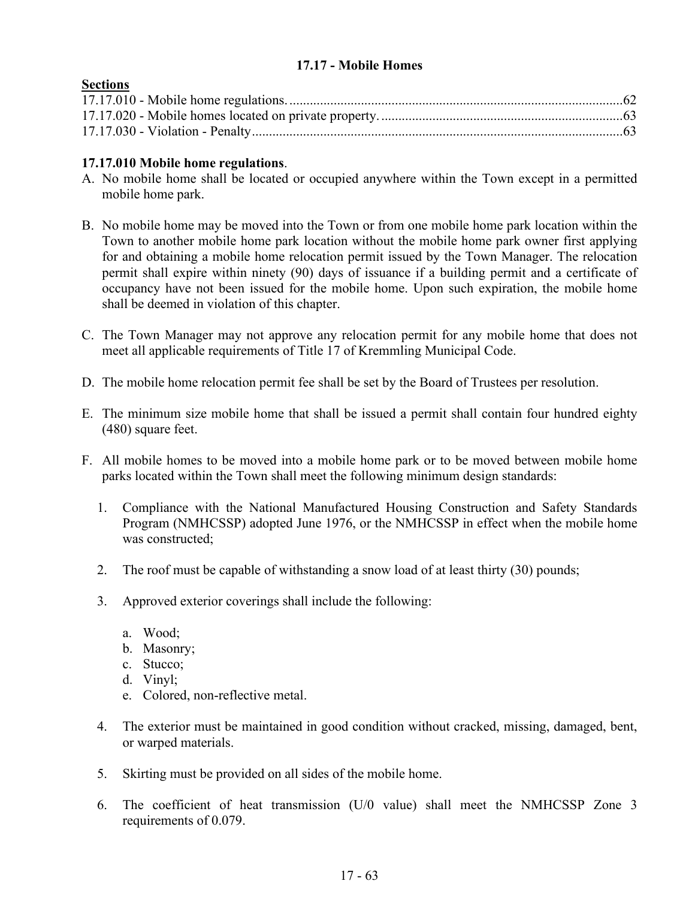# **17.17 - Mobile Homes**

# **Sections**

## **17.17.010 Mobile home regulations**.

- A. No mobile home shall be located or occupied anywhere within the Town except in a permitted mobile home park.
- B. No mobile home may be moved into the Town or from one mobile home park location within the Town to another mobile home park location without the mobile home park owner first applying for and obtaining a mobile home relocation permit issued by the Town Manager. The relocation permit shall expire within ninety (90) days of issuance if a building permit and a certificate of occupancy have not been issued for the mobile home. Upon such expiration, the mobile home shall be deemed in violation of this chapter.
- C. The Town Manager may not approve any relocation permit for any mobile home that does not meet all applicable requirements of Title 17 of Kremmling Municipal Code.
- D. The mobile home relocation permit fee shall be set by the Board of Trustees per resolution.
- E. The minimum size mobile home that shall be issued a permit shall contain four hundred eighty (480) square feet.
- F. All mobile homes to be moved into a mobile home park or to be moved between mobile home parks located within the Town shall meet the following minimum design standards:
	- 1. Compliance with the National Manufactured Housing Construction and Safety Standards Program (NMHCSSP) adopted June 1976, or the NMHCSSP in effect when the mobile home was constructed;
	- 2. The roof must be capable of withstanding a snow load of at least thirty (30) pounds;
	- 3. Approved exterior coverings shall include the following:
		- a. Wood;
		- b. Masonry;
		- c. Stucco;
		- d. Vinyl;
		- e. Colored, non-reflective metal.
	- 4. The exterior must be maintained in good condition without cracked, missing, damaged, bent, or warped materials.
	- 5. Skirting must be provided on all sides of the mobile home.
	- 6. The coefficient of heat transmission (U/0 value) shall meet the NMHCSSP Zone 3 requirements of 0.079.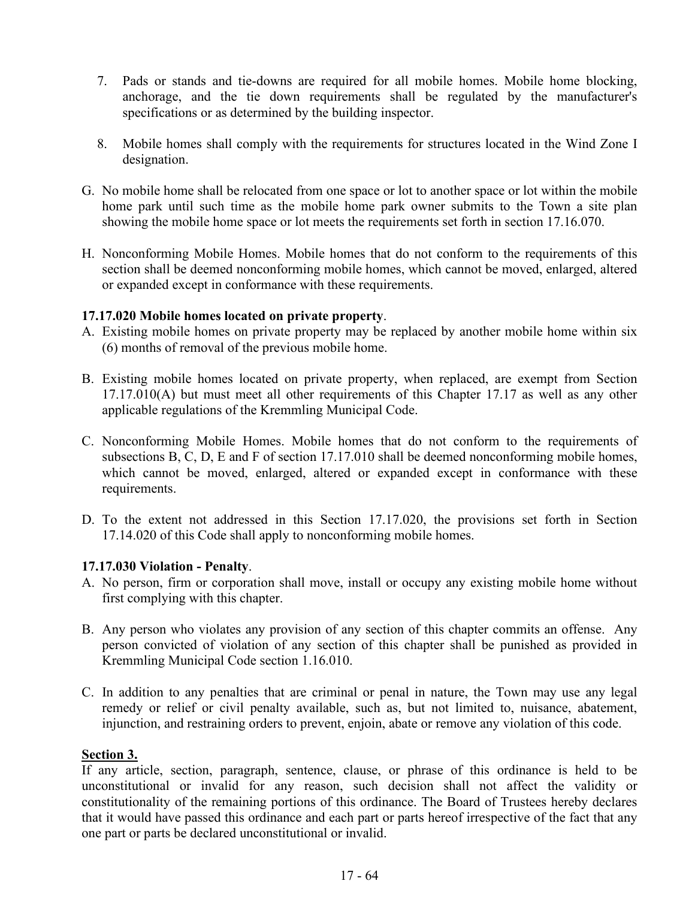- 7. Pads or stands and tie-downs are required for all mobile homes. Mobile home blocking, anchorage, and the tie down requirements shall be regulated by the manufacturer's specifications or as determined by the building inspector.
- 8. Mobile homes shall comply with the requirements for structures located in the Wind Zone I designation.
- G. No mobile home shall be relocated from one space or lot to another space or lot within the mobile home park until such time as the mobile home park owner submits to the Town a site plan showing the mobile home space or lot meets the requirements set forth in section 17.16.070.
- H. Nonconforming Mobile Homes. Mobile homes that do not conform to the requirements of this section shall be deemed nonconforming mobile homes, which cannot be moved, enlarged, altered or expanded except in conformance with these requirements.

### **17.17.020 Mobile homes located on private property**.

- A. Existing mobile homes on private property may be replaced by another mobile home within six (6) months of removal of the previous mobile home.
- B. Existing mobile homes located on private property, when replaced, are exempt from Section 17.17.010(A) but must meet all other requirements of this Chapter 17.17 as well as any other applicable regulations of the Kremmling Municipal Code.
- C. Nonconforming Mobile Homes. Mobile homes that do not conform to the requirements of subsections B, C, D, E and F of section 17.17.010 shall be deemed nonconforming mobile homes, which cannot be moved, enlarged, altered or expanded except in conformance with these requirements.
- D. To the extent not addressed in this Section 17.17.020, the provisions set forth in Section 17.14.020 of this Code shall apply to nonconforming mobile homes.

# **17.17.030 Violation - Penalty**.

- A. No person, firm or corporation shall move, install or occupy any existing mobile home without first complying with this chapter.
- B. Any person who violates any provision of any section of this chapter commits an offense. Any person convicted of violation of any section of this chapter shall be punished as provided in Kremmling Municipal Code section 1.16.010.
- C. In addition to any penalties that are criminal or penal in nature, the Town may use any legal remedy or relief or civil penalty available, such as, but not limited to, nuisance, abatement, injunction, and restraining orders to prevent, enjoin, abate or remove any violation of this code.

#### **Section 3.**

If any article, section, paragraph, sentence, clause, or phrase of this ordinance is held to be unconstitutional or invalid for any reason, such decision shall not affect the validity or constitutionality of the remaining portions of this ordinance. The Board of Trustees hereby declares that it would have passed this ordinance and each part or parts hereof irrespective of the fact that any one part or parts be declared unconstitutional or invalid.